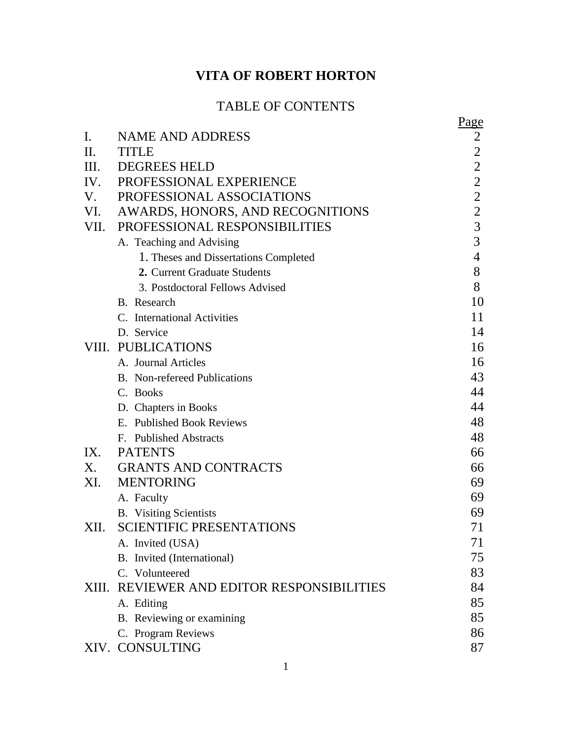# **VITA OF ROBERT HORTON**

## TABLE OF CONTENTS

|           |                                            | Page           |
|-----------|--------------------------------------------|----------------|
| Ι.        | <b>NAME AND ADDRESS</b>                    | 2              |
| $\prod$ . | <b>TITLE</b>                               | $\overline{2}$ |
| Ш.        | <b>DEGREES HELD</b>                        | $\overline{2}$ |
| IV.       | PROFESSIONAL EXPERIENCE                    | $\mathbf{2}$   |
| V.        | PROFESSIONAL ASSOCIATIONS                  | $\overline{2}$ |
| VI.       | AWARDS, HONORS, AND RECOGNITIONS           | $\overline{2}$ |
| VII.      | PROFESSIONAL RESPONSIBILITIES              | 3              |
|           | A. Teaching and Advising                   | $\overline{3}$ |
|           | 1. Theses and Dissertations Completed      | $\overline{4}$ |
|           | 2. Current Graduate Students               | 8              |
|           | 3. Postdoctoral Fellows Advised            | 8              |
|           | B. Research                                | 10             |
|           | C. International Activities                | 11             |
|           | D. Service                                 | 14             |
|           | VIII. PUBLICATIONS                         | 16             |
|           | A. Journal Articles                        | 16             |
|           | <b>B.</b> Non-refereed Publications        | 43             |
|           | C. Books                                   | 44             |
|           | D. Chapters in Books                       | 44             |
|           | E. Published Book Reviews                  | 48             |
|           | F. Published Abstracts                     | 48             |
| IX.       | <b>PATENTS</b>                             | 66             |
| X.        | <b>GRANTS AND CONTRACTS</b>                | 66             |
| XI.       | <b>MENTORING</b>                           | 69             |
|           | A. Faculty                                 | 69             |
|           | <b>B.</b> Visiting Scientists              | 69             |
| XII.      | <b>SCIENTIFIC PRESENTATIONS</b>            | 71             |
|           | A. Invited (USA)                           | 71             |
|           | B. Invited (International)                 | 75             |
|           | C. Volunteered                             | 83             |
|           | XIII. REVIEWER AND EDITOR RESPONSIBILITIES | 84             |
|           | A. Editing                                 | 85             |
|           | B. Reviewing or examining                  | 85             |
|           | C. Program Reviews                         | 86             |
|           | XIV. CONSULTING                            | 87             |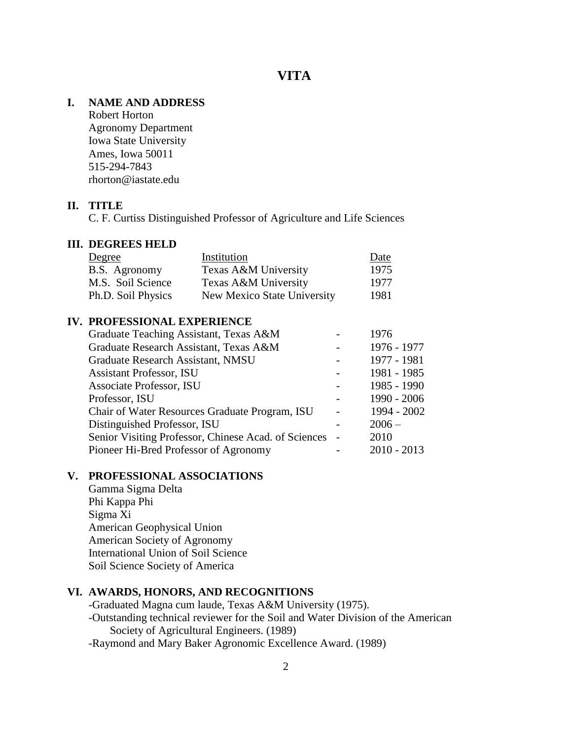## **VITA**

## **I. NAME AND ADDRESS**

Robert Horton Agronomy Department Iowa State University Ames, Iowa 50011 515-294-7843 rhorton@iastate.edu

## **II. TITLE**

C. F. Curtiss Distinguished Professor of Agriculture and Life Sciences

#### **III. DEGREES HELD**

| Degree             | Institution                 | Date |
|--------------------|-----------------------------|------|
| B.S. Agronomy      | Texas A&M University        | 1975 |
| M.S. Soil Science  | Texas A&M University        | 1977 |
| Ph.D. Soil Physics | New Mexico State University | 1981 |

#### **IV. PROFESSIONAL EXPERIENCE**

| Graduate Teaching Assistant, Texas A&M               |  | 1976          |
|------------------------------------------------------|--|---------------|
| Graduate Research Assistant, Texas A&M               |  | 1976 - 1977   |
| Graduate Research Assistant, NMSU                    |  | 1977 - 1981   |
| <b>Assistant Professor, ISU</b>                      |  | 1981 - 1985   |
| Associate Professor, ISU                             |  | 1985 - 1990   |
| Professor, ISU                                       |  | 1990 - 2006   |
| Chair of Water Resources Graduate Program, ISU       |  | 1994 - 2002   |
| Distinguished Professor, ISU                         |  | $2006 -$      |
| Senior Visiting Professor, Chinese Acad. of Sciences |  | 2010          |
| Pioneer Hi-Bred Professor of Agronomy                |  | $2010 - 2013$ |

#### **V. PROFESSIONAL ASSOCIATIONS**

Gamma Sigma Delta Phi Kappa Phi Sigma Xi American Geophysical Union American Society of Agronomy International Union of Soil Science Soil Science Society of America

## **VI. AWARDS, HONORS, AND RECOGNITIONS**

-Graduated Magna cum laude, Texas A&M University (1975). -Outstanding technical reviewer for the Soil and Water Division of the American Society of Agricultural Engineers. (1989) -Raymond and Mary Baker Agronomic Excellence Award. (1989)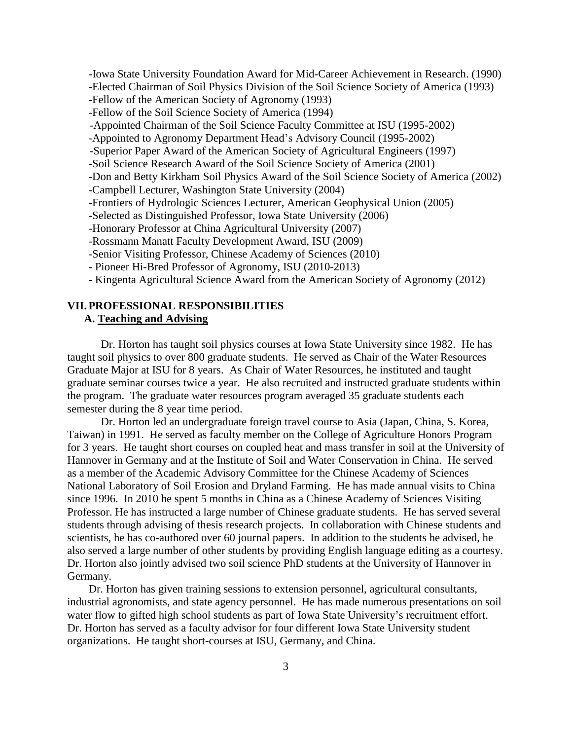-Iowa State University Foundation Award for Mid-Career Achievement in Research. (1990) -Elected Chairman of Soil Physics Division of the Soil Science Society of America (1993) -Fellow of the American Society of Agronomy (1993) -Fellow of the Soil Science Society of America (1994) -Appointed Chairman of the Soil Science Faculty Committee at ISU (1995-2002) -Appointed to Agronomy Department Head's Advisory Council (1995-2002) -Superior Paper Award of the American Society of Agricultural Engineers (1997) -Soil Science Research Award of the Soil Science Society of America (2001) -Don and Betty Kirkham Soil Physics Award of the Soil Science Society of America (2002) -Campbell Lecturer, Washington State University (2004) -Frontiers of Hydrologic Sciences Lecturer, American Geophysical Union (2005) -Selected as Distinguished Professor, Iowa State University (2006) -Honorary Professor at China Agricultural University (2007) -Rossmann Manatt Faculty Development Award, ISU (2009) -Senior Visiting Professor, Chinese Academy of Sciences (2010) - Pioneer Hi-Bred Professor of Agronomy, ISU (2010-2013) - Kingenta Agricultural Science Award from the American Society of Agronomy (2012)

#### **VII.PROFESSIONAL RESPONSIBILITIES A. Teaching and Advising**

Dr. Horton has taught soil physics courses at Iowa State University since 1982. He has taught soil physics to over 800 graduate students. He served as Chair of the Water Resources Graduate Major at ISU for 8 years. As Chair of Water Resources, he instituted and taught graduate seminar courses twice a year. He also recruited and instructed graduate students within the program. The graduate water resources program averaged 35 graduate students each semester during the 8 year time period.

Dr. Horton led an undergraduate foreign travel course to Asia (Japan, China, S. Korea, Taiwan) in 1991. He served as faculty member on the College of Agriculture Honors Program for 3 years. He taught short courses on coupled heat and mass transfer in soil at the University of Hannover in Germany and at the Institute of Soil and Water Conservation in China. He served as a member of the Academic Advisory Committee for the Chinese Academy of Sciences National Laboratory of Soil Erosion and Dryland Farming. He has made annual visits to China since 1996. In 2010 he spent 5 months in China as a Chinese Academy of Sciences Visiting Professor. He has instructed a large number of Chinese graduate students. He has served several students through advising of thesis research projects. In collaboration with Chinese students and scientists, he has co-authored over 60 journal papers. In addition to the students he advised, he also served a large number of other students by providing English language editing as a courtesy. Dr. Horton also jointly advised two soil science PhD students at the University of Hannover in Germany.

Dr. Horton has given training sessions to extension personnel, agricultural consultants, industrial agronomists, and state agency personnel. He has made numerous presentations on soil water flow to gifted high school students as part of Iowa State University's recruitment effort. Dr. Horton has served as a faculty advisor for four different Iowa State University student organizations. He taught short-courses at ISU, Germany, and China.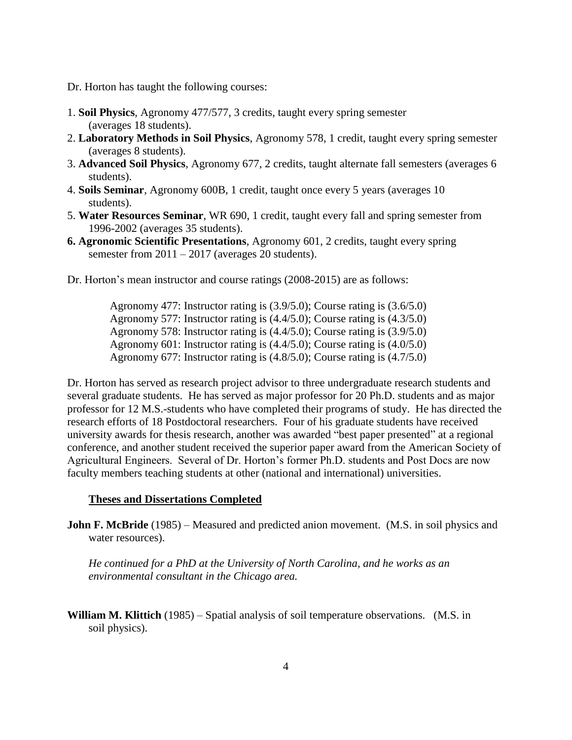- Dr. Horton has taught the following courses:
- 1. **Soil Physics**, Agronomy 477/577, 3 credits, taught every spring semester (averages 18 students).
- 2. **Laboratory Methods in Soil Physics**, Agronomy 578, 1 credit, taught every spring semester (averages 8 students).
- 3. **Advanced Soil Physics**, Agronomy 677, 2 credits, taught alternate fall semesters (averages 6 students).
- 4. **Soils Seminar**, Agronomy 600B, 1 credit, taught once every 5 years (averages 10 students).
- 5. **Water Resources Seminar**, WR 690, 1 credit, taught every fall and spring semester from 1996-2002 (averages 35 students).
- **6. Agronomic Scientific Presentations**, Agronomy 601, 2 credits, taught every spring semester from 2011 – 2017 (averages 20 students).
- Dr. Horton's mean instructor and course ratings (2008-2015) are as follows:

 Agronomy 477: Instructor rating is (3.9/5.0); Course rating is (3.6/5.0) Agronomy 577: Instructor rating is (4.4/5.0); Course rating is (4.3/5.0) Agronomy 578: Instructor rating is (4.4/5.0); Course rating is (3.9/5.0) Agronomy 601: Instructor rating is (4.4/5.0); Course rating is (4.0/5.0) Agronomy 677: Instructor rating is (4.8/5.0); Course rating is (4.7/5.0)

Dr. Horton has served as research project advisor to three undergraduate research students and several graduate students. He has served as major professor for 20 Ph.D. students and as major professor for 12 M.S.-students who have completed their programs of study. He has directed the research efforts of 18 Postdoctoral researchers. Four of his graduate students have received university awards for thesis research, another was awarded "best paper presented" at a regional conference, and another student received the superior paper award from the American Society of Agricultural Engineers. Several of Dr. Horton's former Ph.D. students and Post Docs are now faculty members teaching students at other (national and international) universities.

#### **Theses and Dissertations Completed**

**John F. McBride** (1985) – Measured and predicted anion movement. (M.S. in soil physics and water resources).

*He continued for a PhD at the University of North Carolina, and he works as an environmental consultant in the Chicago area.* 

**William M. Klittich** (1985) – Spatial analysis of soil temperature observations. (M.S. in soil physics).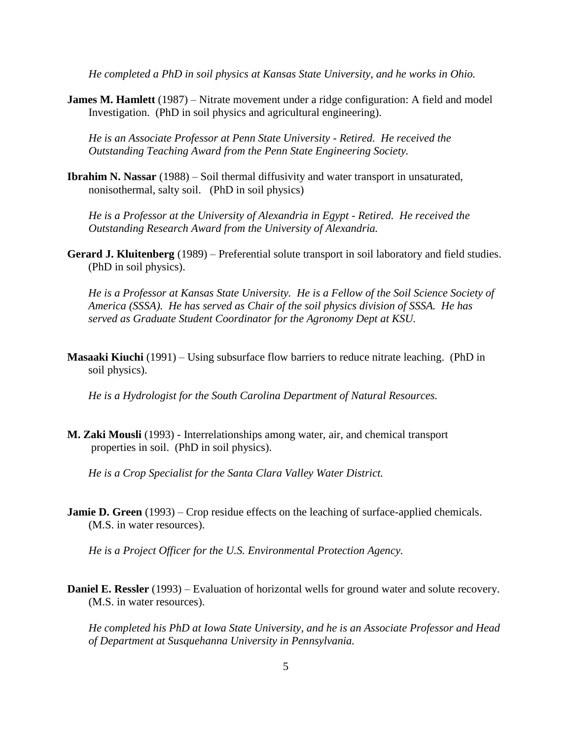*He completed a PhD in soil physics at Kansas State University, and he works in Ohio.*

**James M. Hamlett** (1987) – Nitrate movement under a ridge configuration: A field and model Investigation. (PhD in soil physics and agricultural engineering).

*He is an Associate Professor at Penn State University - Retired. He received the Outstanding Teaching Award from the Penn State Engineering Society.*

**Ibrahim N. Nassar** (1988) – Soil thermal diffusivity and water transport in unsaturated, nonisothermal, salty soil. (PhD in soil physics)

*He is a Professor at the University of Alexandria in Egypt - Retired. He received the Outstanding Research Award from the University of Alexandria.*

**Gerard J. Kluitenberg** (1989) – Preferential solute transport in soil laboratory and field studies. (PhD in soil physics).

*He is a Professor at Kansas State University. He is a Fellow of the Soil Science Society of America (SSSA). He has served as Chair of the soil physics division of SSSA. He has served as Graduate Student Coordinator for the Agronomy Dept at KSU.*

**Masaaki Kiuchi** (1991) – Using subsurface flow barriers to reduce nitrate leaching. (PhD in soil physics).

*He is a Hydrologist for the South Carolina Department of Natural Resources.*

**M. Zaki Mousli** (1993) - Interrelationships among water, air, and chemical transport properties in soil. (PhD in soil physics).

*He is a Crop Specialist for the Santa Clara Valley Water District.*

**Jamie D. Green** (1993) – Crop residue effects on the leaching of surface-applied chemicals. (M.S. in water resources).

*He is a Project Officer for the U.S. Environmental Protection Agency.*

**Daniel E. Ressler** (1993) – Evaluation of horizontal wells for ground water and solute recovery. (M.S. in water resources).

*He completed his PhD at Iowa State University, and he is an Associate Professor and Head of Department at Susquehanna University in Pennsylvania.*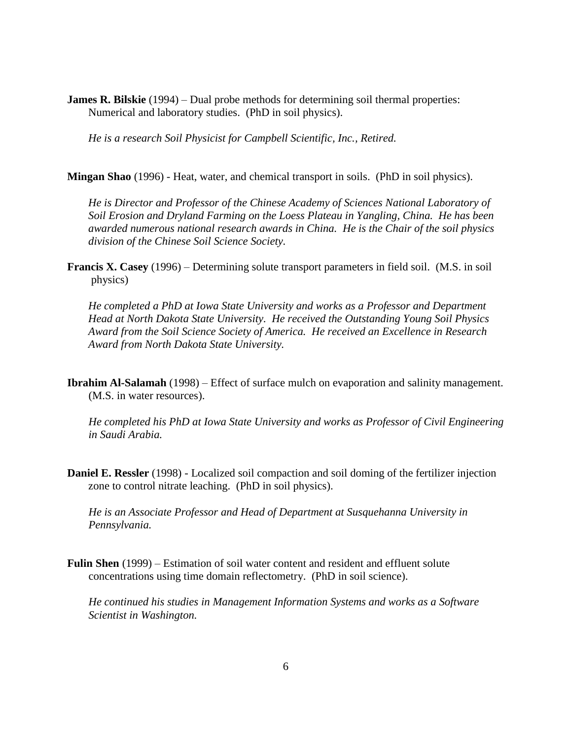**James R. Bilskie** (1994) – Dual probe methods for determining soil thermal properties: Numerical and laboratory studies. (PhD in soil physics).

*He is a research Soil Physicist for Campbell Scientific, Inc., Retired.*

**Mingan Shao** (1996) - Heat, water, and chemical transport in soils. (PhD in soil physics).

*He is Director and Professor of the Chinese Academy of Sciences National Laboratory of Soil Erosion and Dryland Farming on the Loess Plateau in Yangling, China. He has been awarded numerous national research awards in China. He is the Chair of the soil physics division of the Chinese Soil Science Society.*

**Francis X. Casey** (1996) – Determining solute transport parameters in field soil. (M.S. in soil physics)

*He completed a PhD at Iowa State University and works as a Professor and Department Head at North Dakota State University. He received the Outstanding Young Soil Physics Award from the Soil Science Society of America. He received an Excellence in Research Award from North Dakota State University.*

**Ibrahim Al-Salamah** (1998) – Effect of surface mulch on evaporation and salinity management. (M.S. in water resources).

*He completed his PhD at Iowa State University and works as Professor of Civil Engineering in Saudi Arabia.*

**Daniel E. Ressler** (1998) - Localized soil compaction and soil doming of the fertilizer injection zone to control nitrate leaching. (PhD in soil physics).

*He is an Associate Professor and Head of Department at Susquehanna University in Pennsylvania.*

**Fulin Shen** (1999) – Estimation of soil water content and resident and effluent solute concentrations using time domain reflectometry. (PhD in soil science).

*He continued his studies in Management Information Systems and works as a Software Scientist in Washington.*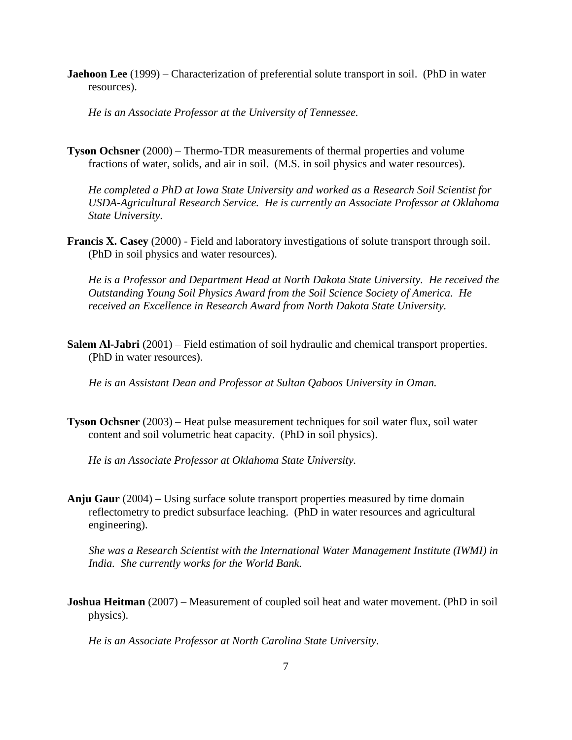**Jaehoon Lee** (1999) – Characterization of preferential solute transport in soil. (PhD in water resources).

*He is an Associate Professor at the University of Tennessee.*

**Tyson Ochsner** (2000) – Thermo-TDR measurements of thermal properties and volume fractions of water, solids, and air in soil. (M.S. in soil physics and water resources).

*He completed a PhD at Iowa State University and worked as a Research Soil Scientist for USDA-Agricultural Research Service. He is currently an Associate Professor at Oklahoma State University.*

**Francis X. Casey** (2000) - Field and laboratory investigations of solute transport through soil. (PhD in soil physics and water resources).

*He is a Professor and Department Head at North Dakota State University. He received the Outstanding Young Soil Physics Award from the Soil Science Society of America. He received an Excellence in Research Award from North Dakota State University.*

**Salem Al-Jabri** (2001) – Field estimation of soil hydraulic and chemical transport properties. (PhD in water resources).

*He is an Assistant Dean and Professor at Sultan Qaboos University in Oman.*

**Tyson Ochsner** (2003) – Heat pulse measurement techniques for soil water flux, soil water content and soil volumetric heat capacity. (PhD in soil physics).

*He is an Associate Professor at Oklahoma State University.*

**Anju Gaur** (2004) – Using surface solute transport properties measured by time domain reflectometry to predict subsurface leaching. (PhD in water resources and agricultural engineering).

*She was a Research Scientist with the International Water Management Institute (IWMI) in India. She currently works for the World Bank.*

**Joshua Heitman** (2007) – Measurement of coupled soil heat and water movement. (PhD in soil physics).

*He is an Associate Professor at North Carolina State University.*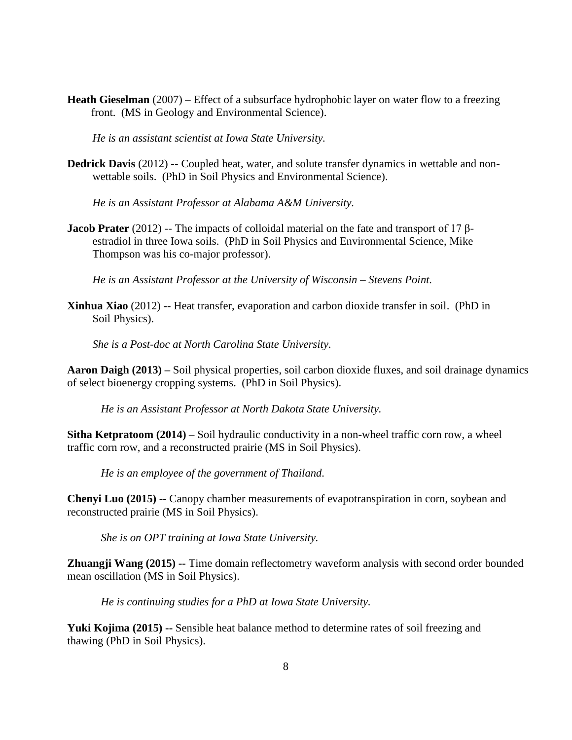**Heath Gieselman** (2007) – Effect of a subsurface hydrophobic layer on water flow to a freezing front. (MS in Geology and Environmental Science).

*He is an assistant scientist at Iowa State University.*

**Dedrick Davis** (2012) -- Coupled heat, water, and solute transfer dynamics in wettable and nonwettable soils. (PhD in Soil Physics and Environmental Science).

*He is an Assistant Professor at Alabama A&M University.*

**Jacob Prater** (2012) -- The impacts of colloidal material on the fate and transport of 17 βestradiol in three Iowa soils. (PhD in Soil Physics and Environmental Science, Mike Thompson was his co-major professor).

*He is an Assistant Professor at the University of Wisconsin – Stevens Point.*

**Xinhua Xiao** (2012) -- Heat transfer, evaporation and carbon dioxide transfer in soil. (PhD in Soil Physics).

*She is a Post-doc at North Carolina State University.*

**Aaron Daigh (2013) –** Soil physical properties, soil carbon dioxide fluxes, and soil drainage dynamics of select bioenergy cropping systems. (PhD in Soil Physics).

*He is an Assistant Professor at North Dakota State University.* 

**Sitha Ketpratoom (2014)** – Soil hydraulic conductivity in a non-wheel traffic corn row, a wheel traffic corn row, and a reconstructed prairie (MS in Soil Physics).

*He is an employee of the government of Thailand.*

**Chenyi Luo (2015) --** Canopy chamber measurements of evapotranspiration in corn, soybean and reconstructed prairie (MS in Soil Physics).

*She is on OPT training at Iowa State University.*

**Zhuangji Wang (2015) --** Time domain reflectometry waveform analysis with second order bounded mean oscillation (MS in Soil Physics).

*He is continuing studies for a PhD at Iowa State University.*

**Yuki Kojima (2015) --** Sensible heat balance method to determine rates of soil freezing and thawing (PhD in Soil Physics).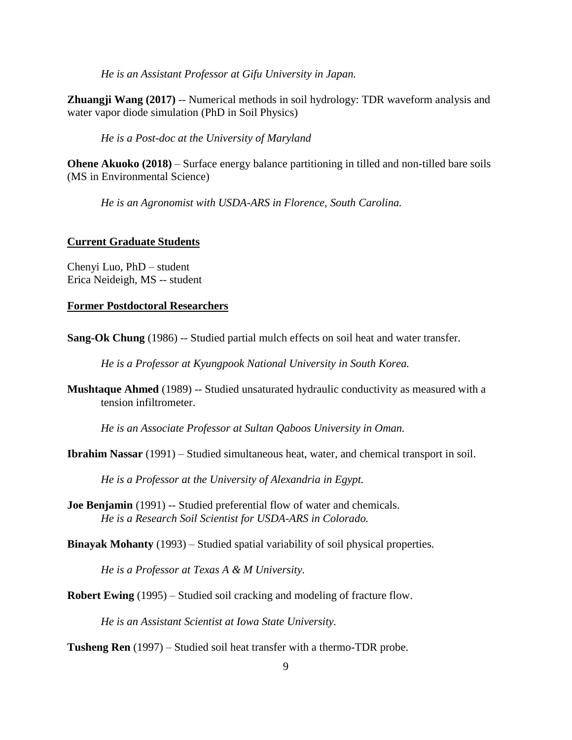*He is an Assistant Professor at Gifu University in Japan.*

**Zhuangji Wang (2017)** -- Numerical methods in soil hydrology: TDR waveform analysis and water vapor diode simulation (PhD in Soil Physics)

*He is a Post-doc at the University of Maryland* 

**Ohene Akuoko (2018)** – Surface energy balance partitioning in tilled and non-tilled bare soils (MS in Environmental Science)

*He is an Agronomist with USDA-ARS in Florence, South Carolina.*

#### **Current Graduate Students**

Chenyi Luo, PhD – student Erica Neideigh, MS -- student

#### **Former Postdoctoral Researchers**

**Sang-Ok Chung** (1986) -- Studied partial mulch effects on soil heat and water transfer.

*He is a Professor at Kyungpook National University in South Korea.*

**Mushtaque Ahmed** (1989) -- Studied unsaturated hydraulic conductivity as measured with a tension infiltrometer.

*He is an Associate Professor at Sultan Qaboos University in Oman.*

**Ibrahim Nassar** (1991) – Studied simultaneous heat, water, and chemical transport in soil.

*He is a Professor at the University of Alexandria in Egypt.*

**Joe Benjamin** (1991) -- Studied preferential flow of water and chemicals. *He is a Research Soil Scientist for USDA-ARS in Colorado.*

**Binayak Mohanty** (1993) – Studied spatial variability of soil physical properties.

*He is a Professor at Texas A & M University.*

**Robert Ewing** (1995) – Studied soil cracking and modeling of fracture flow.

*He is an Assistant Scientist at Iowa State University.*

**Tusheng Ren** (1997) – Studied soil heat transfer with a thermo-TDR probe.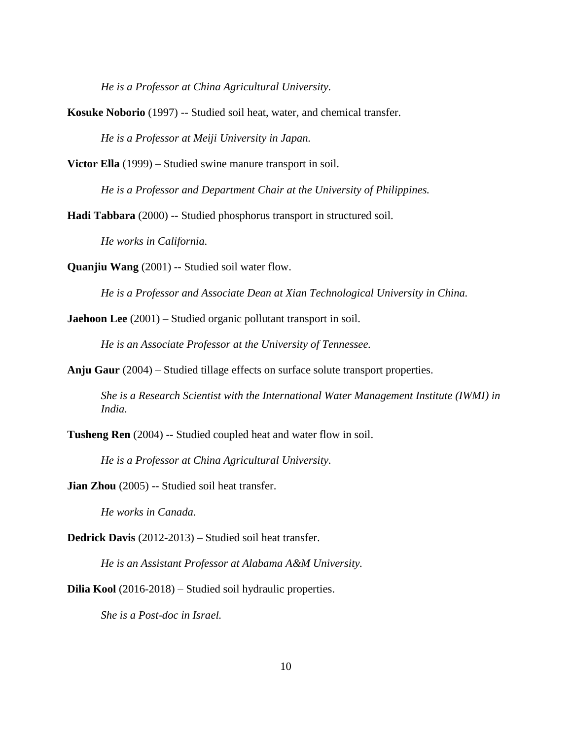*He is a Professor at China Agricultural University.*

**Kosuke Noborio** (1997) -- Studied soil heat, water, and chemical transfer. *He is a Professor at Meiji University in Japan.*

**Victor Ella** (1999) – Studied swine manure transport in soil.

*He is a Professor and Department Chair at the University of Philippines.*

**Hadi Tabbara** (2000) -- Studied phosphorus transport in structured soil.

*He works in California.*

**Quanjiu Wang** (2001) -- Studied soil water flow.

*He is a Professor and Associate Dean at Xian Technological University in China.*

**Jaehoon Lee** (2001) – Studied organic pollutant transport in soil.

*He is an Associate Professor at the University of Tennessee.*

**Anju Gaur** (2004) – Studied tillage effects on surface solute transport properties.

*She is a Research Scientist with the International Water Management Institute (IWMI) in India.* 

**Tusheng Ren** (2004) -- Studied coupled heat and water flow in soil.

*He is a Professor at China Agricultural University.*

**Jian Zhou** (2005) -- Studied soil heat transfer.

*He works in Canada.*

**Dedrick Davis** (2012-2013) – Studied soil heat transfer.

*He is an Assistant Professor at Alabama A&M University.*

**Dilia Kool** (2016-2018) – Studied soil hydraulic properties.

*She is a Post-doc in Israel.*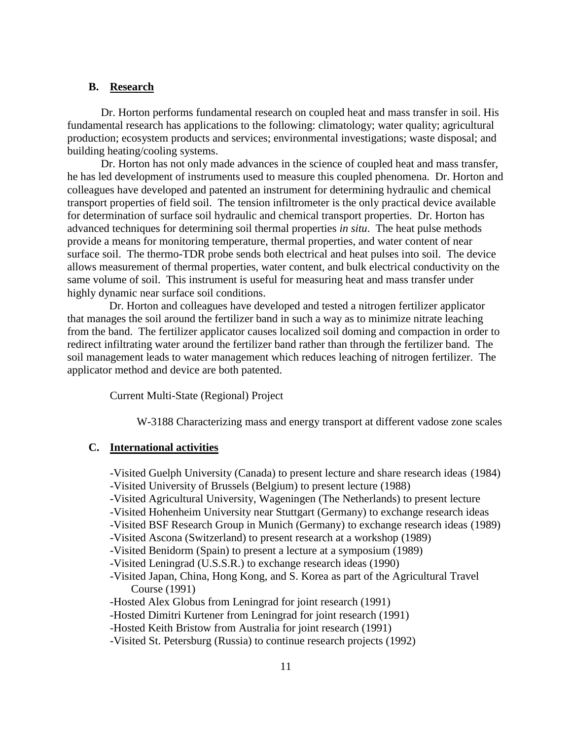#### **B. Research**

Dr. Horton performs fundamental research on coupled heat and mass transfer in soil. His fundamental research has applications to the following: climatology; water quality; agricultural production; ecosystem products and services; environmental investigations; waste disposal; and building heating/cooling systems.

Dr. Horton has not only made advances in the science of coupled heat and mass transfer, he has led development of instruments used to measure this coupled phenomena. Dr. Horton and colleagues have developed and patented an instrument for determining hydraulic and chemical transport properties of field soil. The tension infiltrometer is the only practical device available for determination of surface soil hydraulic and chemical transport properties. Dr. Horton has advanced techniques for determining soil thermal properties *in situ*. The heat pulse methods provide a means for monitoring temperature, thermal properties, and water content of near surface soil. The thermo-TDR probe sends both electrical and heat pulses into soil. The device allows measurement of thermal properties, water content, and bulk electrical conductivity on the same volume of soil. This instrument is useful for measuring heat and mass transfer under highly dynamic near surface soil conditions.

Dr. Horton and colleagues have developed and tested a nitrogen fertilizer applicator that manages the soil around the fertilizer band in such a way as to minimize nitrate leaching from the band. The fertilizer applicator causes localized soil doming and compaction in order to redirect infiltrating water around the fertilizer band rather than through the fertilizer band. The soil management leads to water management which reduces leaching of nitrogen fertilizer. The applicator method and device are both patented.

Current Multi-State (Regional) Project

W-3188 Characterizing mass and energy transport at different vadose zone scales

#### **C. International activities**

-Visited Guelph University (Canada) to present lecture and share research ideas (1984)

- -Visited University of Brussels (Belgium) to present lecture (1988)
- -Visited Agricultural University, Wageningen (The Netherlands) to present lecture
- -Visited Hohenheim University near Stuttgart (Germany) to exchange research ideas

-Visited BSF Research Group in Munich (Germany) to exchange research ideas (1989)

- -Visited Ascona (Switzerland) to present research at a workshop (1989)
- -Visited Benidorm (Spain) to present a lecture at a symposium (1989)
- -Visited Leningrad (U.S.S.R.) to exchange research ideas (1990)
- -Visited Japan, China, Hong Kong, and S. Korea as part of the Agricultural Travel Course (1991)
- -Hosted Alex Globus from Leningrad for joint research (1991)
- -Hosted Dimitri Kurtener from Leningrad for joint research (1991)
- -Hosted Keith Bristow from Australia for joint research (1991)
- -Visited St. Petersburg (Russia) to continue research projects (1992)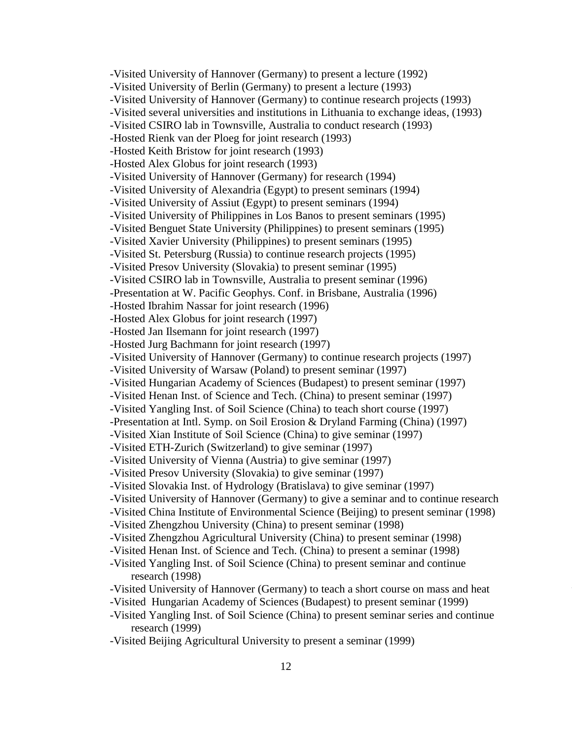-Visited University of Hannover (Germany) to present a lecture (1992) -Visited University of Berlin (Germany) to present a lecture (1993) -Visited University of Hannover (Germany) to continue research projects (1993) -Visited several universities and institutions in Lithuania to exchange ideas, (1993) -Visited CSIRO lab in Townsville, Australia to conduct research (1993) -Hosted Rienk van der Ploeg for joint research (1993) -Hosted Keith Bristow for joint research (1993) -Hosted Alex Globus for joint research (1993) -Visited University of Hannover (Germany) for research (1994) -Visited University of Alexandria (Egypt) to present seminars (1994) -Visited University of Assiut (Egypt) to present seminars (1994) -Visited University of Philippines in Los Banos to present seminars (1995) -Visited Benguet State University (Philippines) to present seminars (1995) -Visited Xavier University (Philippines) to present seminars (1995) -Visited St. Petersburg (Russia) to continue research projects (1995) -Visited Presov University (Slovakia) to present seminar (1995) -Visited CSIRO lab in Townsville, Australia to present seminar (1996) -Presentation at W. Pacific Geophys. Conf. in Brisbane, Australia (1996) -Hosted Ibrahim Nassar for joint research (1996) -Hosted Alex Globus for joint research (1997) -Hosted Jan Ilsemann for joint research (1997) -Hosted Jurg Bachmann for joint research (1997) -Visited University of Hannover (Germany) to continue research projects (1997) -Visited University of Warsaw (Poland) to present seminar (1997) -Visited Hungarian Academy of Sciences (Budapest) to present seminar (1997) -Visited Henan Inst. of Science and Tech. (China) to present seminar (1997) -Visited Yangling Inst. of Soil Science (China) to teach short course (1997) -Presentation at Intl. Symp. on Soil Erosion & Dryland Farming (China) (1997) -Visited Xian Institute of Soil Science (China) to give seminar (1997) -Visited ETH-Zurich (Switzerland) to give seminar (1997) -Visited University of Vienna (Austria) to give seminar (1997) -Visited Presov University (Slovakia) to give seminar (1997) -Visited Slovakia Inst. of Hydrology (Bratislava) to give seminar (1997) -Visited University of Hannover (Germany) to give a seminar and to continue research -Visited China Institute of Environmental Science (Beijing) to present seminar (1998) -Visited Zhengzhou University (China) to present seminar (1998) -Visited Zhengzhou Agricultural University (China) to present seminar (1998) -Visited Henan Inst. of Science and Tech. (China) to present a seminar (1998) -Visited Yangling Inst. of Soil Science (China) to present seminar and continue research (1998) -Visited University of Hannover (Germany) to teach a short course on mass and heat -Visited Hungarian Academy of Sciences (Budapest) to present seminar (1999)

- -Visited Yangling Inst. of Soil Science (China) to present seminar series and continue research (1999)
- -Visited Beijing Agricultural University to present a seminar (1999)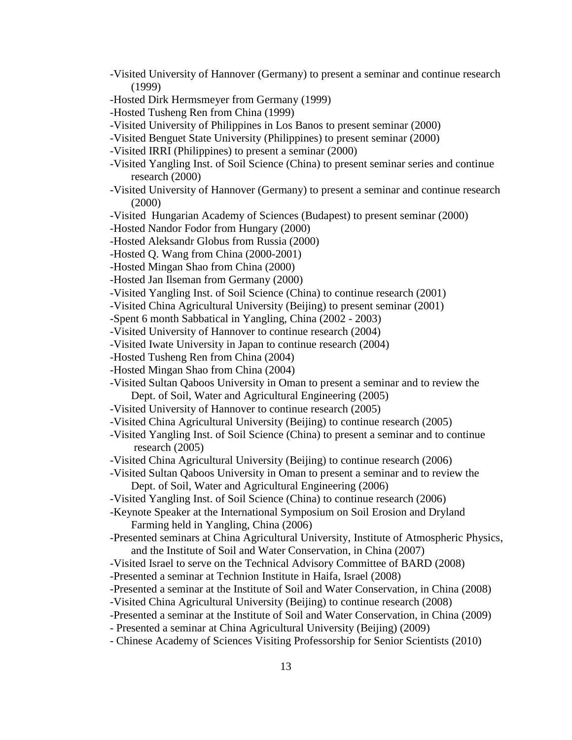- -Visited University of Hannover (Germany) to present a seminar and continue research (1999)
- -Hosted Dirk Hermsmeyer from Germany (1999)
- -Hosted Tusheng Ren from China (1999)
- -Visited University of Philippines in Los Banos to present seminar (2000)
- -Visited Benguet State University (Philippines) to present seminar (2000)
- -Visited IRRI (Philippines) to present a seminar (2000)
- -Visited Yangling Inst. of Soil Science (China) to present seminar series and continue research (2000)
- -Visited University of Hannover (Germany) to present a seminar and continue research (2000)
- -Visited Hungarian Academy of Sciences (Budapest) to present seminar (2000)
- -Hosted Nandor Fodor from Hungary (2000)
- -Hosted Aleksandr Globus from Russia (2000)
- -Hosted Q. Wang from China (2000-2001)
- -Hosted Mingan Shao from China (2000)
- -Hosted Jan Ilseman from Germany (2000)
- -Visited Yangling Inst. of Soil Science (China) to continue research (2001)
- -Visited China Agricultural University (Beijing) to present seminar (2001)
- -Spent 6 month Sabbatical in Yangling, China (2002 2003)
- -Visited University of Hannover to continue research (2004)
- -Visited Iwate University in Japan to continue research (2004)
- -Hosted Tusheng Ren from China (2004)
- -Hosted Mingan Shao from China (2004)
- -Visited Sultan Qaboos University in Oman to present a seminar and to review the Dept. of Soil, Water and Agricultural Engineering (2005)
- -Visited University of Hannover to continue research (2005)
- -Visited China Agricultural University (Beijing) to continue research (2005)
- -Visited Yangling Inst. of Soil Science (China) to present a seminar and to continue research (2005)
- -Visited China Agricultural University (Beijing) to continue research (2006)
- -Visited Sultan Qaboos University in Oman to present a seminar and to review the Dept. of Soil, Water and Agricultural Engineering (2006)
- -Visited Yangling Inst. of Soil Science (China) to continue research (2006)
- -Keynote Speaker at the International Symposium on Soil Erosion and Dryland Farming held in Yangling, China (2006)
- -Presented seminars at China Agricultural University, Institute of Atmospheric Physics, and the Institute of Soil and Water Conservation, in China (2007)
- -Visited Israel to serve on the Technical Advisory Committee of BARD (2008)
- -Presented a seminar at Technion Institute in Haifa, Israel (2008)
- -Presented a seminar at the Institute of Soil and Water Conservation, in China (2008)
- -Visited China Agricultural University (Beijing) to continue research (2008)
- -Presented a seminar at the Institute of Soil and Water Conservation, in China (2009)
- Presented a seminar at China Agricultural University (Beijing) (2009)
- Chinese Academy of Sciences Visiting Professorship for Senior Scientists (2010)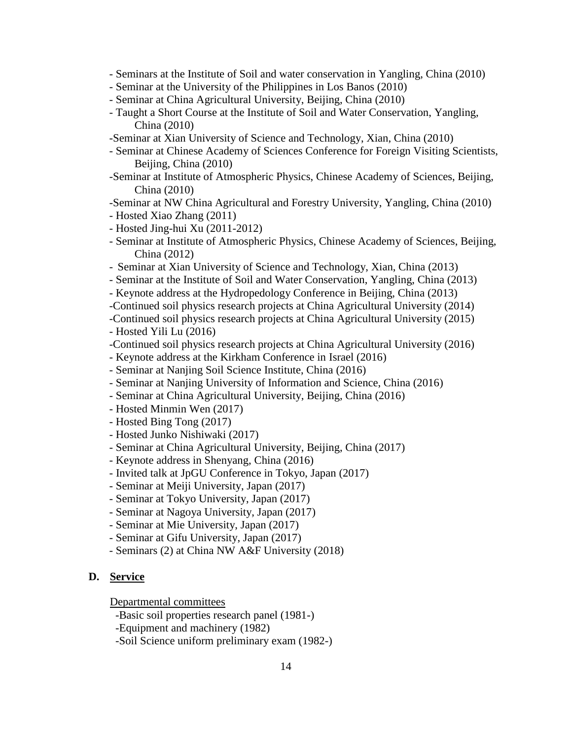- Seminars at the Institute of Soil and water conservation in Yangling, China (2010)
- Seminar at the University of the Philippines in Los Banos (2010)
- Seminar at China Agricultural University, Beijing, China (2010)
- Taught a Short Course at the Institute of Soil and Water Conservation, Yangling, China (2010)
- -Seminar at Xian University of Science and Technology, Xian, China (2010)
- Seminar at Chinese Academy of Sciences Conference for Foreign Visiting Scientists, Beijing, China (2010)
- -Seminar at Institute of Atmospheric Physics, Chinese Academy of Sciences, Beijing, China (2010)
- -Seminar at NW China Agricultural and Forestry University, Yangling, China (2010)
- Hosted Xiao Zhang (2011)
- Hosted Jing-hui Xu (2011-2012)
- Seminar at Institute of Atmospheric Physics, Chinese Academy of Sciences, Beijing, China (2012)
- Seminar at Xian University of Science and Technology, Xian, China (2013)
- Seminar at the Institute of Soil and Water Conservation, Yangling, China (2013)
- Keynote address at the Hydropedology Conference in Beijing, China (2013)
- -Continued soil physics research projects at China Agricultural University (2014)
- -Continued soil physics research projects at China Agricultural University (2015)
- Hosted Yili Lu (2016)
- -Continued soil physics research projects at China Agricultural University (2016)
- Keynote address at the Kirkham Conference in Israel (2016)
- Seminar at Nanjing Soil Science Institute, China (2016)
- Seminar at Nanjing University of Information and Science, China (2016)
- Seminar at China Agricultural University, Beijing, China (2016)
- Hosted Minmin Wen (2017)
- Hosted Bing Tong (2017)
- Hosted Junko Nishiwaki (2017)
- Seminar at China Agricultural University, Beijing, China (2017)
- Keynote address in Shenyang, China (2016)
- Invited talk at JpGU Conference in Tokyo, Japan (2017)
- Seminar at Meiji University, Japan (2017)
- Seminar at Tokyo University, Japan (2017)
- Seminar at Nagoya University, Japan (2017)
- Seminar at Mie University, Japan (2017)
- Seminar at Gifu University, Japan (2017)
- Seminars (2) at China NW A&F University (2018)

## **D. Service**

Departmental committees

-Basic soil properties research panel (1981-)

-Equipment and machinery (1982)

-Soil Science uniform preliminary exam (1982-)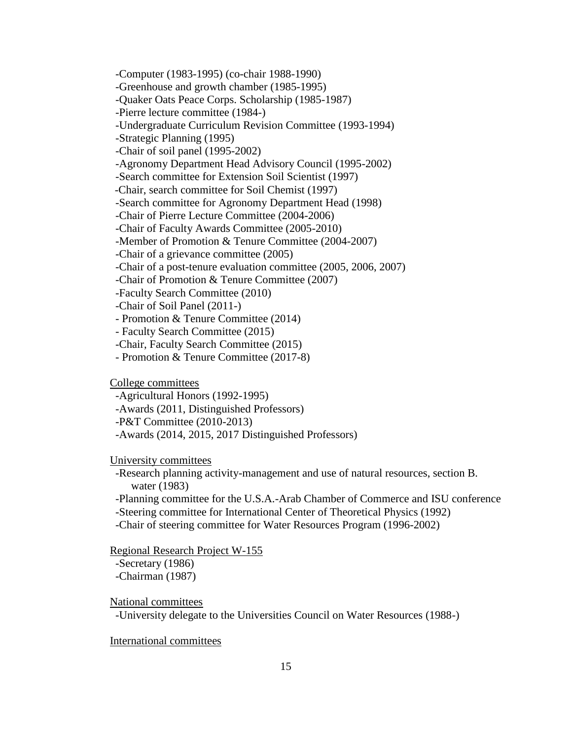-Computer (1983-1995) (co-chair 1988-1990) -Greenhouse and growth chamber (1985-1995) -Quaker Oats Peace Corps. Scholarship (1985-1987) -Pierre lecture committee (1984-) -Undergraduate Curriculum Revision Committee (1993-1994) -Strategic Planning (1995) -Chair of soil panel (1995-2002) -Agronomy Department Head Advisory Council (1995-2002) -Search committee for Extension Soil Scientist (1997) -Chair, search committee for Soil Chemist (1997) -Search committee for Agronomy Department Head (1998) -Chair of Pierre Lecture Committee (2004-2006) -Chair of Faculty Awards Committee (2005-2010) -Member of Promotion & Tenure Committee (2004-2007) -Chair of a grievance committee (2005) -Chair of a post-tenure evaluation committee (2005, 2006, 2007) -Chair of Promotion & Tenure Committee (2007) -Faculty Search Committee (2010) -Chair of Soil Panel (2011-) - Promotion & Tenure Committee (2014) - Faculty Search Committee (2015)

-Chair, Faculty Search Committee (2015)

- Promotion & Tenure Committee (2017-8)

College committees

-Agricultural Honors (1992-1995)

-Awards (2011, Distinguished Professors)

-P&T Committee (2010-2013)

-Awards (2014, 2015, 2017 Distinguished Professors)

University committees

 -Research planning activity-management and use of natural resources, section B. water (1983)

-Planning committee for the U.S.A.-Arab Chamber of Commerce and ISU conference -Steering committee for International Center of Theoretical Physics (1992)

-Chair of steering committee for Water Resources Program (1996-2002)

Regional Research Project W-155

-Secretary (1986)

-Chairman (1987)

National committees

-University delegate to the Universities Council on Water Resources (1988-)

International committees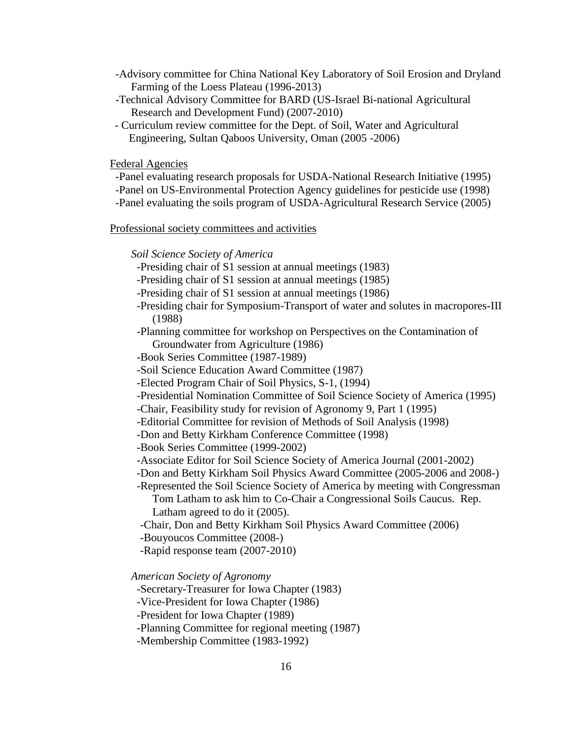- -Advisory committee for China National Key Laboratory of Soil Erosion and Dryland Farming of the Loess Plateau (1996-2013)
- -Technical Advisory Committee for BARD (US-Israel Bi-national Agricultural Research and Development Fund) (2007-2010)
- Curriculum review committee for the Dept. of Soil, Water and Agricultural Engineering, Sultan Qaboos University, Oman (2005 -2006)

Federal Agencies

- -Panel evaluating research proposals for USDA-National Research Initiative (1995)
- -Panel on US-Environmental Protection Agency guidelines for pesticide use (1998)
- -Panel evaluating the soils program of USDA-Agricultural Research Service (2005)

#### Professional society committees and activities

*Soil Science Society of America*

- -Presiding chair of S1 session at annual meetings (1983)
- -Presiding chair of S1 session at annual meetings (1985)
- -Presiding chair of S1 session at annual meetings (1986)
- -Presiding chair for Symposium-Transport of water and solutes in macropores-III (1988)
- -Planning committee for workshop on Perspectives on the Contamination of Groundwater from Agriculture (1986)
- -Book Series Committee (1987-1989)
- -Soil Science Education Award Committee (1987)
- -Elected Program Chair of Soil Physics, S-1, (1994)
- -Presidential Nomination Committee of Soil Science Society of America (1995)
- -Chair, Feasibility study for revision of Agronomy 9, Part 1 (1995)
- -Editorial Committee for revision of Methods of Soil Analysis (1998)
- -Don and Betty Kirkham Conference Committee (1998)
- -Book Series Committee (1999-2002)
- -Associate Editor for Soil Science Society of America Journal (2001-2002)
- -Don and Betty Kirkham Soil Physics Award Committee (2005-2006 and 2008-)
- -Represented the Soil Science Society of America by meeting with Congressman
	- Tom Latham to ask him to Co-Chair a Congressional Soils Caucus. Rep. Latham agreed to do it (2005).
- -Chair, Don and Betty Kirkham Soil Physics Award Committee (2006)
- -Bouyoucos Committee (2008-)
- -Rapid response team (2007-2010)

*American Society of Agronomy*

- -Secretary-Treasurer for Iowa Chapter (1983)
- -Vice-President for Iowa Chapter (1986)

-President for Iowa Chapter (1989)

-Planning Committee for regional meeting (1987)

-Membership Committee (1983-1992)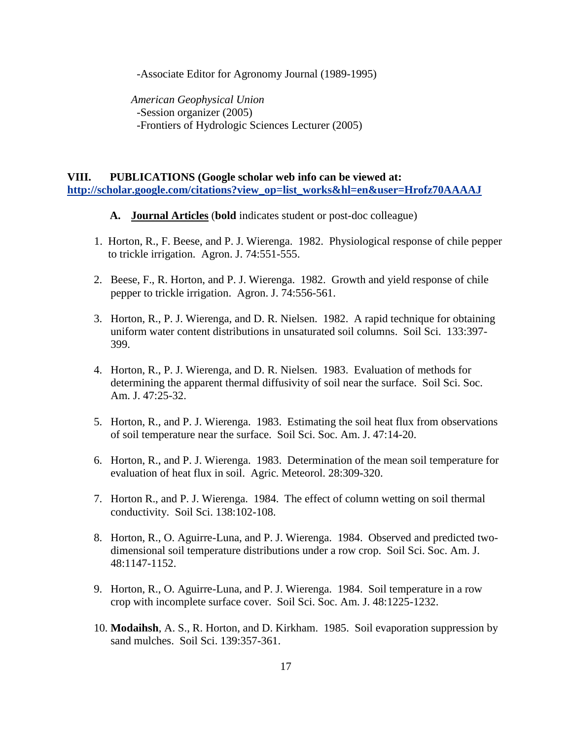-Associate Editor for Agronomy Journal (1989-1995)

*American Geophysical Union* -Session organizer (2005) -Frontiers of Hydrologic Sciences Lecturer (2005)

**VIII. PUBLICATIONS (Google scholar web info can be viewed at: [http://scholar.google.com/citations?view\\_op=list\\_works&hl=en&user=Hrofz70AAAAJ](http://scholar.google.com/citations?view_op=list_works&hl=en&user=Hrofz70AAAAJ)**

- **A. Journal Articles** (**bold** indicates student or post-doc colleague)
- 1. Horton, R., F. Beese, and P. J. Wierenga. 1982. Physiological response of chile pepper to trickle irrigation. Agron. J. 74:551-555.
- 2. Beese, F., R. Horton, and P. J. Wierenga. 1982. Growth and yield response of chile pepper to trickle irrigation. Agron. J. 74:556-561.
- 3. Horton, R., P. J. Wierenga, and D. R. Nielsen. 1982. A rapid technique for obtaining uniform water content distributions in unsaturated soil columns. Soil Sci. 133:397- 399.
- 4. Horton, R., P. J. Wierenga, and D. R. Nielsen. 1983. Evaluation of methods for determining the apparent thermal diffusivity of soil near the surface. Soil Sci. Soc. Am. J. 47:25-32.
- 5. Horton, R., and P. J. Wierenga. 1983. Estimating the soil heat flux from observations of soil temperature near the surface. Soil Sci. Soc. Am. J. 47:14-20.
- 6. Horton, R., and P. J. Wierenga. 1983. Determination of the mean soil temperature for evaluation of heat flux in soil. Agric. Meteorol. 28:309-320.
- 7. Horton R., and P. J. Wierenga. 1984. The effect of column wetting on soil thermal conductivity. Soil Sci. 138:102-108.
- 8. Horton, R., O. Aguirre-Luna, and P. J. Wierenga. 1984. Observed and predicted twodimensional soil temperature distributions under a row crop. Soil Sci. Soc. Am. J. 48:1147-1152.
- 9. Horton, R., O. Aguirre-Luna, and P. J. Wierenga. 1984. Soil temperature in a row crop with incomplete surface cover. Soil Sci. Soc. Am. J. 48:1225-1232.
- 10. **Modaihsh**, A. S., R. Horton, and D. Kirkham. 1985. Soil evaporation suppression by sand mulches. Soil Sci. 139:357-361.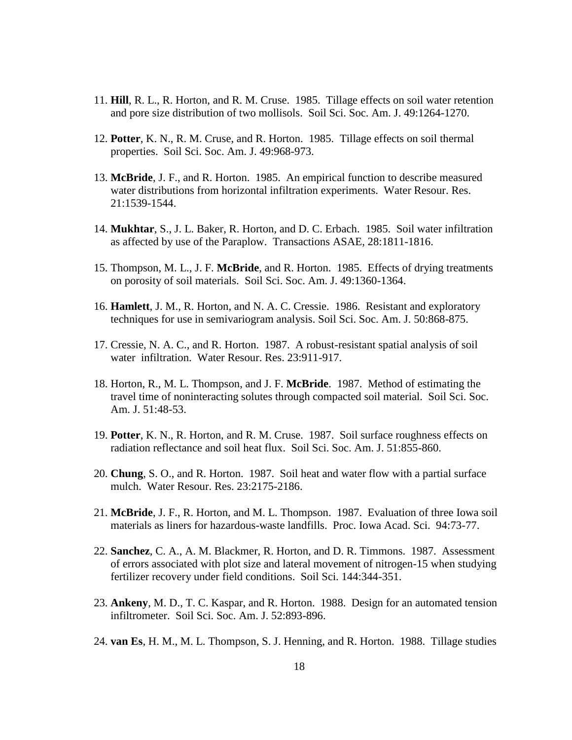- 11. **Hill**, R. L., R. Horton, and R. M. Cruse. 1985. Tillage effects on soil water retention and pore size distribution of two mollisols. Soil Sci. Soc. Am. J. 49:1264-1270.
- 12. **Potter**, K. N., R. M. Cruse, and R. Horton. 1985. Tillage effects on soil thermal properties. Soil Sci. Soc. Am. J. 49:968-973.
- 13. **McBride**, J. F., and R. Horton. 1985. An empirical function to describe measured water distributions from horizontal infiltration experiments. Water Resour. Res. 21:1539-1544.
- 14. **Mukhtar**, S., J. L. Baker, R. Horton, and D. C. Erbach. 1985. Soil water infiltration as affected by use of the Paraplow. Transactions ASAE, 28:1811-1816.
- 15. Thompson, M. L., J. F. **McBride**, and R. Horton. 1985. Effects of drying treatments on porosity of soil materials. Soil Sci. Soc. Am. J. 49:1360-1364.
- 16. **Hamlett**, J. M., R. Horton, and N. A. C. Cressie. 1986. Resistant and exploratory techniques for use in semivariogram analysis. Soil Sci. Soc. Am. J. 50:868-875.
- 17. Cressie, N. A. C., and R. Horton. 1987. A robust-resistant spatial analysis of soil water infiltration. Water Resour. Res. 23:911-917.
- 18. Horton, R., M. L. Thompson, and J. F. **McBride**. 1987. Method of estimating the travel time of noninteracting solutes through compacted soil material. Soil Sci. Soc. Am. J. 51:48-53.
- 19. **Potter**, K. N., R. Horton, and R. M. Cruse. 1987. Soil surface roughness effects on radiation reflectance and soil heat flux. Soil Sci. Soc. Am. J. 51:855-860.
- 20. **Chung**, S. O., and R. Horton. 1987. Soil heat and water flow with a partial surface mulch. Water Resour. Res. 23:2175-2186.
- 21. **McBride**, J. F., R. Horton, and M. L. Thompson. 1987. Evaluation of three Iowa soil materials as liners for hazardous-waste landfills. Proc. Iowa Acad. Sci. 94:73-77.
- 22. **Sanchez**, C. A., A. M. Blackmer, R. Horton, and D. R. Timmons. 1987. Assessment of errors associated with plot size and lateral movement of nitrogen-15 when studying fertilizer recovery under field conditions. Soil Sci. 144:344-351.
- 23. **Ankeny**, M. D., T. C. Kaspar, and R. Horton. 1988. Design for an automated tension infiltrometer. Soil Sci. Soc. Am. J. 52:893-896.
- 24. **van Es**, H. M., M. L. Thompson, S. J. Henning, and R. Horton. 1988. Tillage studies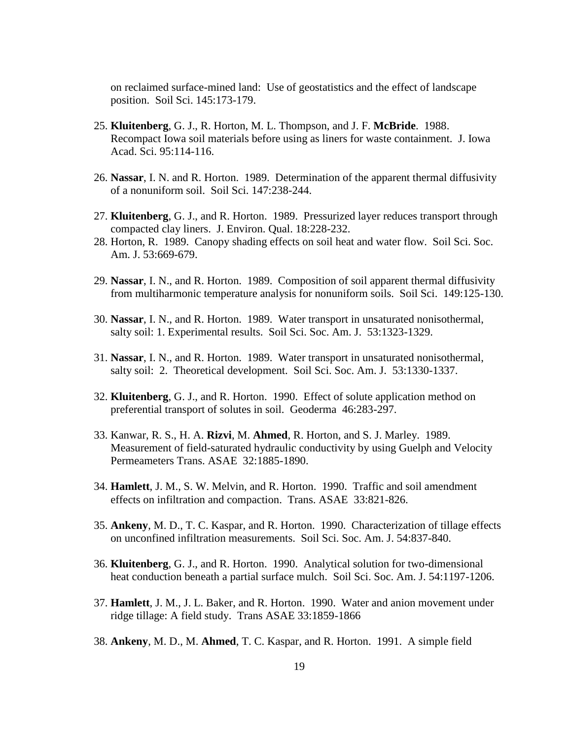on reclaimed surface-mined land: Use of geostatistics and the effect of landscape position. Soil Sci. 145:173-179.

- 25. **Kluitenberg**, G. J., R. Horton, M. L. Thompson, and J. F. **McBride**. 1988. Recompact Iowa soil materials before using as liners for waste containment. J. Iowa Acad. Sci. 95:114-116.
- 26. **Nassar**, I. N. and R. Horton. 1989. Determination of the apparent thermal diffusivity of a nonuniform soil. Soil Sci. 147:238-244.
- 27. **Kluitenberg**, G. J., and R. Horton. 1989. Pressurized layer reduces transport through compacted clay liners. J. Environ. Qual. 18:228-232.
- 28. Horton, R. 1989. Canopy shading effects on soil heat and water flow. Soil Sci. Soc. Am. J. 53:669-679.
- 29. **Nassar**, I. N., and R. Horton. 1989. Composition of soil apparent thermal diffusivity from multiharmonic temperature analysis for nonuniform soils. Soil Sci. 149:125-130.
- 30. **Nassar**, I. N., and R. Horton. 1989. Water transport in unsaturated nonisothermal, salty soil: 1. Experimental results. Soil Sci. Soc. Am. J. 53:1323-1329.
- 31. **Nassar**, I. N., and R. Horton. 1989. Water transport in unsaturated nonisothermal, salty soil: 2. Theoretical development. Soil Sci. Soc. Am. J. 53:1330-1337.
- 32. **Kluitenberg**, G. J., and R. Horton. 1990. Effect of solute application method on preferential transport of solutes in soil. Geoderma 46:283-297.
- 33. Kanwar, R. S., H. A. **Rizvi**, M. **Ahmed**, R. Horton, and S. J. Marley. 1989. Measurement of field-saturated hydraulic conductivity by using Guelph and Velocity Permeameters Trans. ASAE 32:1885-1890.
- 34. **Hamlett**, J. M., S. W. Melvin, and R. Horton. 1990. Traffic and soil amendment effects on infiltration and compaction. Trans. ASAE 33:821-826.
- 35. **Ankeny**, M. D., T. C. Kaspar, and R. Horton. 1990. Characterization of tillage effects on unconfined infiltration measurements. Soil Sci. Soc. Am. J. 54:837-840.
- 36. **Kluitenberg**, G. J., and R. Horton. 1990. Analytical solution for two-dimensional heat conduction beneath a partial surface mulch. Soil Sci. Soc. Am. J. 54:1197-1206.
- 37. **Hamlett**, J. M., J. L. Baker, and R. Horton. 1990. Water and anion movement under ridge tillage: A field study. Trans ASAE 33:1859-1866
- 38. **Ankeny**, M. D., M. **Ahmed**, T. C. Kaspar, and R. Horton. 1991. A simple field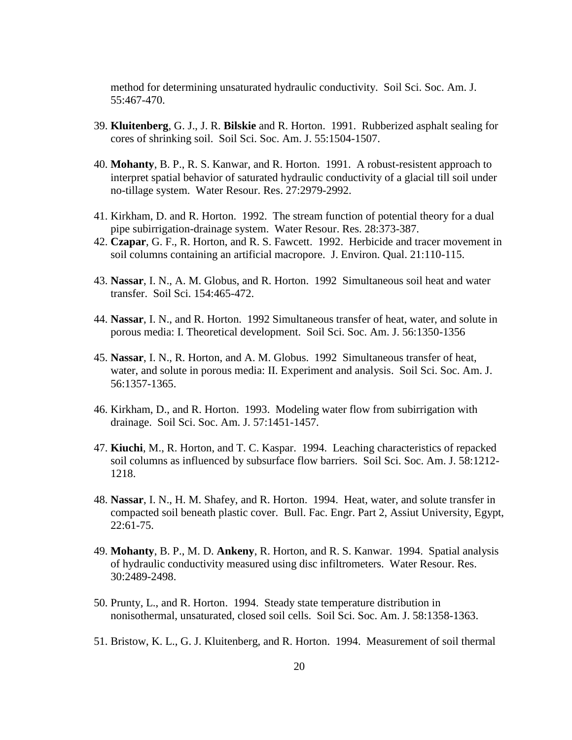method for determining unsaturated hydraulic conductivity. Soil Sci. Soc. Am. J. 55:467-470.

- 39. **Kluitenberg**, G. J., J. R. **Bilskie** and R. Horton. 1991. Rubberized asphalt sealing for cores of shrinking soil. Soil Sci. Soc. Am. J. 55:1504-1507.
- 40. **Mohanty**, B. P., R. S. Kanwar, and R. Horton. 1991. A robust-resistent approach to interpret spatial behavior of saturated hydraulic conductivity of a glacial till soil under no-tillage system. Water Resour. Res. 27:2979-2992.
- 41. Kirkham, D. and R. Horton. 1992. The stream function of potential theory for a dual pipe subirrigation-drainage system. Water Resour. Res. 28:373-387.
- 42. **Czapar**, G. F., R. Horton, and R. S. Fawcett. 1992. Herbicide and tracer movement in soil columns containing an artificial macropore. J. Environ. Qual. 21:110-115.
- 43. **Nassar**, I. N., A. M. Globus, and R. Horton. 1992 Simultaneous soil heat and water transfer. Soil Sci. 154:465-472.
- 44. **Nassar**, I. N., and R. Horton. 1992 Simultaneous transfer of heat, water, and solute in porous media: I. Theoretical development. Soil Sci. Soc. Am. J. 56:1350-1356
- 45. **Nassar**, I. N., R. Horton, and A. M. Globus. 1992 Simultaneous transfer of heat, water, and solute in porous media: II. Experiment and analysis. Soil Sci. Soc. Am. J. 56:1357-1365.
- 46. Kirkham, D., and R. Horton. 1993. Modeling water flow from subirrigation with drainage. Soil Sci. Soc. Am. J. 57:1451-1457.
- 47. **Kiuchi**, M., R. Horton, and T. C. Kaspar. 1994. Leaching characteristics of repacked soil columns as influenced by subsurface flow barriers. Soil Sci. Soc. Am. J. 58:1212- 1218.
- 48. **Nassar**, I. N., H. M. Shafey, and R. Horton. 1994. Heat, water, and solute transfer in compacted soil beneath plastic cover. Bull. Fac. Engr. Part 2, Assiut University, Egypt,  $22:61-75.$
- 49. **Mohanty**, B. P., M. D. **Ankeny**, R. Horton, and R. S. Kanwar. 1994. Spatial analysis of hydraulic conductivity measured using disc infiltrometers. Water Resour. Res. 30:2489-2498.
- 50. Prunty, L., and R. Horton. 1994. Steady state temperature distribution in nonisothermal, unsaturated, closed soil cells. Soil Sci. Soc. Am. J. 58:1358-1363.
- 51. Bristow, K. L., G. J. Kluitenberg, and R. Horton. 1994. Measurement of soil thermal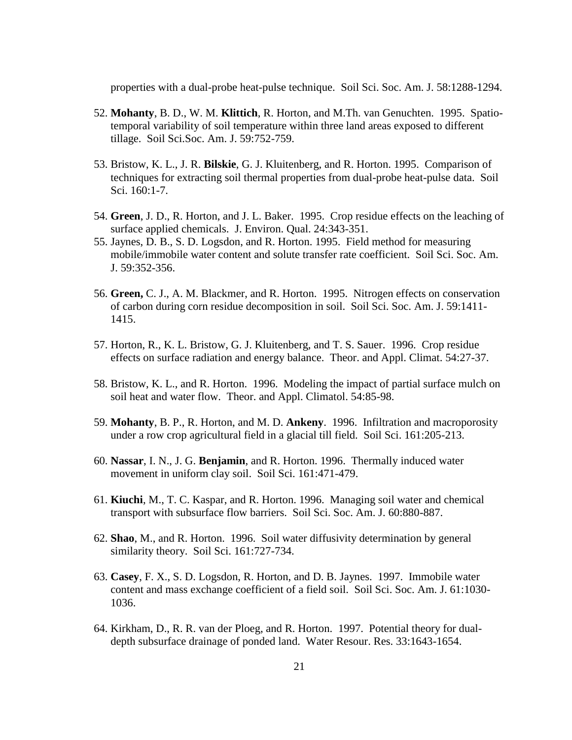properties with a dual-probe heat-pulse technique. Soil Sci. Soc. Am. J. 58:1288-1294.

- 52. **Mohanty**, B. D., W. M. **Klittich**, R. Horton, and M.Th. van Genuchten. 1995. Spatiotemporal variability of soil temperature within three land areas exposed to different tillage. Soil Sci.Soc. Am. J. 59:752-759.
- 53. Bristow, K. L., J. R. **Bilskie**, G. J. Kluitenberg, and R. Horton. 1995. Comparison of techniques for extracting soil thermal properties from dual-probe heat-pulse data. Soil Sci. 160:1-7.
- 54. **Green**, J. D., R. Horton, and J. L. Baker. 1995. Crop residue effects on the leaching of surface applied chemicals. J. Environ. Qual. 24:343-351.
- 55. Jaynes, D. B., S. D. Logsdon, and R. Horton. 1995. Field method for measuring mobile/immobile water content and solute transfer rate coefficient. Soil Sci. Soc. Am. J. 59:352-356.
- 56. **Green,** C. J., A. M. Blackmer, and R. Horton. 1995. Nitrogen effects on conservation of carbon during corn residue decomposition in soil. Soil Sci. Soc. Am. J. 59:1411- 1415.
- 57. Horton, R., K. L. Bristow, G. J. Kluitenberg, and T. S. Sauer. 1996. Crop residue effects on surface radiation and energy balance. Theor. and Appl. Climat. 54:27-37.
- 58. Bristow, K. L., and R. Horton. 1996. Modeling the impact of partial surface mulch on soil heat and water flow. Theor. and Appl. Climatol. 54:85-98.
- 59. **Mohanty**, B. P., R. Horton, and M. D. **Ankeny**. 1996. Infiltration and macroporosity under a row crop agricultural field in a glacial till field. Soil Sci. 161:205-213.
- 60. **Nassar**, I. N., J. G. **Benjamin**, and R. Horton. 1996. Thermally induced water movement in uniform clay soil. Soil Sci. 161:471-479.
- 61. **Kiuchi**, M., T. C. Kaspar, and R. Horton. 1996. Managing soil water and chemical transport with subsurface flow barriers. Soil Sci. Soc. Am. J. 60:880-887.
- 62. **Shao**, M., and R. Horton. 1996. Soil water diffusivity determination by general similarity theory. Soil Sci. 161:727-734.
- 63. **Casey**, F. X., S. D. Logsdon, R. Horton, and D. B. Jaynes. 1997. Immobile water content and mass exchange coefficient of a field soil. Soil Sci. Soc. Am. J. 61:1030- 1036.
- 64. Kirkham, D., R. R. van der Ploeg, and R. Horton. 1997. Potential theory for dualdepth subsurface drainage of ponded land. Water Resour. Res. 33:1643-1654.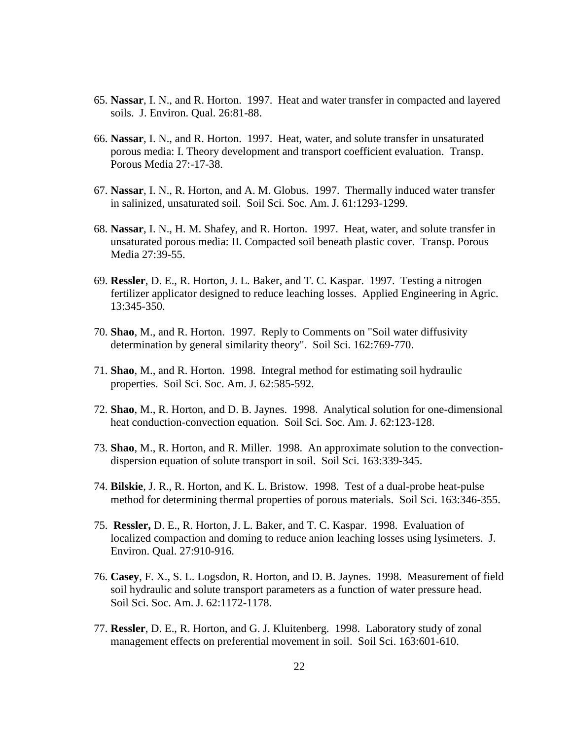- 65. **Nassar**, I. N., and R. Horton. 1997. Heat and water transfer in compacted and layered soils. J. Environ. Qual. 26:81-88.
- 66. **Nassar**, I. N., and R. Horton. 1997. Heat, water, and solute transfer in unsaturated porous media: I. Theory development and transport coefficient evaluation. Transp. Porous Media 27:-17-38.
- 67. **Nassar**, I. N., R. Horton, and A. M. Globus. 1997. Thermally induced water transfer in salinized, unsaturated soil. Soil Sci. Soc. Am. J. 61:1293-1299.
- 68. **Nassar**, I. N., H. M. Shafey, and R. Horton. 1997. Heat, water, and solute transfer in unsaturated porous media: II. Compacted soil beneath plastic cover. Transp. Porous Media 27:39-55.
- 69. **Ressler**, D. E., R. Horton, J. L. Baker, and T. C. Kaspar. 1997. Testing a nitrogen fertilizer applicator designed to reduce leaching losses. Applied Engineering in Agric. 13:345-350.
- 70. **Shao**, M., and R. Horton. 1997. Reply to Comments on "Soil water diffusivity determination by general similarity theory". Soil Sci. 162:769-770.
- 71. **Shao**, M., and R. Horton. 1998. Integral method for estimating soil hydraulic properties. Soil Sci. Soc. Am. J. 62:585-592.
- 72. **Shao**, M., R. Horton, and D. B. Jaynes. 1998. Analytical solution for one-dimensional heat conduction-convection equation. Soil Sci. Soc. Am. J. 62:123-128.
- 73. **Shao**, M., R. Horton, and R. Miller. 1998. An approximate solution to the convectiondispersion equation of solute transport in soil. Soil Sci. 163:339-345.
- 74. **Bilskie**, J. R., R. Horton, and K. L. Bristow. 1998. Test of a dual-probe heat-pulse method for determining thermal properties of porous materials. Soil Sci. 163:346-355.
- 75. **Ressler,** D. E., R. Horton, J. L. Baker, and T. C. Kaspar. 1998. Evaluation of localized compaction and doming to reduce anion leaching losses using lysimeters. J. Environ. Qual. 27:910-916.
- 76. **Casey**, F. X., S. L. Logsdon, R. Horton, and D. B. Jaynes. 1998. Measurement of field soil hydraulic and solute transport parameters as a function of water pressure head. Soil Sci. Soc. Am. J. 62:1172-1178.
- 77. **Ressler**, D. E., R. Horton, and G. J. Kluitenberg. 1998. Laboratory study of zonal management effects on preferential movement in soil. Soil Sci. 163:601-610.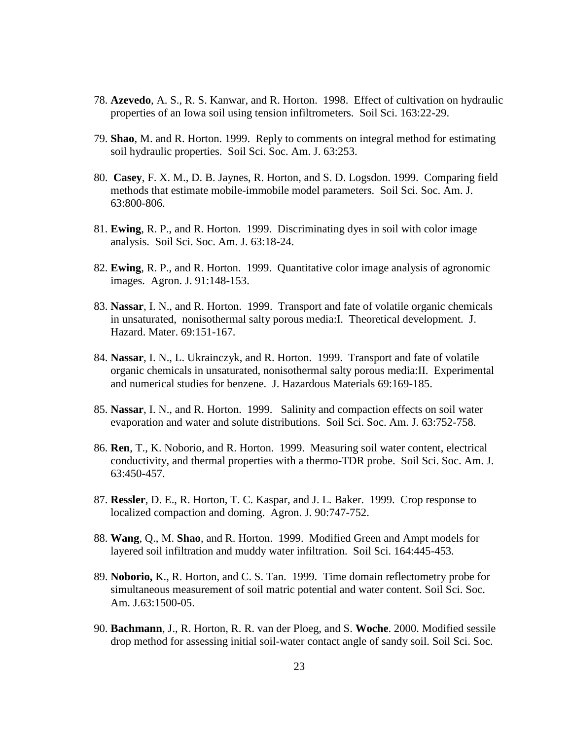- 78. **Azevedo**, A. S., R. S. Kanwar, and R. Horton. 1998. Effect of cultivation on hydraulic properties of an Iowa soil using tension infiltrometers. Soil Sci. 163:22-29.
- 79. **Shao**, M. and R. Horton. 1999. Reply to comments on integral method for estimating soil hydraulic properties. Soil Sci. Soc. Am. J. 63:253.
- 80. **Casey**, F. X. M., D. B. Jaynes, R. Horton, and S. D. Logsdon. 1999. Comparing field methods that estimate mobile-immobile model parameters. Soil Sci. Soc. Am. J. 63:800-806.
- 81. **Ewing**, R. P., and R. Horton. 1999. Discriminating dyes in soil with color image analysis. Soil Sci. Soc. Am. J. 63:18-24.
- 82. **Ewing**, R. P., and R. Horton. 1999. Quantitative color image analysis of agronomic images. Agron. J. 91:148-153.
- 83. **Nassar**, I. N., and R. Horton. 1999. Transport and fate of volatile organic chemicals in unsaturated, nonisothermal salty porous media:I. Theoretical development. J. Hazard. Mater. 69:151-167.
- 84. **Nassar**, I. N., L. Ukrainczyk, and R. Horton. 1999. Transport and fate of volatile organic chemicals in unsaturated, nonisothermal salty porous media:II. Experimental and numerical studies for benzene. J. Hazardous Materials 69:169-185.
- 85. **Nassar**, I. N., and R. Horton. 1999. Salinity and compaction effects on soil water evaporation and water and solute distributions. Soil Sci. Soc. Am. J. 63:752-758.
- 86. **Ren**, T., K. Noborio, and R. Horton. 1999. Measuring soil water content, electrical conductivity, and thermal properties with a thermo-TDR probe. Soil Sci. Soc. Am. J. 63:450-457.
- 87. **Ressler**, D. E., R. Horton, T. C. Kaspar, and J. L. Baker. 1999. Crop response to localized compaction and doming. Agron. J. 90:747-752.
- 88. **Wang**, Q., M. **Shao**, and R. Horton. 1999. Modified Green and Ampt models for layered soil infiltration and muddy water infiltration. Soil Sci. 164:445-453.
- 89. **Noborio,** K., R. Horton, and C. S. Tan. 1999. Time domain reflectometry probe for simultaneous measurement of soil matric potential and water content. Soil Sci. Soc. Am. J.63:1500-05.
- 90. **Bachmann**, J., R. Horton, R. R. van der Ploeg, and S. **Woche**. 2000. Modified sessile drop method for assessing initial soil-water contact angle of sandy soil. Soil Sci. Soc.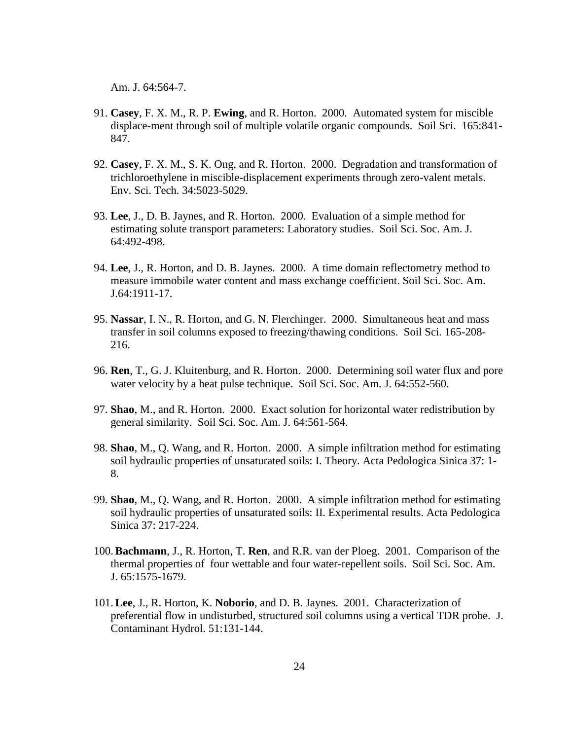Am. J. 64:564-7.

- 91. **Casey**, F. X. M., R. P. **Ewing**, and R. Horton. 2000. Automated system for miscible displace-ment through soil of multiple volatile organic compounds. Soil Sci. 165:841- 847.
- 92. **Casey**, F. X. M., S. K. Ong, and R. Horton. 2000. Degradation and transformation of trichloroethylene in miscible-displacement experiments through zero-valent metals. Env. Sci. Tech. 34:5023-5029.
- 93. **Lee**, J., D. B. Jaynes, and R. Horton. 2000. Evaluation of a simple method for estimating solute transport parameters: Laboratory studies. Soil Sci. Soc. Am. J. 64:492-498.
- 94. **Lee**, J., R. Horton, and D. B. Jaynes. 2000. A time domain reflectometry method to measure immobile water content and mass exchange coefficient. Soil Sci. Soc. Am. J.64:1911-17.
- 95. **Nassar**, I. N., R. Horton, and G. N. Flerchinger. 2000. Simultaneous heat and mass transfer in soil columns exposed to freezing/thawing conditions. Soil Sci. 165-208- 216.
- 96. **Ren**, T., G. J. Kluitenburg, and R. Horton. 2000. Determining soil water flux and pore water velocity by a heat pulse technique. Soil Sci. Soc. Am. J. 64:552-560.
- 97. **Shao**, M., and R. Horton. 2000. Exact solution for horizontal water redistribution by general similarity. Soil Sci. Soc. Am. J. 64:561-564.
- 98. **Shao**, M., Q. Wang, and R. Horton. 2000. A simple infiltration method for estimating soil hydraulic properties of unsaturated soils: I. Theory. Acta Pedologica Sinica 37: 1- 8.
- 99. **Shao**, M., Q. Wang, and R. Horton. 2000. A simple infiltration method for estimating soil hydraulic properties of unsaturated soils: II. Experimental results. Acta Pedologica Sinica 37: 217-224.
- 100.**Bachmann**, J., R. Horton, T. **Ren**, and R.R. van der Ploeg. 2001. Comparison of the thermal properties of four wettable and four water-repellent soils. Soil Sci. Soc. Am. J. 65:1575-1679.
- 101.**Lee**, J., R. Horton, K. **Noborio**, and D. B. Jaynes. 2001. Characterization of preferential flow in undisturbed, structured soil columns using a vertical TDR probe. J. Contaminant Hydrol. 51:131-144.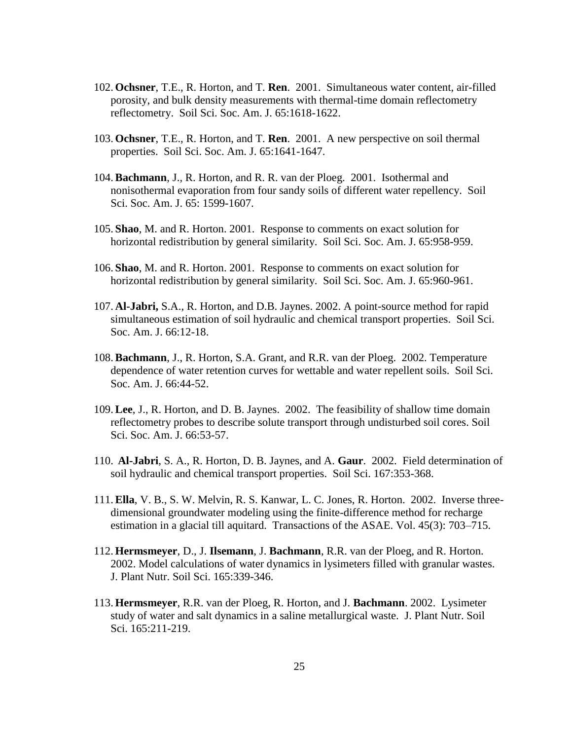- 102. **Ochsner**, T.E., R. Horton, and T. **Ren**. 2001. Simultaneous water content, air-filled porosity, and bulk density measurements with thermal-time domain reflectometry reflectometry. Soil Sci. Soc. Am. J. 65:1618-1622.
- 103. **Ochsner**, T.E., R. Horton, and T. **Ren**. 2001. A new perspective on soil thermal properties. Soil Sci. Soc. Am. J. 65:1641-1647.
- 104.**Bachmann**, J., R. Horton, and R. R. van der Ploeg. 2001. Isothermal and nonisothermal evaporation from four sandy soils of different water repellency. Soil Sci. Soc. Am. J. 65: 1599-1607.
- 105. **Shao**, M. and R. Horton. 2001. Response to comments on exact solution for horizontal redistribution by general similarity. Soil Sci. Soc. Am. J. 65:958-959.
- 106. **Shao**, M. and R. Horton. 2001. Response to comments on exact solution for horizontal redistribution by general similarity. Soil Sci. Soc. Am. J. 65:960-961.
- 107. **Al-Jabri,** S.A., R. Horton, and D.B. Jaynes. 2002. A point-source method for rapid simultaneous estimation of soil hydraulic and chemical transport properties. Soil Sci. Soc. Am. J. 66:12-18.
- 108.**Bachmann**, J., R. Horton, S.A. Grant, and R.R. van der Ploeg. 2002. Temperature dependence of water retention curves for wettable and water repellent soils. Soil Sci. Soc. Am. J. 66:44-52.
- 109.**Lee**, J., R. Horton, and D. B. Jaynes. 2002. The feasibility of shallow time domain reflectometry probes to describe solute transport through undisturbed soil cores. Soil Sci. Soc. Am. J. 66:53-57.
- 110. **Al-Jabri**, S. A., R. Horton, D. B. Jaynes, and A. **Gaur**. 2002. Field determination of soil hydraulic and chemical transport properties. Soil Sci. 167:353-368.
- 111.**Ella**, V. B., S. W. Melvin, R. S. Kanwar, L. C. Jones, R. Horton. 2002. Inverse threedimensional groundwater modeling using the finite-difference method for recharge estimation in a glacial till aquitard. Transactions of the ASAE. Vol. 45(3): 703–715.
- 112. **Hermsmeyer**, D., J. **Ilsemann**, J. **Bachmann**, R.R. van der Ploeg, and R. Horton. 2002. Model calculations of water dynamics in lysimeters filled with granular wastes. J. Plant Nutr. Soil Sci. 165:339-346.
- 113. **Hermsmeyer**, R.R. van der Ploeg, R. Horton, and J. **Bachmann**. 2002. Lysimeter study of water and salt dynamics in a saline metallurgical waste. J. Plant Nutr. Soil Sci. 165:211-219.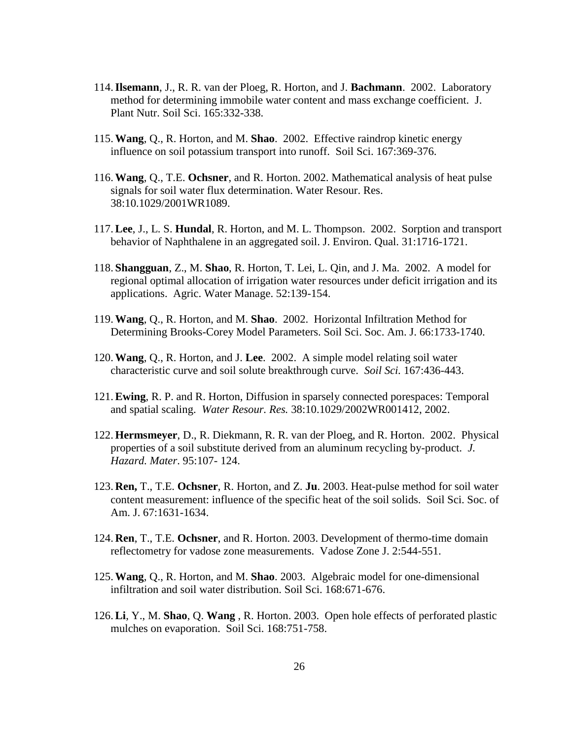- 114.**Ilsemann**, J., R. R. van der Ploeg, R. Horton, and J. **Bachmann**. 2002. Laboratory method for determining immobile water content and mass exchange coefficient. J. Plant Nutr. Soil Sci. 165:332-338.
- 115.**Wang**, Q., R. Horton, and M. **Shao**. 2002. Effective raindrop kinetic energy influence on soil potassium transport into runoff. Soil Sci. 167:369-376.
- 116.**Wang**, Q., T.E. **Ochsner**, and R. Horton. 2002. Mathematical analysis of heat pulse signals for soil water flux determination. Water Resour. Res. 38:10.1029/2001WR1089.
- 117.**Lee**, J., L. S. **Hundal**, R. Horton, and M. L. Thompson. 2002. Sorption and transport behavior of Naphthalene in an aggregated soil. J. Environ. Qual. 31:1716-1721.
- 118. **Shangguan**, Z., M. **Shao**, R. Horton, T. Lei, L. Qin, and J. Ma. 2002. A model for regional optimal allocation of irrigation water resources under deficit irrigation and its applications. Agric. Water Manage. 52:139-154.
- 119.**Wang**, Q., R. Horton, and M. **Shao**. 2002. Horizontal Infiltration Method for Determining Brooks-Corey Model Parameters. Soil Sci. Soc. Am. J. 66:1733-1740.
- 120.**Wang**, Q., R. Horton, and J. **Lee**. 2002. A simple model relating soil water characteristic curve and soil solute breakthrough curve. *Soil Sci.* 167:436-443.
- 121.**Ewing**, R. P. and R. Horton, Diffusion in sparsely connected porespaces: Temporal and spatial scaling. *Water Resour. Res.* 38:10.1029/2002WR001412, 2002.
- 122. **Hermsmeyer**, D., R. Diekmann, R. R. van der Ploeg, and R. Horton. 2002. Physical properties of a soil substitute derived from an aluminum recycling by-product. *J. Hazard. Mater*. 95:107- 124.
- 123. **Ren,** T., T.E. **Ochsner**, R. Horton, and Z. **Ju**. 2003. Heat-pulse method for soil water content measurement: influence of the specific heat of the soil solids. Soil Sci. Soc. of Am. J. 67:1631-1634.
- 124. **Ren**, T., T.E. **Ochsner**, and R. Horton. 2003. Development of thermo-time domain reflectometry for vadose zone measurements. Vadose Zone J. 2:544-551.
- 125.**Wang**, Q., R. Horton, and M. **Shao**. 2003. Algebraic model for one-dimensional infiltration and soil water distribution. Soil Sci. 168:671-676.
- 126.**Li**, Y., M. **Shao**, Q. **Wang** , R. Horton. 2003. Open hole effects of perforated plastic mulches on evaporation. Soil Sci. 168:751-758.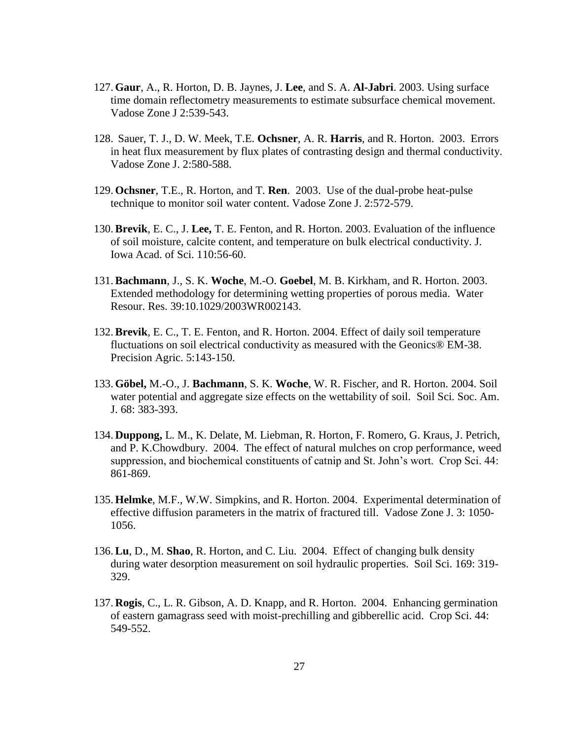- 127. **Gaur**, A., R. Horton, D. B. Jaynes, J. **Lee**, and S. A. **Al-Jabri**. 2003. Using surface time domain reflectometry measurements to estimate subsurface chemical movement. Vadose Zone J 2:539-543.
- 128. Sauer, T. J., D. W. Meek, T.E. **Ochsner**, A. R. **Harris**, and R. Horton. 2003. Errors in heat flux measurement by flux plates of contrasting design and thermal conductivity. Vadose Zone J. 2:580-588.
- 129. **Ochsner**, T.E., R. Horton, and T. **Ren**. 2003. Use of the dual-probe heat-pulse technique to monitor soil water content. Vadose Zone J. 2:572-579.
- 130.**Brevik**, E. C., J. **Lee,** T. E. Fenton, and R. Horton. 2003. Evaluation of the influence of soil moisture, calcite content, and temperature on bulk electrical conductivity. J. Iowa Acad. of Sci. 110:56-60.
- 131.**Bachmann**, J., S. K. **Woche**, M.-O. **Goebel**, M. B. Kirkham, and R. Horton. 2003. Extended methodology for determining wetting properties of porous media. Water Resour. Res. 39:10.1029/2003WR002143.
- 132.**Brevik**, E. C., T. E. Fenton, and R. Horton. 2004. Effect of daily soil temperature fluctuations on soil electrical conductivity as measured with the Geonics® EM-38. Precision Agric. 5:143-150.
- 133. **Göbel,** M.-O., J. **Bachmann**, S. K. **Woche**, W. R. Fischer, and R. Horton. 2004. Soil water potential and aggregate size effects on the wettability of soil. Soil Sci. Soc. Am. J. 68: 383-393.
- 134. **Duppong,** L. M., K. Delate, M. Liebman, R. Horton, F. Romero, G. Kraus, J. Petrich, and P. K.Chowdbury. 2004. The effect of natural mulches on crop performance, weed suppression, and biochemical constituents of catnip and St. John's wort. Crop Sci. 44: 861-869.
- 135. **Helmke**, M.F., W.W. Simpkins, and R. Horton. 2004. Experimental determination of effective diffusion parameters in the matrix of fractured till. Vadose Zone J. 3: 1050- 1056.
- 136.**Lu**, D., M. **Shao**, R. Horton, and C. Liu. 2004. Effect of changing bulk density during water desorption measurement on soil hydraulic properties. Soil Sci. 169: 319- 329.
- 137. **Rogis**, C., L. R. Gibson, A. D. Knapp, and R. Horton. 2004. Enhancing germination of eastern gamagrass seed with moist-prechilling and gibberellic acid. Crop Sci. 44: 549-552.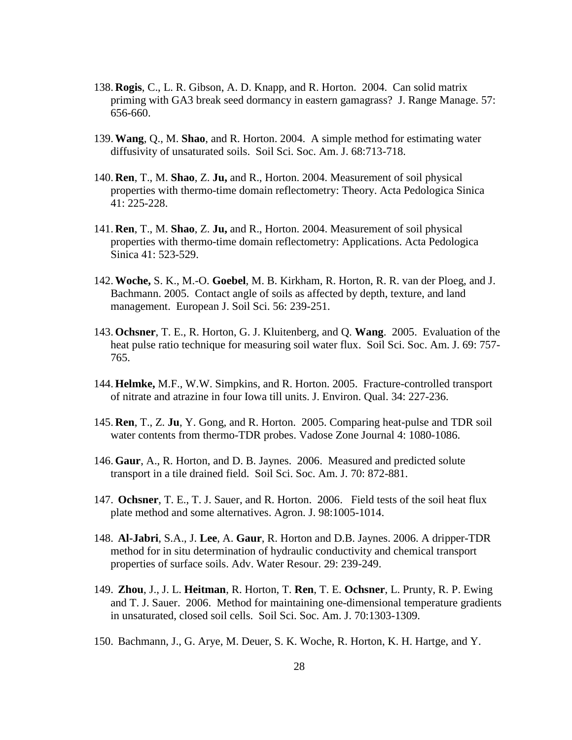- 138. **Rogis**, C., L. R. Gibson, A. D. Knapp, and R. Horton. 2004. Can solid matrix priming with GA3 break seed dormancy in eastern gamagrass? J. Range Manage. 57: 656-660.
- 139.**Wang**, Q., M. **Shao**, and R. Horton. 2004. A simple method for estimating water diffusivity of unsaturated soils. Soil Sci. Soc. Am. J. 68:713-718.
- 140. **Ren**, T., M. **Shao**, Z. **Ju,** and R., Horton. 2004. Measurement of soil physical properties with thermo-time domain reflectometry: Theory. Acta Pedologica Sinica 41: 225-228.
- 141. **Ren**, T., M. **Shao**, Z. **Ju,** and R., Horton. 2004. Measurement of soil physical properties with thermo-time domain reflectometry: Applications. Acta Pedologica Sinica 41: 523-529.
- 142.**Woche,** S. K., M.-O. **Goebel**, M. B. Kirkham, R. Horton, R. R. van der Ploeg, and J. Bachmann. 2005. Contact angle of soils as affected by depth, texture, and land management. European J. Soil Sci. 56: 239-251.
- 143. **Ochsner**, T. E., R. Horton, G. J. Kluitenberg, and Q. **Wang**. 2005. Evaluation of the heat pulse ratio technique for measuring soil water flux. Soil Sci. Soc. Am. J. 69: 757- 765.
- 144. **Helmke,** M.F., W.W. Simpkins, and R. Horton. 2005. Fracture-controlled transport of nitrate and atrazine in four Iowa till units. J. Environ. Qual. 34: 227-236.
- 145. **Ren**, T., Z. **Ju**, Y. Gong, and R. Horton. 2005. Comparing heat-pulse and TDR soil water contents from thermo-TDR probes. Vadose Zone Journal 4: 1080-1086.
- 146. **Gaur**, A., R. Horton, and D. B. Jaynes. 2006. Measured and predicted solute transport in a tile drained field. Soil Sci. Soc. Am. J. 70: 872-881.
- 147. **Ochsner**, T. E., T. J. Sauer, and R. Horton. 2006. Field tests of the soil heat flux plate method and some alternatives. Agron. J. 98:1005-1014.
- 148. **Al-Jabri**, S.A., J. **Lee**, A. **Gaur**, R. Horton and D.B. Jaynes. 2006. A dripper-TDR method for in situ determination of hydraulic conductivity and chemical transport properties of surface soils. Adv. Water Resour. 29: 239-249.
- 149. **Zhou**, J., J. L. **Heitman**, R. Horton, T. **Ren**, T. E. **Ochsner**, L. Prunty, R. P. Ewing and T. J. Sauer. 2006. Method for maintaining one-dimensional temperature gradients in unsaturated, closed soil cells. Soil Sci. Soc. Am. J. 70:1303-1309.
- 150. Bachmann, J., G. Arye, M. Deuer, S. K. Woche, R. Horton, K. H. Hartge, and Y.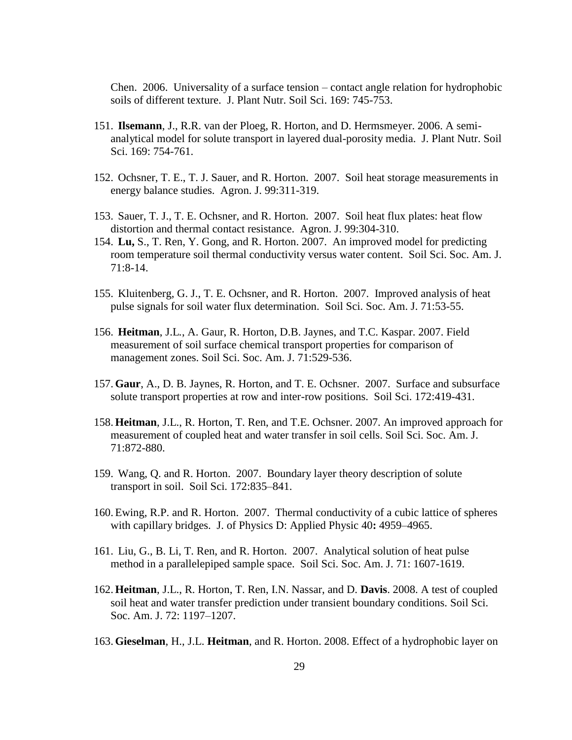Chen. 2006. Universality of a surface tension – contact angle relation for hydrophobic soils of different texture. J. Plant Nutr. Soil Sci. 169: 745-753.

- 151. **Ilsemann**, J., R.R. van der Ploeg, R. Horton, and D. Hermsmeyer. 2006. A semianalytical model for solute transport in layered dual-porosity media. J. Plant Nutr. Soil Sci. 169: 754-761.
- 152. Ochsner, T. E., T. J. Sauer, and R. Horton. 2007. Soil heat storage measurements in energy balance studies. Agron. J. 99:311-319.
- 153. Sauer, T. J., T. E. Ochsner, and R. Horton. 2007. Soil heat flux plates: heat flow distortion and thermal contact resistance. Agron. J. 99:304-310.
- 154. **Lu,** S., T. Ren, Y. Gong, and R. Horton. 2007. An improved model for predicting room temperature soil thermal conductivity versus water content. Soil Sci. Soc. Am. J. 71:8-14.
- 155. Kluitenberg, G. J., T. E. Ochsner, and R. Horton. 2007. Improved analysis of heat pulse signals for soil water flux determination. Soil Sci. Soc. Am. J. 71:53-55.
- 156. **Heitman**, J.L*.*, A. Gaur, R. Horton, D.B. Jaynes, and T.C. Kaspar. 2007. Field measurement of soil surface chemical transport properties for comparison of management zones. Soil Sci. Soc. Am. J. 71:529-536.
- 157. **Gaur**, A., D. B. Jaynes, R. Horton, and T. E. Ochsner. 2007. Surface and subsurface solute transport properties at row and inter-row positions. Soil Sci. 172:419-431.
- 158. **Heitman**, J.L., R. Horton, T. Ren, and T.E. Ochsner. 2007. An improved approach for measurement of coupled heat and water transfer in soil cells. Soil Sci. Soc. Am. J. 71:872-880.
- 159. Wang, Q. and R. Horton. 2007. Boundary layer theory description of solute transport in soil. Soil Sci. 172:835–841.
- 160. Ewing, R.P. and R. Horton. 2007. Thermal conductivity of a cubic lattice of spheres with capillary bridges. J. of Physics D: Applied Physic 40**:** 4959–4965.
- 161. Liu, G., B. Li, T. Ren, and R. Horton. 2007. Analytical solution of heat pulse method in a parallelepiped sample space. Soil Sci. Soc. Am. J. 71: 1607-1619.
- 162. **Heitman**, J.L., R. Horton, T. Ren, I.N. Nassar, and D. **Davis**. 2008. A test of coupled soil heat and water transfer prediction under transient boundary conditions. Soil Sci. Soc. Am. J. 72: 1197–1207.
- 163. **Gieselman**, H., J.L. **Heitman**, and R. Horton. 2008. Effect of a hydrophobic layer on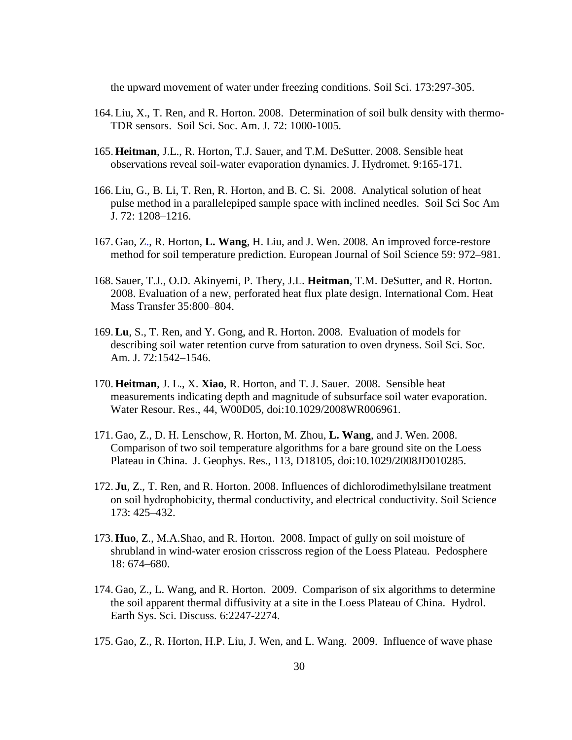the upward movement of water under freezing conditions. Soil Sci. 173:297-305.

- 164. Liu, X., T. Ren, and R. Horton. 2008. Determination of soil bulk density with thermo-TDR sensors. Soil Sci. Soc. Am. J. 72: 1000-1005.
- 165. **Heitman**, J.L., R. Horton, T.J. Sauer, and T.M. DeSutter. 2008. Sensible heat observations reveal soil-water evaporation dynamics. J. Hydromet. 9:165-171.
- 166. Liu, G., B. Li, T. Ren, R. Horton, and B. C. Si. 2008. Analytical solution of heat pulse method in a parallelepiped sample space with inclined needles.Soil Sci Soc Am J. 72: 1208–1216.
- 167. Gao, Z., R. Horton, **L. Wang**, H. Liu, and J. Wen. 2008. An improved force-restore method for soil temperature prediction. European Journal of Soil Science 59: 972–981.
- 168. Sauer, T.J., O.D. Akinyemi, P. Thery, J.L. **Heitman**, T.M. DeSutter, and R. Horton. 2008. Evaluation of a new, perforated heat flux plate design. International Com. Heat Mass Transfer 35:800–804.
- 169.**Lu**, S., T. Ren, and Y. Gong, and R. Horton. 2008. Evaluation of models for describing soil water retention curve from saturation to oven dryness. Soil Sci. Soc. Am. J. 72:1542–1546.
- 170. **Heitman**, J. L., X. **Xiao**, R. Horton, and T. J. Sauer. 2008. Sensible heat measurements indicating depth and magnitude of subsurface soil water evaporation. Water Resour. Res., 44, W00D05, doi:10.1029/2008WR006961.
- 171. Gao, Z., D. H. Lenschow, R. Horton, M. Zhou, **L. Wang**, and J. Wen. 2008. Comparison of two soil temperature algorithms for a bare ground site on the Loess Plateau in China. J. Geophys. Res., 113, D18105, doi:10.1029/2008JD010285.
- 172. **Ju**, Z., T. Ren, and R. Horton. 2008. Influences of dichlorodimethylsilane treatment on soil hydrophobicity, thermal conductivity, and electrical conductivity. Soil Science 173: 425–432.
- 173. **Huo**, Z.*,* M.A.Shao, and R. Horton. 2008. Impact of gully on soil moisture of shrubland in wind-water erosion crisscross region of the Loess Plateau. Pedosphere 18: 674–680.
- 174. Gao, Z., L. Wang, and R. Horton. 2009. Comparison of six algorithms to determine the soil apparent thermal diffusivity at a site in the Loess Plateau of China. Hydrol. Earth Sys. Sci. Discuss. 6:2247-2274.
- 175. Gao, Z., R. Horton, H.P. Liu, J. Wen, and L. Wang. 2009. Influence of wave phase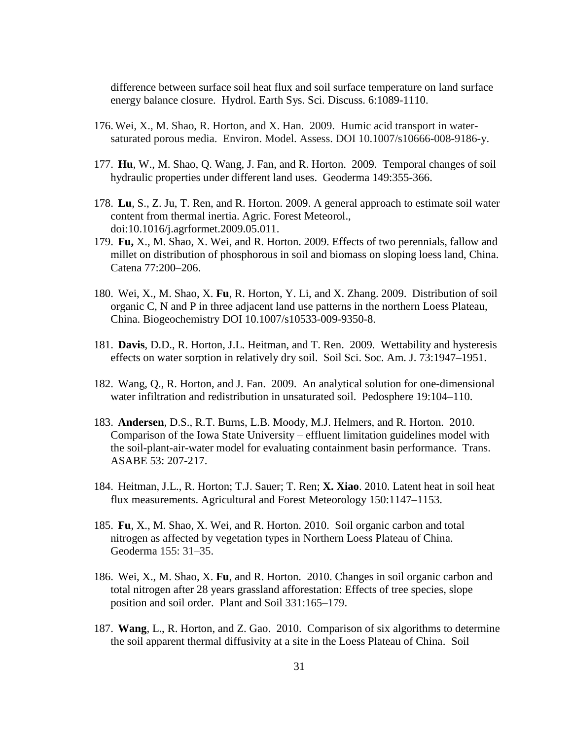difference between surface soil heat flux and soil surface temperature on land surface energy balance closure. Hydrol. Earth Sys. Sci. Discuss. 6:1089-1110.

- 176. Wei, X., M. Shao, R. Horton, and X. Han. 2009. Humic acid transport in watersaturated porous media. Environ. Model. Assess. DOI 10.1007/s10666-008-9186-y.
- 177. **Hu**, W., M. Shao, Q. Wang, J. Fan, and R. Horton. 2009. Temporal changes of soil hydraulic properties under different land uses. Geoderma 149:355-366.
- 178. **Lu**, S., Z. Ju, T. Ren, and R. Horton. 2009. A general approach to estimate soil water content from thermal inertia. Agric. Forest Meteorol., doi:10.1016/j.agrformet.2009.05.011.
- 179. **Fu,** X., M. Shao, X. Wei, and R. Horton. 2009. Effects of two perennials, fallow and millet on distribution of phosphorous in soil and biomass on sloping loess land, China. Catena 77:200–206.
- 180. Wei, X., M. Shao, X. **Fu**, R. Horton, Y. Li, and X. Zhang. 2009. Distribution of soil organic C, N and P in three adjacent land use patterns in the northern Loess Plateau, China. Biogeochemistry DOI 10.1007/s10533-009-9350-8.
- 181. **Davis**, D.D., R. Horton, J.L. Heitman, and T. Ren. 2009. Wettability and hysteresis effects on water sorption in relatively dry soil. Soil Sci. Soc. Am. J. 73:1947–1951.
- 182. Wang, Q., R. Horton, and J. Fan. 2009. An analytical solution for one-dimensional water infiltration and redistribution in unsaturated soil. Pedosphere 19:104–110.
- 183. **Andersen**, D.S., R.T. Burns, L.B. Moody, M.J. Helmers, and R. Horton. 2010. Comparison of the Iowa State University – effluent limitation guidelines model with the soil-plant-air-water model for evaluating containment basin performance. Trans. ASABE 53: 207-217.
- 184. Heitman, J.L., R. Horton; T.J. Sauer; T. Ren; **X. Xiao**. 2010. Latent heat in soil heat flux measurements. Agricultural and Forest Meteorology 150:1147–1153.
- 185. **Fu**, X., M. Shao, X. Wei, and R. Horton. 2010. Soil organic carbon and total nitrogen as affected by vegetation types in Northern Loess Plateau of China. Geoderma 155: 31–35.
- 186. Wei, X., M. Shao, X. **Fu**, and R. Horton. 2010. Changes in soil organic carbon and total nitrogen after 28 years grassland afforestation: Effects of tree species, slope position and soil order. Plant and Soil 331:165–179.
- 187. **Wang**, L., R. Horton, and Z. Gao. 2010. Comparison of six algorithms to determine the soil apparent thermal diffusivity at a site in the Loess Plateau of China. Soil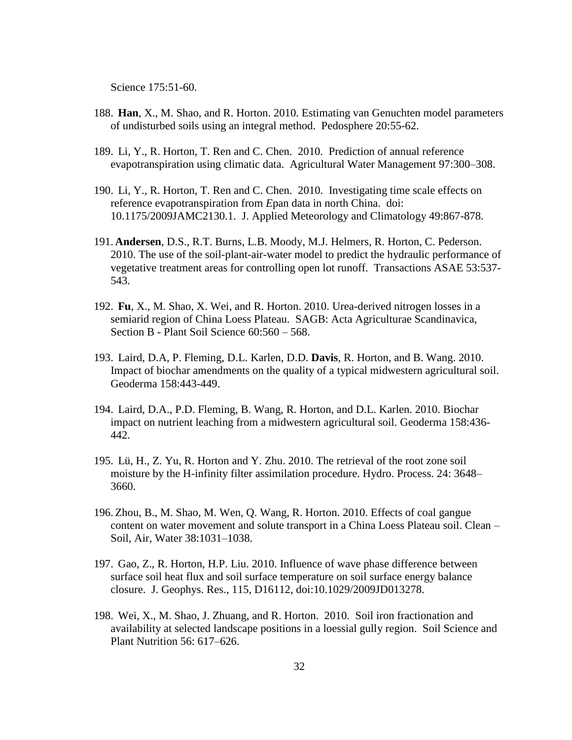Science 175:51-60.

- 188. **Han**, X., M. Shao, and R. Horton. 2010. Estimating van Genuchten model parameters of undisturbed soils using an integral method. Pedosphere 20:55-62.
- 189. Li, Y., R. Horton, T. Ren and C. Chen. 2010. Prediction of annual reference evapotranspiration using climatic data. Agricultural Water Management 97:300–308.
- 190. Li, Y., R. Horton, T. Ren and C. Chen. 2010. Investigating time scale effects on reference evapotranspiration from *E*pan data in north China. doi: 10.1175/2009JAMC2130.1. J. Applied Meteorology and Climatology 49:867-878.
- 191. **Andersen**, D.S., R.T. Burns, L.B. Moody, M.J. Helmers, R. Horton, C. Pederson. 2010. The use of the soil-plant-air-water model to predict the hydraulic performance of vegetative treatment areas for controlling open lot runoff. Transactions ASAE 53:537- 543.
- 192. **Fu**, X., M. Shao, X. Wei, and R. Horton. 2010. Urea-derived nitrogen losses in a semiarid region of China Loess Plateau. SAGB: Acta Agriculturae Scandinavica, Section B - Plant Soil Science 60:560 – 568.
- 193. Laird, D.A, P. Fleming, D.L. Karlen, D.D. **Davis**, R. Horton, and B. Wang. 2010. Impact of biochar amendments on the quality of a typical midwestern agricultural soil. Geoderma 158:443-449.
- 194. Laird, D.A., P.D. Fleming, B. Wang, R. Horton, and D.L. Karlen. 2010. Biochar impact on nutrient leaching from a midwestern agricultural soil. Geoderma 158:436- 442.
- 195. Lü, H., Z. Yu, R. Horton and Y. Zhu. 2010. The retrieval of the root zone soil moisture by the H-infinity filter assimilation procedure. Hydro. Process. 24: 3648– 3660.
- 196. Zhou, B., M. Shao, M. Wen, Q. Wang, R. Horton. 2010. Effects of coal gangue content on water movement and solute transport in a China Loess Plateau soil. Clean – Soil, Air, Water 38:1031–1038.
- 197. Gao, Z., R. Horton, H.P. Liu. 2010. Influence of wave phase difference between surface soil heat flux and soil surface temperature on soil surface energy balance closure. J. Geophys. Res., 115, D16112, doi:10.1029/2009JD013278.
- 198. Wei, X., M. Shao, J. Zhuang, and R. Horton. 2010. Soil iron fractionation and availability at selected landscape positions in a loessial gully region. Soil Science and Plant Nutrition 56: 617–626.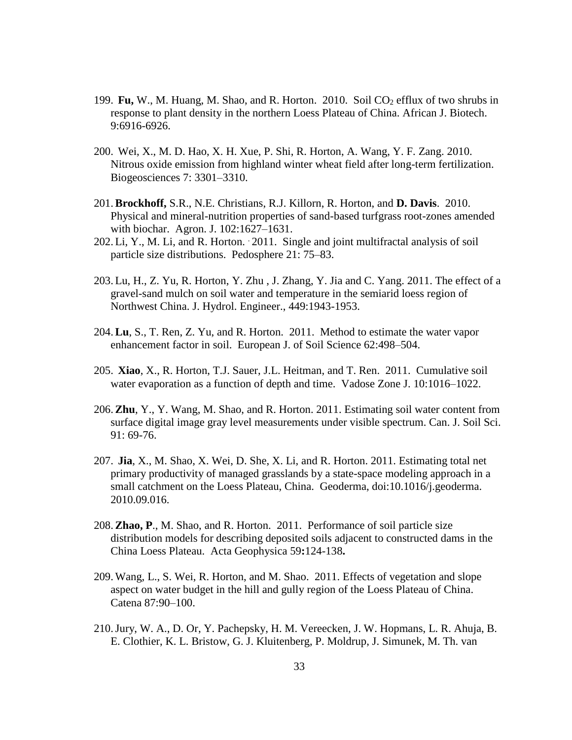- 199. **Fu,** W., M. Huang, M. Shao, and R. Horton. 2010. Soil CO<sub>2</sub> efflux of two shrubs in response to plant density in the northern Loess Plateau of China. African J. Biotech. 9:6916-6926.
- 200. Wei, X., M. D. Hao, X. H. Xue, P. Shi, R. Horton, A. Wang, Y. F. Zang. 2010. Nitrous oxide emission from highland winter wheat field after long-term fertilization. Biogeosciences 7: 3301–3310.
- 201.**Brockhoff,** S.R., N.E. Christians, R.J. Killorn, R. Horton, and **D. Davis**. 2010. Physical and mineral-nutrition properties of sand-based turfgrass root-zones amended with biochar. Agron. J. 102:1627–1631.
- 202. Li, Y., M. Li, and R. Horton. 2011. Single and joint multifractal analysis of soil particle size distributions. Pedosphere 21: 75–83.
- 203. Lu, H., Z. Yu, R. Horton, Y. Zhu , J. Zhang, Y. Jia and C. Yang. 2011. The effect of a gravel-sand mulch on soil water and temperature in the semiarid loess region of Northwest China. J. Hydrol. Engineer., 449:1943-1953.
- 204.**Lu**, S., T. Ren, Z. Yu, and R. Horton. 2011. Method to estimate the water vapor enhancement factor in soil. European J. of Soil Science 62:498–504.
- 205. **Xiao**, X., R. Horton, T.J. Sauer, J.L. Heitman, and T. Ren. 2011. Cumulative soil water evaporation as a function of depth and time. Vadose Zone J. 10:1016–1022.
- 206.**Zhu**, Y., Y. Wang, M. Shao, and R. Horton. 2011. Estimating soil water content from surface digital image gray level measurements under visible spectrum. Can. J. Soil Sci. 91: 69-76.
- 207. **Jia**, X., M. Shao, X. Wei, D. She, X. Li, and R. Horton. 2011. Estimating total net primary productivity of managed grasslands by a state-space modeling approach in a small catchment on the Loess Plateau, China. Geoderma, doi:10.1016/j.geoderma. 2010.09.016.
- 208.**Zhao, P**., M. Shao, and R. Horton. 2011. Performance of soil particle size distribution models for describing deposited soils adjacent to constructed dams in the China Loess Plateau. Acta Geophysica 59**:**124-138**.**
- 209. Wang, L., S. Wei, R. Horton, and M. Shao. 2011. Effects of vegetation and slope aspect on water budget in the hill and gully region of the Loess Plateau of China. Catena 87:90–100.
- 210.Jury, W. A., D. Or, Y. Pachepsky, H. M. Vereecken, J. W. Hopmans, L. R. Ahuja, B. E. Clothier, K. L. Bristow, G. J. Kluitenberg, P. Moldrup, J. Simunek, M. Th. van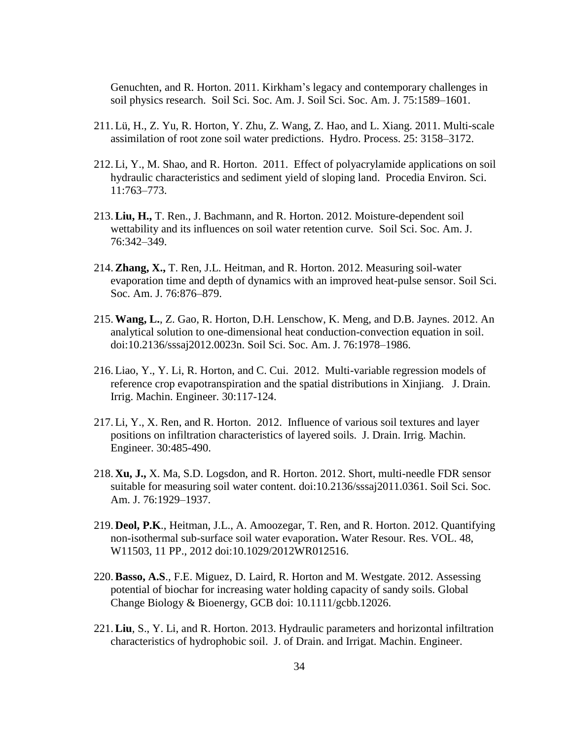Genuchten, and R. Horton. 2011. Kirkham's legacy and contemporary challenges in soil physics research. Soil Sci. Soc. Am. J. Soil Sci. Soc. Am. J. 75:1589–1601.

- 211. Lü, H., Z. Yu, R. Horton, Y. Zhu, Z. Wang, Z. Hao, and L. Xiang. 2011. Multi-scale assimilation of root zone soil water predictions. Hydro. Process. 25: 3158–3172.
- 212. Li, Y., M. Shao, and R. Horton. 2011. Effect of polyacrylamide applications on soil hydraulic characteristics and sediment yield of sloping land. Procedia Environ. Sci. 11:763–773.
- 213.**Liu, H.,** T. Ren., J. Bachmann, and R. Horton. 2012. Moisture-dependent soil wettability and its influences on soil water retention curve. Soil Sci. Soc. Am. J. 76:342–349.
- 214.**Zhang, X.,** T. Ren, J.L. Heitman, and R. Horton. 2012. Measuring soil-water evaporation time and depth of dynamics with an improved heat-pulse sensor. Soil Sci. Soc. Am. J. 76:876–879.
- 215.**Wang, L.**, Z. Gao, R. Horton, D.H. Lenschow, K. Meng, and D.B. Jaynes. 2012. An analytical solution to one-dimensional heat conduction-convection equation in soil. doi:10.2136/sssaj2012.0023n. Soil Sci. Soc. Am. J. 76:1978–1986.
- 216. Liao, Y., Y. Li, R. Horton, and C. Cui. 2012. Multi-variable regression models of reference crop evapotranspiration and the spatial distributions in Xinjiang. J. Drain. Irrig. Machin. Engineer. 30:117-124.
- 217. Li, Y., X. Ren, and R. Horton. 2012. Influence of various soil textures and layer positions on infiltration characteristics of layered soils. J. Drain. Irrig. Machin. Engineer. 30:485-490.
- 218. **Xu, J.,** X. Ma, S.D. Logsdon, and R. Horton. 2012. Short, multi-needle FDR sensor suitable for measuring soil water content. doi:10.2136/sssaj2011.0361. Soil Sci. Soc. Am. J. 76:1929–1937.
- 219. **Deol, P.K**., Heitman, J.L., A. Amoozegar, T. Ren, and R. Horton. 2012. Quantifying non-isothermal sub-surface soil water evaporation**.** Water Resour. Res. VOL. 48, W11503, 11 PP., 2012 doi:10.1029/2012WR012516.
- 220.**Basso, A.S**., F.E. Miguez, D. Laird, R. Horton and M. Westgate. 2012. Assessing potential of biochar for increasing water holding capacity of sandy soils. Global Change Biology & Bioenergy, GCB doi: 10.1111/gcbb.12026.
- 221.**Liu**, S., Y. Li, and R. Horton. 2013. Hydraulic parameters and horizontal infiltration characteristics of hydrophobic soil. J. of Drain. and Irrigat. Machin. Engineer.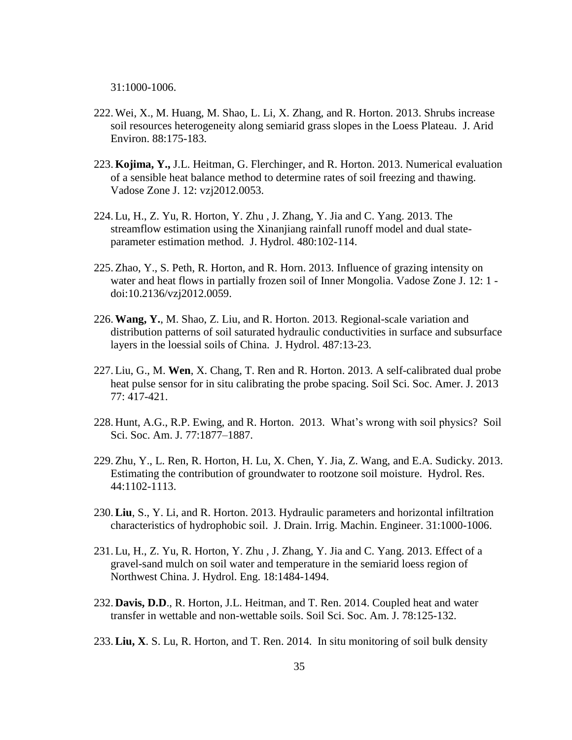31:1000-1006.

- 222. Wei, X., M. Huang, M. Shao, L. Li, X. Zhang, and R. Horton. 2013. Shrubs increase soil resources heterogeneity along semiarid grass slopes in the Loess Plateau. J. Arid Environ. 88:175-183.
- 223. **Kojima, Y.,** J.L. Heitman, G. Flerchinger, and R. Horton. 2013. Numerical evaluation of a sensible heat balance method to determine rates of soil freezing and thawing. Vadose Zone J. 12: vzj2012.0053.
- 224. Lu, H., Z. Yu, R. Horton, Y. Zhu , J. Zhang, Y. Jia and C. Yang. 2013. The streamflow estimation using the Xinanjiang rainfall runoff model and dual stateparameter estimation method. J. Hydrol. 480:102-114.
- 225. Zhao, Y., S. Peth, R. Horton, and R. Horn. 2013. Influence of grazing intensity on water and heat flows in partially frozen soil of Inner Mongolia. Vadose Zone J. 12: 1 doi:10.2136/vzj2012.0059.
- 226.**Wang, Y.**, M. Shao, Z. Liu, and R. Horton. 2013. Regional-scale variation and distribution patterns of soil saturated hydraulic conductivities in surface and subsurface layers in the loessial soils of China. J. Hydrol. 487:13-23.
- 227. Liu, G., M. **Wen**, X. Chang, T. Ren and R. Horton. 2013. A self-calibrated dual probe heat pulse sensor for in situ calibrating the probe spacing. Soil Sci. Soc. Amer. J. 2013 77: 417-421.
- 228. Hunt, A.G., R.P. Ewing, and R. Horton. 2013. What's wrong with soil physics? Soil Sci. Soc. Am. J. 77:1877–1887.
- 229. Zhu, Y., L. Ren, R. Horton, H. Lu, X. Chen, Y. Jia, Z. Wang, and E.A. Sudicky. 2013. Estimating the contribution of groundwater to rootzone soil moisture. Hydrol. Res. 44:1102-1113.
- 230.**Liu**, S., Y. Li, and R. Horton. 2013. Hydraulic parameters and horizontal infiltration characteristics of hydrophobic soil. J. Drain. Irrig. Machin. Engineer. 31:1000-1006.
- 231. Lu, H., Z. Yu, R. Horton, Y. Zhu , J. Zhang, Y. Jia and C. Yang. 2013. Effect of a gravel-sand mulch on soil water and temperature in the semiarid loess region of Northwest China. J. Hydrol. Eng. 18:1484-1494.
- 232. **Davis, D.D**., R. Horton, J.L. Heitman, and T. Ren. 2014. Coupled heat and water transfer in wettable and non-wettable soils. Soil Sci. Soc. Am. J. 78:125-132.
- 233.**Liu, X**. S. Lu, R. Horton, and T. Ren. 2014. In situ monitoring of soil bulk density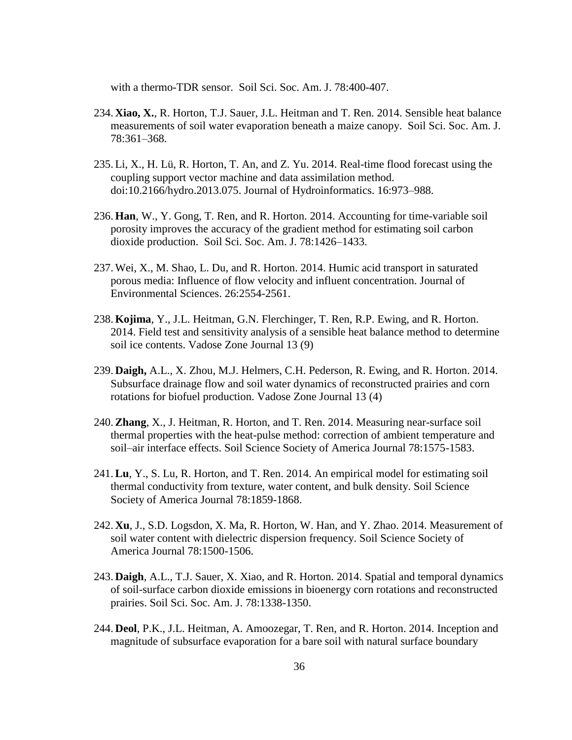with a thermo-TDR sensor. Soil Sci. Soc. Am. J. 78:400-407.

- 234. **Xiao, X.**, R. Horton, T.J. Sauer, J.L. Heitman and T. Ren. 2014. Sensible heat balance measurements of soil water evaporation beneath a maize canopy. Soil Sci. Soc. Am. J. 78:361–368.
- 235. Li, X., H. Lü, R. Horton, T. An, and Z. Yu. 2014. Real-time flood forecast using the coupling support vector machine and data assimilation method. doi:10.2166/hydro.2013.075. Journal of Hydroinformatics. 16:973–988.
- 236. **Han**, W., Y. Gong, T. Ren, and R. Horton. 2014. Accounting for time-variable soil porosity improves the accuracy of the gradient method for estimating soil carbon dioxide production. Soil Sci. Soc. Am. J. 78:1426–1433.
- 237. Wei, X., M. Shao, L. Du, and R. Horton. 2014. Humic acid transport in saturated porous media: Influence of flow velocity and influent concentration. Journal of Environmental Sciences. 26:2554-2561.
- 238. **Kojima**, Y., J.L. Heitman, G.N. Flerchinger, T. Ren, R.P. Ewing, and R. Horton. 2014. Field test and sensitivity analysis of a sensible heat balance method to determine soil ice contents. Vadose Zone Journal 13 (9)
- 239. **Daigh,** A.L., X. Zhou, M.J. Helmers, C.H. Pederson, R. Ewing, and R. Horton. 2014. Subsurface drainage flow and soil water dynamics of reconstructed prairies and corn rotations for biofuel production. Vadose Zone Journal 13 (4)
- 240.**Zhang**, X., J. Heitman, R. Horton, and T. Ren. 2014. Measuring near-surface soil thermal properties with the heat-pulse method: correction of ambient temperature and soil–air interface effects. Soil Science Society of America Journal 78:1575-1583.
- 241.**Lu**, Y., S. Lu, R. Horton, and T. Ren. 2014. An empirical model for estimating soil thermal conductivity from texture, water content, and bulk density. Soil Science Society of America Journal 78:1859-1868.
- 242. **Xu**, J., S.D. Logsdon, X. Ma, R. Horton, W. Han, and Y. Zhao. 2014. Measurement of soil water content with dielectric dispersion frequency. Soil Science Society of America Journal 78:1500-1506.
- 243. **Daigh**, A.L., T.J. Sauer, X. Xiao, and R. Horton. 2014. Spatial and temporal dynamics of soil-surface carbon dioxide emissions in bioenergy corn rotations and reconstructed prairies. Soil Sci. Soc. Am. J. 78:1338-1350.
- 244. **Deol**, P.K., J.L. Heitman, A. Amoozegar, T. Ren, and R. Horton. 2014. Inception and magnitude of subsurface evaporation for a bare soil with natural surface boundary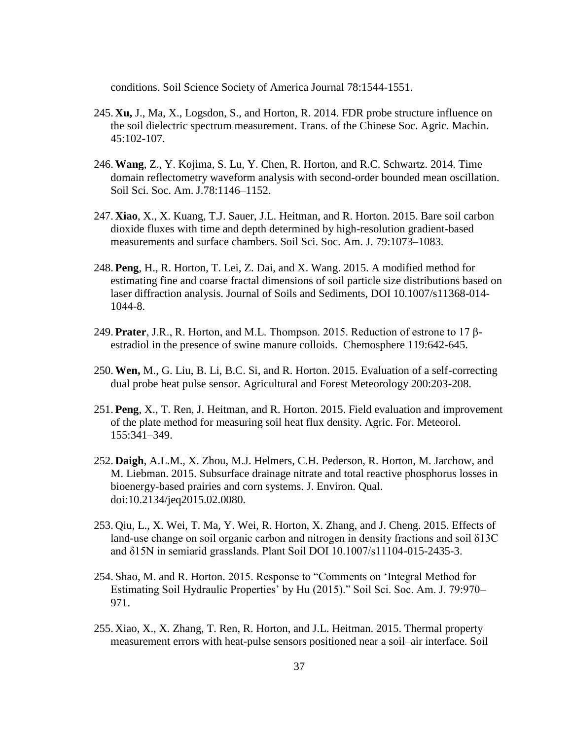conditions. Soil Science Society of America Journal 78:1544-1551.

- 245. **Xu,** J., Ma, X., Logsdon, S., and Horton, R. 2014. FDR probe structure influence on the soil dielectric spectrum measurement. Trans. of the Chinese Soc. Agric. Machin. 45:102-107.
- 246.**Wang**, Z., Y. Kojima, S. Lu, Y. Chen, R. Horton, and R.C. Schwartz. 2014. Time domain reflectometry waveform analysis with second-order bounded mean oscillation. Soil Sci. Soc. Am. J.78:1146–1152.
- 247. **Xiao**, X., X. Kuang, T.J. Sauer, J.L. Heitman, and R. Horton. 2015. Bare soil carbon dioxide fluxes with time and depth determined by high-resolution gradient-based measurements and surface chambers. Soil Sci. Soc. Am. J. 79:1073–1083.
- 248. **Peng**, H., R. Horton, T. Lei, Z. Dai, and X. Wang. 2015. A modified method for estimating fine and coarse fractal dimensions of soil particle size distributions based on laser diffraction analysis. Journal of Soils and Sediments, DOI 10.1007/s11368-014- 1044-8.
- 249. **Prater**, J.R., R. Horton, and M.L. Thompson. 2015. Reduction of estrone to 17 βestradiol in the presence of swine manure colloids. Chemosphere 119:642-645.
- 250.**Wen,** M., G. Liu, B. Li, B.C. Si, and R. Horton. 2015. Evaluation of a self-correcting dual probe heat pulse sensor. Agricultural and Forest Meteorology 200:203-208.
- 251. **Peng**, X., T. Ren, J. Heitman, and R. Horton. 2015. Field evaluation and improvement of the plate method for measuring soil heat flux density. Agric. For. Meteorol. 155:341–349.
- 252. **Daigh**, A.L.M., X. Zhou, M.J. Helmers, C.H. Pederson, R. Horton, M. Jarchow, and M. Liebman. 2015. Subsurface drainage nitrate and total reactive phosphorus losses in bioenergy-based prairies and corn systems. J. Environ. Qual. doi:10.2134/jeq2015.02.0080.
- 253. Qiu, L., X. Wei, T. Ma, Y. Wei, R. Horton, X. Zhang, and J. Cheng. 2015. Effects of land-use change on soil organic carbon and nitrogen in density fractions and soil δ13C and δ15N in semiarid grasslands. Plant Soil DOI 10.1007/s11104-015-2435-3.
- 254. Shao, M. and R. Horton. 2015. Response to "Comments on 'Integral Method for Estimating Soil Hydraulic Properties' by Hu (2015)." Soil Sci. Soc. Am. J. 79:970– 971.
- 255. Xiao, X., X. Zhang, T. Ren, R. Horton, and J.L. Heitman. 2015. Thermal property measurement errors with heat-pulse sensors positioned near a soil–air interface. Soil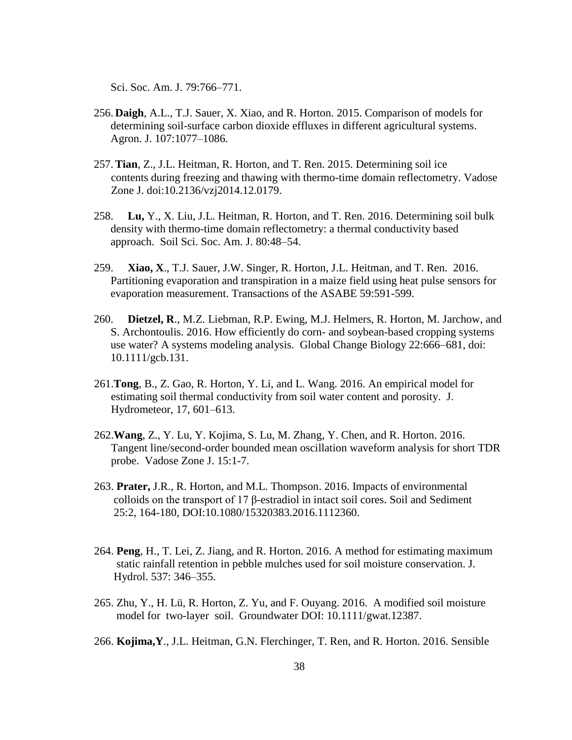Sci. Soc. Am. J. 79:766–771.

- 256. **Daigh**, A.L., T.J. Sauer, X. Xiao, and R. Horton. 2015. Comparison of models for determining soil-surface carbon dioxide effluxes in different agricultural systems. Agron. J. 107:1077–1086.
- 257.**Tian**, Z., J.L. Heitman, R. Horton, and T. Ren. 2015. Determining soil ice contents during freezing and thawing with thermo-time domain reflectometry. Vadose Zone J. doi:10.2136/vzj2014.12.0179.
- 258. **Lu,** Y., X. Liu, J.L. Heitman, R. Horton, and T. Ren. 2016. Determining soil bulk density with thermo-time domain reflectometry: a thermal conductivity based approach. Soil Sci. Soc. Am. J. 80:48–54.
- 259. **Xiao, X**., T.J. Sauer, J.W. Singer, R. Horton, J.L. Heitman, and T. Ren. 2016. Partitioning evaporation and transpiration in a maize field using heat pulse sensors for evaporation measurement. Transactions of the ASABE 59:591-599.
- 260. **Dietzel, R**., M.Z. Liebman, R.P. Ewing, M.J. Helmers, R. Horton, M. Jarchow, and S. Archontoulis. 2016. How efficiently do corn- and soybean-based cropping systems use water? A systems modeling analysis. Global Change Biology 22:666–681, doi: 10.1111/gcb.131.
- 261.**Tong**, B., Z. Gao, R. Horton, Y. Li, and L. Wang. 2016. An empirical model for estimating soil thermal conductivity from soil water content and porosity. J. Hydrometeor, 17, 601–613.
- 262.**Wang**, Z., Y. Lu, Y. Kojima, S. Lu, M. Zhang, Y. Chen, and R. Horton. 2016. Tangent line/second-order bounded mean oscillation waveform analysis for short TDR probe. Vadose Zone J. 15:1-7.
- 263. **Prater,** J.R., R. Horton, and M.L. Thompson. 2016. Impacts of environmental colloids on the transport of 17 β-estradiol in intact soil cores. Soil and Sediment 25:2, 164-180, DOI:10.1080/15320383.2016.1112360.
- 264. **Peng**, H., T. Lei, Z. Jiang, and R. Horton. 2016. A method for estimating maximum static rainfall retention in pebble mulches used for soil moisture conservation. J. Hydrol. 537: 346–355.
- 265. Zhu, Y., H. Lü, R. Horton, Z. Yu, and F. Ouyang. 2016. A modified soil moisture model for two-layer soil. Groundwater DOI: 10.1111/gwat.12387.
- 266. **Kojima,Y**., J.L. Heitman, G.N. Flerchinger, T. Ren, and R. Horton. 2016. Sensible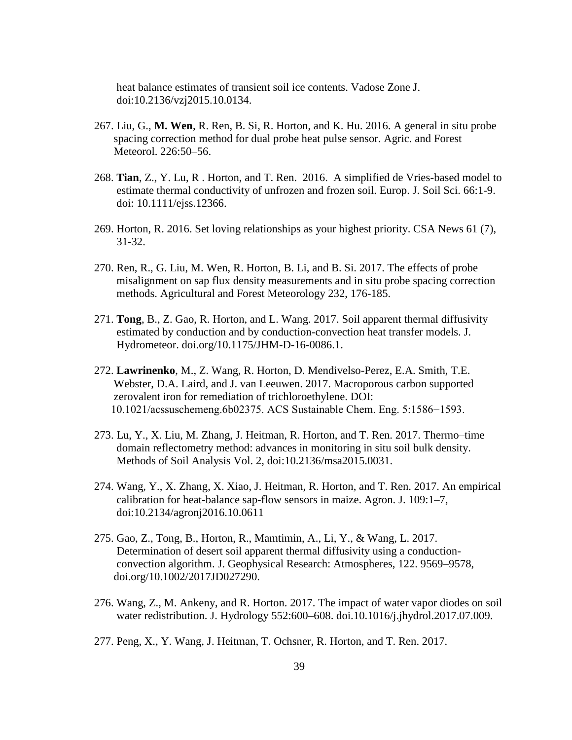heat balance estimates of transient soil ice contents. Vadose Zone J. doi:10.2136/vzj2015.10.0134.

- 267. Liu, G., **M. Wen**, R. Ren, B. Si, R. Horton, and K. Hu. 2016. A general in situ probe spacing correction method for dual probe heat pulse sensor. Agric. and Forest Meteorol. 226:50–56.
- 268. **Tian**, Z., Y. Lu, R . Horton, and T. Ren. 2016. A simplified de Vries-based model to estimate thermal conductivity of unfrozen and frozen soil. Europ. J. Soil Sci. 66:1-9. doi: 10.1111/ejss.12366.
- 269. Horton, R. 2016. Set loving relationships as your highest priority. CSA News 61 (7), 31-32.
- 270. Ren, R., G. Liu, M. Wen, R. Horton, B. Li, and B. Si. 2017. The effects of probe misalignment on sap flux density measurements and in situ probe spacing correction methods. Agricultural and Forest Meteorology 232, 176-185.
- 271. **Tong**, B., Z. Gao, R. Horton, and L. Wang. 2017. Soil apparent thermal diffusivity estimated by conduction and by conduction-convection heat transfer models. J. Hydrometeor. doi.org/10.1175/JHM-D-16-0086.1.
- 272. **Lawrinenko**, M., Z. Wang, R. Horton, D. Mendivelso-Perez, E.A. Smith, T.E. Webster, D.A. Laird, and J. van Leeuwen. 2017. Macroporous carbon supported zerovalent iron for remediation of trichloroethylene. DOI: 10.1021/acssuschemeng.6b02375. ACS Sustainable Chem. Eng. 5:1586−1593.
- 273. Lu, Y., X. Liu, M. Zhang, J. Heitman, R. Horton, and T. Ren. 2017. Thermo–time domain reflectometry method: advances in monitoring in situ soil bulk density. Methods of Soil Analysis Vol. 2, doi:10.2136/msa2015.0031.
- 274. Wang, Y., X. Zhang, X. Xiao, J. Heitman, R. Horton, and T. Ren. 2017. An empirical calibration for heat-balance sap-flow sensors in maize. Agron. J. 109:1–7, doi:10.2134/agronj2016.10.0611
- 275. Gao, Z., Tong, B., Horton, R., Mamtimin, A., Li, Y., & Wang, L. 2017. Determination of desert soil apparent thermal diffusivity using a conduction convection algorithm. J. Geophysical Research: Atmospheres, 122. 9569–9578, doi.org/10.1002/2017JD027290.
- 276. Wang, Z., M. Ankeny, and R. Horton. 2017. The impact of water vapor diodes on soil water redistribution. J. Hydrology 552:600–608. doi.10.1016/j.jhydrol.2017.07.009.
- 277. Peng, X., Y. Wang, J. Heitman, T. Ochsner, R. Horton, and T. Ren. 2017.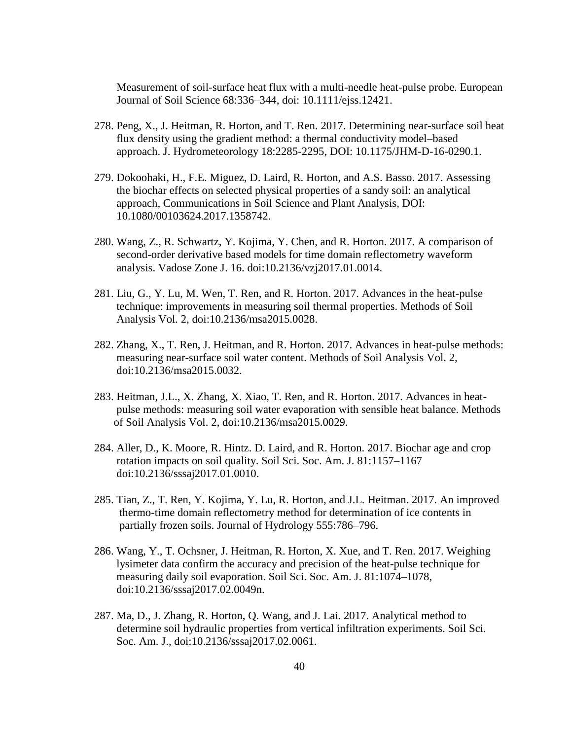Measurement of soil-surface heat flux with a multi-needle heat-pulse probe. European Journal of Soil Science 68:336–344, doi: 10.1111/ejss.12421.

- 278. Peng, X., J. Heitman, R. Horton, and T. Ren. 2017. Determining near-surface soil heat flux density using the gradient method: a thermal conductivity model–based approach. J. Hydrometeorology 18:2285-2295, DOI: 10.1175/JHM-D-16-0290.1.
- 279. Dokoohaki, H., F.E. Miguez, D. Laird, R. Horton, and A.S. Basso. 2017. Assessing the biochar effects on selected physical properties of a sandy soil: an analytical approach, Communications in Soil Science and Plant Analysis, DOI: 10.1080/00103624.2017.1358742.
- 280. Wang, Z., R. Schwartz, Y. Kojima, Y. Chen, and R. Horton. 2017. A comparison of second-order derivative based models for time domain reflectometry waveform analysis. Vadose Zone J. 16. doi:10.2136/vzj2017.01.0014.
- 281. Liu, G., Y. Lu, M. Wen, T. Ren, and R. Horton. 2017. Advances in the heat-pulse technique: improvements in measuring soil thermal properties. Methods of Soil Analysis Vol. 2, doi:10.2136/msa2015.0028.
- 282. Zhang, X., T. Ren, J. Heitman, and R. Horton. 2017. Advances in heat-pulse methods: measuring near-surface soil water content. Methods of Soil Analysis Vol. 2, doi:10.2136/msa2015.0032.
- 283. Heitman, J.L., X. Zhang, X. Xiao, T. Ren, and R. Horton. 2017. Advances in heat pulse methods: measuring soil water evaporation with sensible heat balance. Methods of Soil Analysis Vol. 2, doi:10.2136/msa2015.0029.
- 284. Aller, D., K. Moore, R. Hintz. D. Laird, and R. Horton. 2017. Biochar age and crop rotation impacts on soil quality. Soil Sci. Soc. Am. J. 81:1157–1167 doi:10.2136/sssaj2017.01.0010.
- 285. Tian, Z., T. Ren, Y. Kojima, Y. Lu, R. Horton, and J.L. Heitman. 2017. An improved thermo-time domain reflectometry method for determination of ice contents in partially frozen soils. Journal of Hydrology 555:786–796.
- 286. Wang, Y., T. Ochsner, J. Heitman, R. Horton, X. Xue, and T. Ren. 2017. Weighing lysimeter data confirm the accuracy and precision of the heat-pulse technique for measuring daily soil evaporation. Soil Sci. Soc. Am. J. 81:1074–1078, doi:10.2136/sssaj2017.02.0049n.
- 287. Ma, D., J. Zhang, R. Horton, Q. Wang, and J. Lai. 2017. Analytical method to determine soil hydraulic properties from vertical infiltration experiments. Soil Sci. Soc. Am. J., doi:10.2136/sssaj2017.02.0061.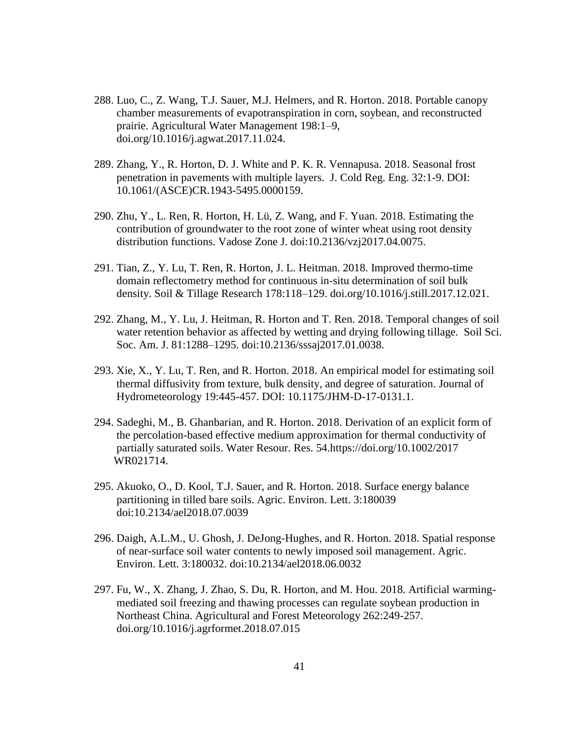- 288. Luo, C., Z. Wang, T.J. Sauer, M.J. Helmers, and R. Horton. 2018. Portable canopy chamber measurements of evapotranspiration in corn, soybean, and reconstructed prairie. Agricultural Water Management 198:1–9, doi.org/10.1016/j.agwat.2017.11.024.
- 289. Zhang, Y., R. Horton, D. J. White and P. K. R. Vennapusa. 2018. Seasonal frost penetration in pavements with multiple layers. J. Cold Reg. Eng. 32:1-9. DOI: 10.1061/(ASCE)CR.1943-5495.0000159.
- 290. Zhu, Y., L. Ren, R. Horton, H. Lü, Z. Wang, and F. Yuan. 2018. Estimating the contribution of groundwater to the root zone of winter wheat using root density distribution functions. Vadose Zone J. doi:10.2136/vzj2017.04.0075.
- 291. Tian, Z., Y. Lu, T. Ren, R. Horton, J. L. Heitman. 2018. Improved thermo-time domain reflectometry method for continuous in-situ determination of soil bulk density. Soil & Tillage Research 178:118–129. doi.org/10.1016/j.still.2017.12.021.
- 292. Zhang, M., Y. Lu, J. Heitman, R. Horton and T. Ren. 2018. Temporal changes of soil water retention behavior as affected by wetting and drying following tillage. Soil Sci. Soc. Am. J. 81:1288–1295. doi:10.2136/sssaj2017.01.0038.
- 293. Xie, X., Y. Lu, T. Ren, and R. Horton. 2018. An empirical model for estimating soil thermal diffusivity from texture, bulk density, and degree of saturation. Journal of Hydrometeorology 19:445-457. DOI: 10.1175/JHM-D-17-0131.1.
- 294. Sadeghi, M., B. Ghanbarian, and R. Horton. 2018. Derivation of an explicit form of the percolation-based effective medium approximation for thermal conductivity of partially saturated soils. Water Resour. Res. 54.https://doi.org/10.1002/2017 WR021714.
- 295. Akuoko, O., D. Kool, T.J. Sauer, and R. Horton. 2018. Surface energy balance partitioning in tilled bare soils. Agric. Environ. Lett. 3:180039 doi:10.2134/ael2018.07.0039
- 296. Daigh, A.L.M., U. Ghosh, J. DeJong-Hughes, and R. Horton. 2018. Spatial response of near-surface soil water contents to newly imposed soil management. Agric. Environ. Lett. 3:180032. doi:10.2134/ael2018.06.0032
- 297. Fu, W., X. Zhang, J. Zhao, S. Du, R. Horton, and M. Hou. 2018. Artificial warming mediated soil freezing and thawing processes can regulate soybean production in Northeast China. Agricultural and Forest Meteorology 262:249-257. doi.org/10.1016/j.agrformet.2018.07.015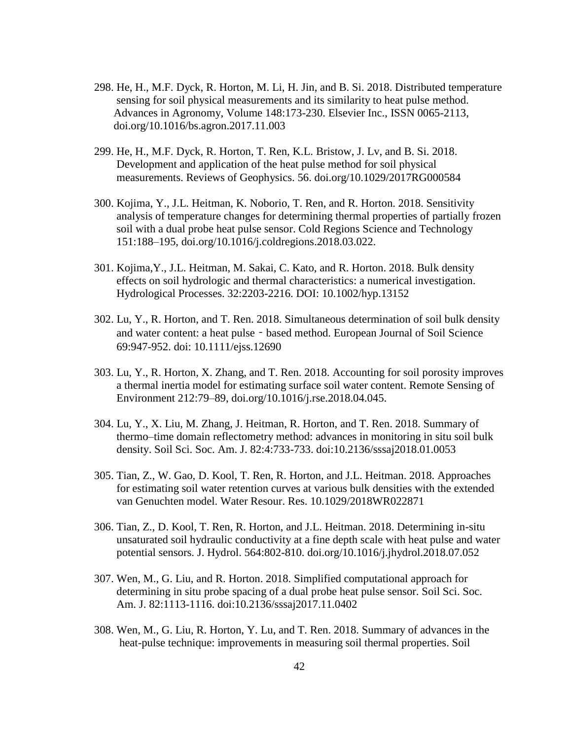- 298. He, H., M.F. Dyck, R. Horton, M. Li, H. Jin, and B. Si. 2018. Distributed temperature sensing for soil physical measurements and its similarity to heat pulse method. Advances in Agronomy, Volume 148:173-230. Elsevier Inc., ISSN 0065-2113, doi.org/10.1016/bs.agron.2017.11.003
- 299. He, H., M.F. Dyck, R. Horton, T. Ren, K.L. Bristow, J. Lv, and B. Si. 2018. Development and application of the heat pulse method for soil physical measurements. Reviews of Geophysics. 56. doi.org/10.1029/2017RG000584
- 300. Kojima, Y., J.L. Heitman, K. Noborio, T. Ren, and R. Horton. 2018. Sensitivity analysis of temperature changes for determining thermal properties of partially frozen soil with a dual probe heat pulse sensor. Cold Regions Science and Technology 151:188–195, doi.org/10.1016/j.coldregions.2018.03.022.
- 301. Kojima,Y., J.L. Heitman, M. Sakai, C. Kato, and R. Horton. 2018. Bulk density effects on soil hydrologic and thermal characteristics: a numerical investigation. Hydrological Processes. 32:2203-2216. DOI: 10.1002/hyp.13152
- 302. Lu, Y., R. Horton, and T. Ren. 2018. Simultaneous determination of soil bulk density and water content: a heat pulse - based method. European Journal of Soil Science 69:947-952. doi: 10.1111/ejss.12690
- 303. Lu, Y., R. Horton, X. Zhang, and T. Ren. 2018. Accounting for soil porosity improves a thermal inertia model for estimating surface soil water content. Remote Sensing of Environment 212:79–89, doi.org/10.1016/j.rse.2018.04.045.
- 304. Lu, Y., X. Liu, M. Zhang, J. Heitman, R. Horton, and T. Ren. 2018. Summary of thermo–time domain reflectometry method: advances in monitoring in situ soil bulk density. Soil Sci. Soc. Am. J. 82:4:733-733. doi:10.2136/sssaj2018.01.0053
- 305. Tian, Z., W. Gao, D. Kool, T. Ren, R. Horton, and J.L. Heitman. 2018. Approaches for estimating soil water retention curves at various bulk densities with the extended van Genuchten model. Water Resour. Res. 10.1029/2018WR022871
- 306. Tian, Z., D. Kool, T. Ren, R. Horton, and J.L. Heitman. 2018. Determining in-situ unsaturated soil hydraulic conductivity at a fine depth scale with heat pulse and water potential sensors. J. Hydrol. 564:802-810. doi.org/10.1016/j.jhydrol.2018.07.052
- 307. Wen, M., G. Liu, and R. Horton. 2018. Simplified computational approach for determining in situ probe spacing of a dual probe heat pulse sensor. Soil Sci. Soc. Am. J. 82:1113-1116. doi:10.2136/sssaj2017.11.0402
- 308. Wen, M., G. Liu, R. Horton, Y. Lu, and T. Ren. 2018. Summary of advances in the heat-pulse technique: improvements in measuring soil thermal properties. Soil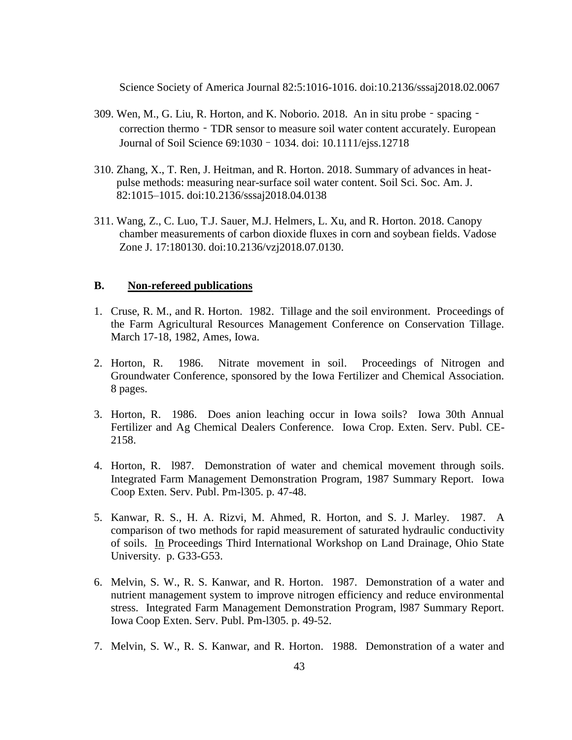Science Society of America Journal 82:5:1016-1016. doi:10.2136/sssaj2018.02.0067

- $309.$  Wen, M., G. Liu, R. Horton, and K. Noborio. 2018. An in situ probe spacing correction thermo - TDR sensor to measure soil water content accurately. European Journal of Soil Science 69:1030–1034. doi: 10.1111/ejss.12718
- 310. Zhang, X., T. Ren, J. Heitman, and R. Horton. 2018. Summary of advances in heat pulse methods: measuring near-surface soil water content. Soil Sci. Soc. Am. J. 82:1015–1015. doi:10.2136/sssaj2018.04.0138
- 311. Wang, Z., C. Luo, T.J. Sauer, M.J. Helmers, L. Xu, and R. Horton. 2018. Canopy chamber measurements of carbon dioxide fluxes in corn and soybean fields. Vadose Zone J. 17:180130. doi:10.2136/vzj2018.07.0130.

### **B. Non-refereed publications**

- 1. Cruse, R. M., and R. Horton. 1982. Tillage and the soil environment. Proceedings of the Farm Agricultural Resources Management Conference on Conservation Tillage. March 17-18, 1982, Ames, Iowa.
- 2. Horton, R. 1986. Nitrate movement in soil. Proceedings of Nitrogen and Groundwater Conference, sponsored by the Iowa Fertilizer and Chemical Association. 8 pages.
- 3. Horton, R. 1986. Does anion leaching occur in Iowa soils? Iowa 30th Annual Fertilizer and Ag Chemical Dealers Conference. Iowa Crop. Exten. Serv. Publ. CE-2158.
- 4. Horton, R. l987. Demonstration of water and chemical movement through soils. Integrated Farm Management Demonstration Program, 1987 Summary Report. Iowa Coop Exten. Serv. Publ. Pm-l305. p. 47-48.
- 5. Kanwar, R. S., H. A. Rizvi, M. Ahmed, R. Horton, and S. J. Marley. 1987. A comparison of two methods for rapid measurement of saturated hydraulic conductivity of soils. In Proceedings Third International Workshop on Land Drainage, Ohio State University. p. G33-G53.
- 6. Melvin, S. W., R. S. Kanwar, and R. Horton. 1987. Demonstration of a water and nutrient management system to improve nitrogen efficiency and reduce environmental stress. Integrated Farm Management Demonstration Program, l987 Summary Report. Iowa Coop Exten. Serv. Publ. Pm-l305. p. 49-52.
- 7. Melvin, S. W., R. S. Kanwar, and R. Horton. 1988. Demonstration of a water and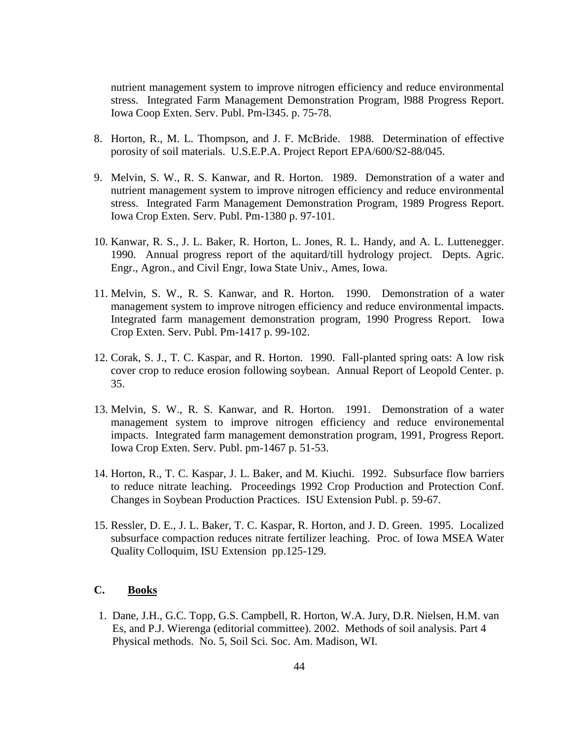nutrient management system to improve nitrogen efficiency and reduce environmental stress. Integrated Farm Management Demonstration Program, l988 Progress Report. Iowa Coop Exten. Serv. Publ. Pm-l345. p. 75-78.

- 8. Horton, R., M. L. Thompson, and J. F. McBride. 1988. Determination of effective porosity of soil materials. U.S.E.P.A. Project Report EPA/600/S2-88/045.
- 9. Melvin, S. W., R. S. Kanwar, and R. Horton. 1989. Demonstration of a water and nutrient management system to improve nitrogen efficiency and reduce environmental stress. Integrated Farm Management Demonstration Program, 1989 Progress Report. Iowa Crop Exten. Serv. Publ. Pm-1380 p. 97-101.
- 10. Kanwar, R. S., J. L. Baker, R. Horton, L. Jones, R. L. Handy, and A. L. Luttenegger. 1990. Annual progress report of the aquitard/till hydrology project. Depts. Agric. Engr., Agron., and Civil Engr, Iowa State Univ., Ames, Iowa.
- 11. Melvin, S. W., R. S. Kanwar, and R. Horton. 1990. Demonstration of a water management system to improve nitrogen efficiency and reduce environmental impacts. Integrated farm management demonstration program, 1990 Progress Report. Iowa Crop Exten. Serv. Publ. Pm-1417 p. 99-102.
- 12. Corak, S. J., T. C. Kaspar, and R. Horton. 1990. Fall-planted spring oats: A low risk cover crop to reduce erosion following soybean. Annual Report of Leopold Center. p. 35.
- 13. Melvin, S. W., R. S. Kanwar, and R. Horton. 1991. Demonstration of a water management system to improve nitrogen efficiency and reduce environemental impacts. Integrated farm management demonstration program, 1991, Progress Report. Iowa Crop Exten. Serv. Publ. pm-1467 p. 51-53.
- 14. Horton, R., T. C. Kaspar, J. L. Baker, and M. Kiuchi. 1992. Subsurface flow barriers to reduce nitrate leaching. Proceedings 1992 Crop Production and Protection Conf. Changes in Soybean Production Practices. ISU Extension Publ. p. 59-67.
- 15. Ressler, D. E., J. L. Baker, T. C. Kaspar, R. Horton, and J. D. Green. 1995. Localized subsurface compaction reduces nitrate fertilizer leaching. Proc. of Iowa MSEA Water Quality Colloquim, ISU Extension pp.125-129.

#### **C. Books**

1. Dane, J.H., G.C. Topp, G.S. Campbell, R. Horton, W.A. Jury, D.R. Nielsen, H.M. van Es, and P.J. Wierenga (editorial committee). 2002. Methods of soil analysis. Part 4 Physical methods. No. 5, Soil Sci. Soc. Am. Madison, WI.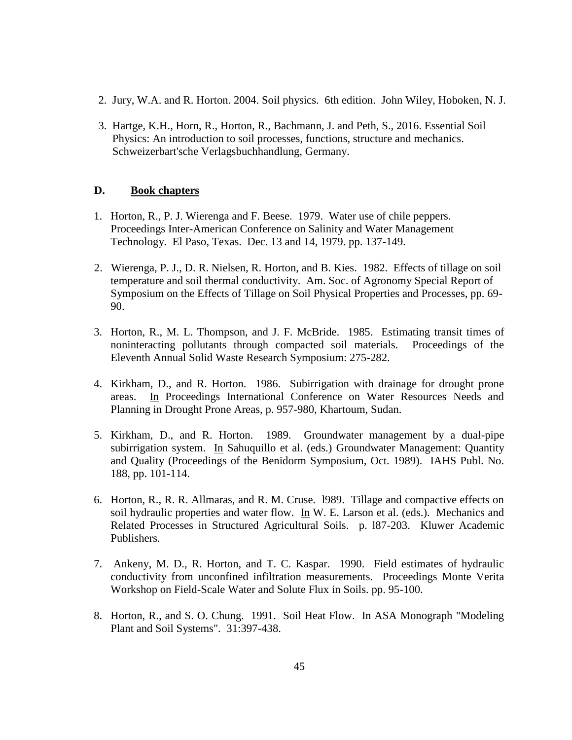- 2. Jury, W.A. and R. Horton. 2004. Soil physics. 6th edition. John Wiley, Hoboken, N. J.
- 3. Hartge, K.H., Horn, R., Horton, R., Bachmann, J. and Peth, S., 2016. Essential Soil Physics: An introduction to soil processes, functions, structure and mechanics. Schweizerbart'sche Verlagsbuchhandlung, Germany.

### **D. Book chapters**

- 1. Horton, R., P. J. Wierenga and F. Beese. 1979. Water use of chile peppers. Proceedings Inter-American Conference on Salinity and Water Management Technology. El Paso, Texas. Dec. 13 and 14, 1979. pp. 137-149.
- 2. Wierenga, P. J., D. R. Nielsen, R. Horton, and B. Kies. 1982. Effects of tillage on soil temperature and soil thermal conductivity. Am. Soc. of Agronomy Special Report of Symposium on the Effects of Tillage on Soil Physical Properties and Processes, pp. 69- 90.
- 3. Horton, R., M. L. Thompson, and J. F. McBride. 1985. Estimating transit times of noninteracting pollutants through compacted soil materials. Proceedings of the Eleventh Annual Solid Waste Research Symposium: 275-282.
- 4. Kirkham, D., and R. Horton. 1986. Subirrigation with drainage for drought prone areas. In Proceedings International Conference on Water Resources Needs and Planning in Drought Prone Areas, p. 957-980, Khartoum, Sudan.
- 5. Kirkham, D., and R. Horton. 1989. Groundwater management by a dual-pipe subirrigation system. In Sahuquillo et al. (eds.) Groundwater Management: Quantity and Quality (Proceedings of the Benidorm Symposium, Oct. 1989). IAHS Publ. No. 188, pp. 101-114.
- 6. Horton, R., R. R. Allmaras, and R. M. Cruse. l989. Tillage and compactive effects on soil hydraulic properties and water flow. In W. E. Larson et al. (eds.). Mechanics and Related Processes in Structured Agricultural Soils. p. l87-203. Kluwer Academic Publishers.
- 7. Ankeny, M. D., R. Horton, and T. C. Kaspar. 1990. Field estimates of hydraulic conductivity from unconfined infiltration measurements. Proceedings Monte Verita Workshop on Field-Scale Water and Solute Flux in Soils. pp. 95-100.
- 8. Horton, R., and S. O. Chung. 1991. Soil Heat Flow. In ASA Monograph "Modeling Plant and Soil Systems". 31:397-438.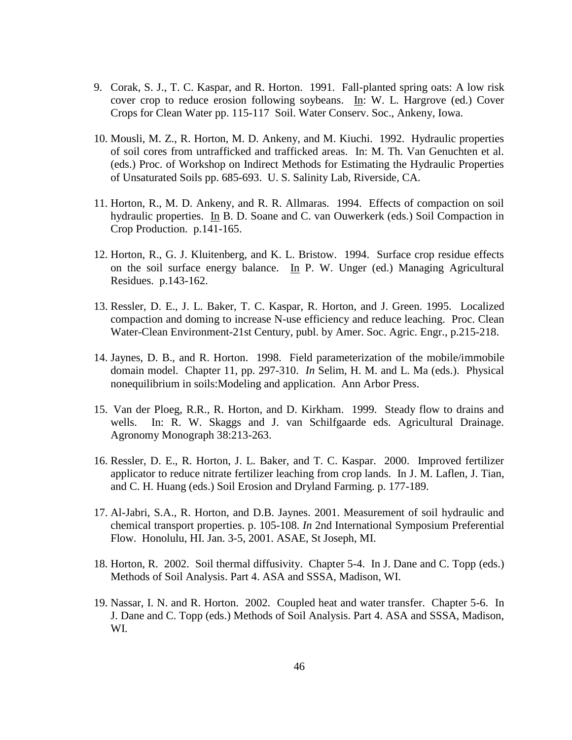- 9. Corak, S. J., T. C. Kaspar, and R. Horton. 1991. Fall-planted spring oats: A low risk cover crop to reduce erosion following soybeans. In: W. L. Hargrove (ed.) Cover Crops for Clean Water pp. 115-117 Soil. Water Conserv. Soc., Ankeny, Iowa.
- 10. Mousli, M. Z., R. Horton, M. D. Ankeny, and M. Kiuchi. 1992. Hydraulic properties of soil cores from untrafficked and trafficked areas. In: M. Th. Van Genuchten et al. (eds.) Proc. of Workshop on Indirect Methods for Estimating the Hydraulic Properties of Unsaturated Soils pp. 685-693. U. S. Salinity Lab, Riverside, CA.
- 11. Horton, R., M. D. Ankeny, and R. R. Allmaras. 1994. Effects of compaction on soil hydraulic properties. In B. D. Soane and C. van Ouwerkerk (eds.) Soil Compaction in Crop Production. p.141-165.
- 12. Horton, R., G. J. Kluitenberg, and K. L. Bristow. 1994. Surface crop residue effects on the soil surface energy balance. In P. W. Unger (ed.) Managing Agricultural Residues. p.143-162.
- 13. Ressler, D. E., J. L. Baker, T. C. Kaspar, R. Horton, and J. Green. 1995. Localized compaction and doming to increase N-use efficiency and reduce leaching. Proc. Clean Water-Clean Environment-21st Century, publ. by Amer. Soc. Agric. Engr., p.215-218.
- 14. Jaynes, D. B., and R. Horton. 1998. Field parameterization of the mobile/immobile domain model. Chapter 11, pp. 297-310. *In* Selim, H. M. and L. Ma (eds.). Physical nonequilibrium in soils:Modeling and application. Ann Arbor Press.
- 15. Van der Ploeg, R.R., R. Horton, and D. Kirkham. 1999. Steady flow to drains and wells. In: R. W. Skaggs and J. van Schilfgaarde eds. Agricultural Drainage. Agronomy Monograph 38:213-263.
- 16. Ressler, D. E., R. Horton, J. L. Baker, and T. C. Kaspar. 2000. Improved fertilizer applicator to reduce nitrate fertilizer leaching from crop lands. In J. M. Laflen, J. Tian, and C. H. Huang (eds.) Soil Erosion and Dryland Farming. p. 177-189.
- 17. Al-Jabri, S.A., R. Horton, and D.B. Jaynes. 2001. Measurement of soil hydraulic and chemical transport properties. p. 105-108. *In* 2nd International Symposium Preferential Flow. Honolulu, HI. Jan. 3-5, 2001. ASAE, St Joseph, MI.
- 18. Horton, R. 2002. Soil thermal diffusivity. Chapter 5-4. In J. Dane and C. Topp (eds.) Methods of Soil Analysis. Part 4. ASA and SSSA, Madison, WI.
- 19. Nassar, I. N. and R. Horton. 2002. Coupled heat and water transfer. Chapter 5-6. In J. Dane and C. Topp (eds.) Methods of Soil Analysis. Part 4. ASA and SSSA, Madison, WI.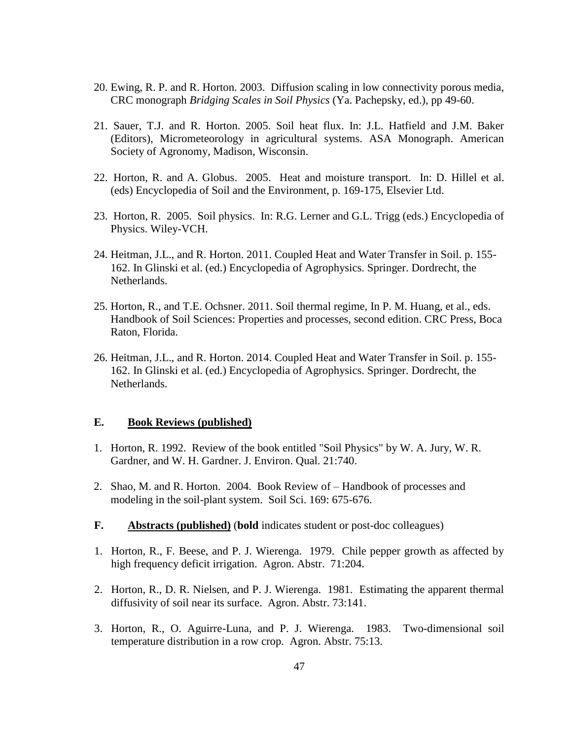- 20. Ewing, R. P. and R. Horton. 2003. Diffusion scaling in low connectivity porous media, CRC monograph *Bridging Scales in Soil Physics* (Ya. Pachepsky, ed.), pp 49-60.
- 21. Sauer, T.J. and R. Horton. 2005. Soil heat flux. In: J.L. Hatfield and J.M. Baker (Editors), Micrometeorology in agricultural systems. ASA Monograph. American Society of Agronomy, Madison, Wisconsin.
- 22. Horton, R. and A. Globus. 2005. Heat and moisture transport. In: D. Hillel et al. (eds) Encyclopedia of Soil and the Environment, p. 169-175, Elsevier Ltd.
- 23. Horton, R. 2005. Soil physics. In: R.G. Lerner and G.L. Trigg (eds.) Encyclopedia of Physics. Wiley-VCH.
- 24. Heitman, J.L., and R. Horton. 2011. Coupled Heat and Water Transfer in Soil. p. 155- 162. In Glinski et al. (ed.) Encyclopedia of Agrophysics. Springer. Dordrecht, the Netherlands.
- 25. Horton, R., and T.E. Ochsner. 2011. Soil thermal regime, In P. M. Huang, et al., eds. Handbook of Soil Sciences: Properties and processes, second edition. CRC Press, Boca Raton, Florida.
- 26. Heitman, J.L., and R. Horton. 2014. Coupled Heat and Water Transfer in Soil. p. 155- 162. In Glinski et al. (ed.) Encyclopedia of Agrophysics. Springer. Dordrecht, the Netherlands.

### **E. Book Reviews (published)**

- 1. Horton, R. 1992. Review of the book entitled "Soil Physics" by W. A. Jury, W. R. Gardner, and W. H. Gardner. J. Environ. Qual. 21:740.
- 2. Shao, M. and R. Horton. 2004. Book Review of Handbook of processes and modeling in the soil-plant system. Soil Sci. 169: 675-676.
- **F. Abstracts (published)** (**bold** indicates student or post-doc colleagues)
- 1. Horton, R., F. Beese, and P. J. Wierenga. 1979. Chile pepper growth as affected by high frequency deficit irrigation. Agron. Abstr. 71:204.
- 2. Horton, R., D. R. Nielsen, and P. J. Wierenga. 1981. Estimating the apparent thermal diffusivity of soil near its surface. Agron. Abstr. 73:141.
- 3. Horton, R., O. Aguirre-Luna, and P. J. Wierenga. 1983. Two-dimensional soil temperature distribution in a row crop. Agron. Abstr. 75:13.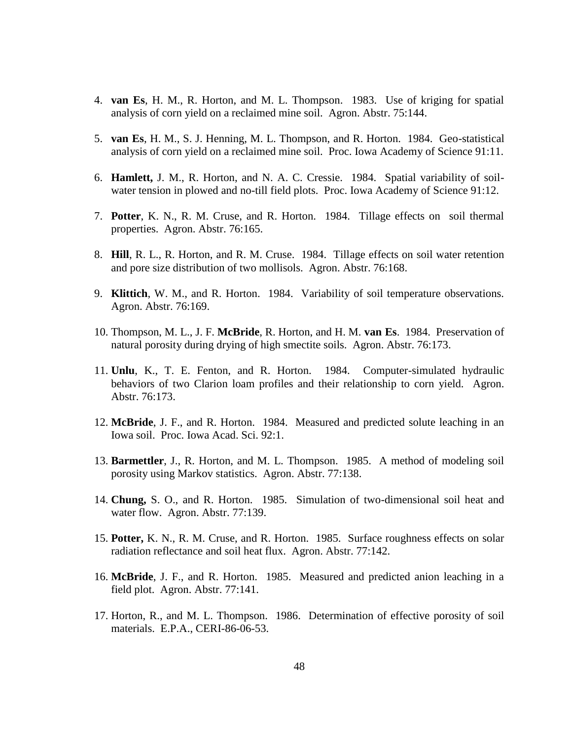- 4. **van Es**, H. M., R. Horton, and M. L. Thompson. 1983. Use of kriging for spatial analysis of corn yield on a reclaimed mine soil. Agron. Abstr. 75:144.
- 5. **van Es**, H. M., S. J. Henning, M. L. Thompson, and R. Horton. 1984. Geo-statistical analysis of corn yield on a reclaimed mine soil. Proc. Iowa Academy of Science 91:11.
- 6. **Hamlett,** J. M., R. Horton, and N. A. C. Cressie. 1984. Spatial variability of soilwater tension in plowed and no-till field plots. Proc. Iowa Academy of Science 91:12.
- 7. **Potter**, K. N., R. M. Cruse, and R. Horton. 1984. Tillage effects on soil thermal properties. Agron. Abstr. 76:165.
- 8. **Hill**, R. L., R. Horton, and R. M. Cruse. 1984. Tillage effects on soil water retention and pore size distribution of two mollisols. Agron. Abstr. 76:168.
- 9. **Klittich**, W. M., and R. Horton. 1984. Variability of soil temperature observations. Agron. Abstr. 76:169.
- 10. Thompson, M. L., J. F. **McBride**, R. Horton, and H. M. **van Es**. 1984. Preservation of natural porosity during drying of high smectite soils. Agron. Abstr. 76:173.
- 11. **Unlu**, K., T. E. Fenton, and R. Horton. 1984. Computer-simulated hydraulic behaviors of two Clarion loam profiles and their relationship to corn yield. Agron. Abstr. 76:173.
- 12. **McBride**, J. F., and R. Horton. 1984. Measured and predicted solute leaching in an Iowa soil. Proc. Iowa Acad. Sci. 92:1.
- 13. **Barmettler**, J., R. Horton, and M. L. Thompson. 1985. A method of modeling soil porosity using Markov statistics. Agron. Abstr. 77:138.
- 14. **Chung,** S. O., and R. Horton. 1985. Simulation of two-dimensional soil heat and water flow. Agron. Abstr. 77:139.
- 15. **Potter,** K. N., R. M. Cruse, and R. Horton. 1985. Surface roughness effects on solar radiation reflectance and soil heat flux. Agron. Abstr. 77:142.
- 16. **McBride**, J. F., and R. Horton. 1985. Measured and predicted anion leaching in a field plot. Agron. Abstr. 77:141.
- 17. Horton, R., and M. L. Thompson. 1986. Determination of effective porosity of soil materials. E.P.A., CERI-86-06-53.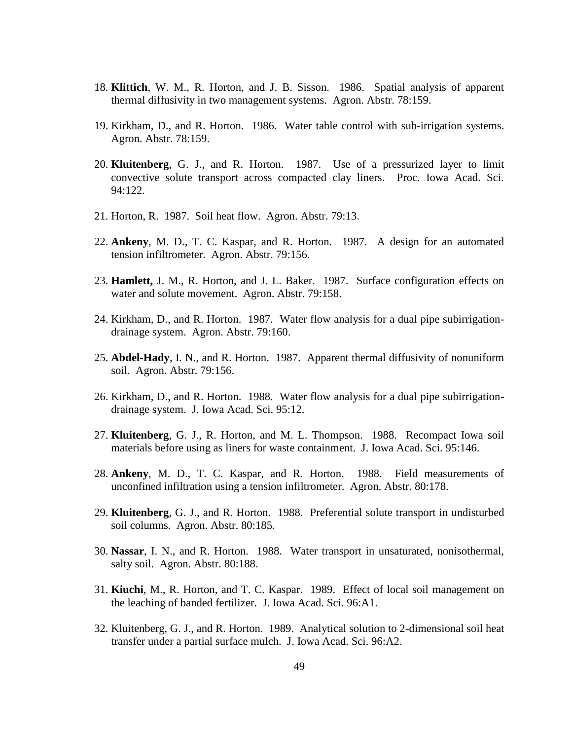- 18. **Klittich**, W. M., R. Horton, and J. B. Sisson. 1986. Spatial analysis of apparent thermal diffusivity in two management systems. Agron. Abstr. 78:159.
- 19. Kirkham, D., and R. Horton. 1986. Water table control with sub-irrigation systems. Agron. Abstr. 78:159.
- 20. **Kluitenberg**, G. J., and R. Horton. 1987. Use of a pressurized layer to limit convective solute transport across compacted clay liners. Proc. Iowa Acad. Sci. 94:122.
- 21. Horton, R. 1987. Soil heat flow. Agron. Abstr. 79:13.
- 22. **Ankeny**, M. D., T. C. Kaspar, and R. Horton. 1987. A design for an automated tension infiltrometer. Agron. Abstr. 79:156.
- 23. **Hamlett,** J. M., R. Horton, and J. L. Baker. 1987. Surface configuration effects on water and solute movement. Agron. Abstr. 79:158.
- 24. Kirkham, D., and R. Horton. 1987. Water flow analysis for a dual pipe subirrigationdrainage system. Agron. Abstr. 79:160.
- 25. **Abdel-Hady**, I. N., and R. Horton. 1987. Apparent thermal diffusivity of nonuniform soil. Agron. Abstr. 79:156.
- 26. Kirkham, D., and R. Horton. 1988. Water flow analysis for a dual pipe subirrigationdrainage system. J. Iowa Acad. Sci. 95:12.
- 27. **Kluitenberg**, G. J., R. Horton, and M. L. Thompson. 1988. Recompact Iowa soil materials before using as liners for waste containment. J. Iowa Acad. Sci. 95:146.
- 28. **Ankeny**, M. D., T. C. Kaspar, and R. Horton. 1988. Field measurements of unconfined infiltration using a tension infiltrometer. Agron. Abstr. 80:178.
- 29. **Kluitenberg**, G. J., and R. Horton. 1988. Preferential solute transport in undisturbed soil columns. Agron. Abstr. 80:185.
- 30. **Nassar**, I. N., and R. Horton. 1988. Water transport in unsaturated, nonisothermal, salty soil. Agron. Abstr. 80:188.
- 31. **Kiuchi**, M., R. Horton, and T. C. Kaspar. 1989. Effect of local soil management on the leaching of banded fertilizer. J. Iowa Acad. Sci. 96:A1.
- 32. Kluitenberg, G. J., and R. Horton. 1989. Analytical solution to 2-dimensional soil heat transfer under a partial surface mulch. J. Iowa Acad. Sci. 96:A2.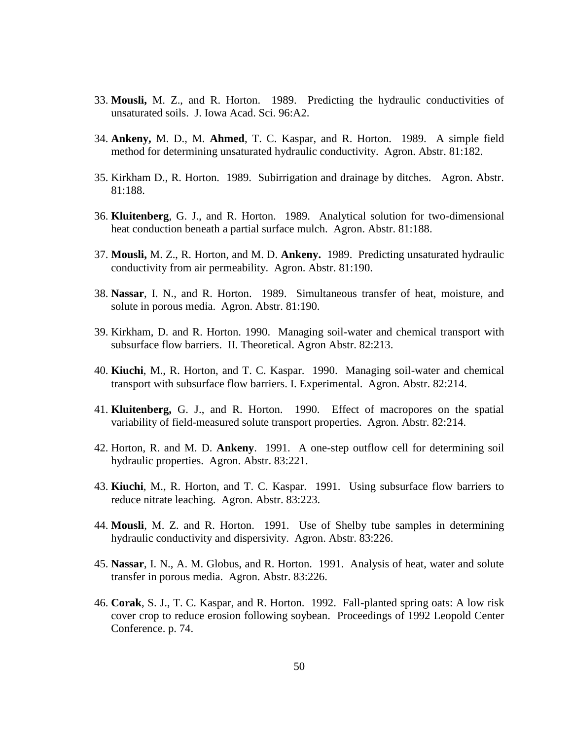- 33. **Mousli,** M. Z., and R. Horton. 1989. Predicting the hydraulic conductivities of unsaturated soils. J. Iowa Acad. Sci. 96:A2.
- 34. **Ankeny,** M. D., M. **Ahmed**, T. C. Kaspar, and R. Horton. 1989. A simple field method for determining unsaturated hydraulic conductivity. Agron. Abstr. 81:182.
- 35. Kirkham D., R. Horton. 1989. Subirrigation and drainage by ditches. Agron. Abstr. 81:188.
- 36. **Kluitenberg**, G. J., and R. Horton. 1989. Analytical solution for two-dimensional heat conduction beneath a partial surface mulch. Agron. Abstr. 81:188.
- 37. **Mousli,** M. Z., R. Horton, and M. D. **Ankeny.** 1989. Predicting unsaturated hydraulic conductivity from air permeability. Agron. Abstr. 81:190.
- 38. **Nassar**, I. N., and R. Horton. 1989. Simultaneous transfer of heat, moisture, and solute in porous media. Agron. Abstr. 81:190.
- 39. Kirkham, D. and R. Horton. 1990. Managing soil-water and chemical transport with subsurface flow barriers. II. Theoretical. Agron Abstr. 82:213.
- 40. **Kiuchi**, M., R. Horton, and T. C. Kaspar. 1990. Managing soil-water and chemical transport with subsurface flow barriers. I. Experimental. Agron. Abstr. 82:214.
- 41. **Kluitenberg,** G. J., and R. Horton. 1990. Effect of macropores on the spatial variability of field-measured solute transport properties. Agron. Abstr. 82:214.
- 42. Horton, R. and M. D. **Ankeny**. 1991. A one-step outflow cell for determining soil hydraulic properties. Agron. Abstr. 83:221.
- 43. **Kiuchi**, M., R. Horton, and T. C. Kaspar. 1991. Using subsurface flow barriers to reduce nitrate leaching. Agron. Abstr. 83:223.
- 44. **Mousli**, M. Z. and R. Horton. 1991. Use of Shelby tube samples in determining hydraulic conductivity and dispersivity. Agron. Abstr. 83:226.
- 45. **Nassar**, I. N., A. M. Globus, and R. Horton. 1991. Analysis of heat, water and solute transfer in porous media. Agron. Abstr. 83:226.
- 46. **Corak**, S. J., T. C. Kaspar, and R. Horton. 1992. Fall-planted spring oats: A low risk cover crop to reduce erosion following soybean. Proceedings of 1992 Leopold Center Conference. p. 74.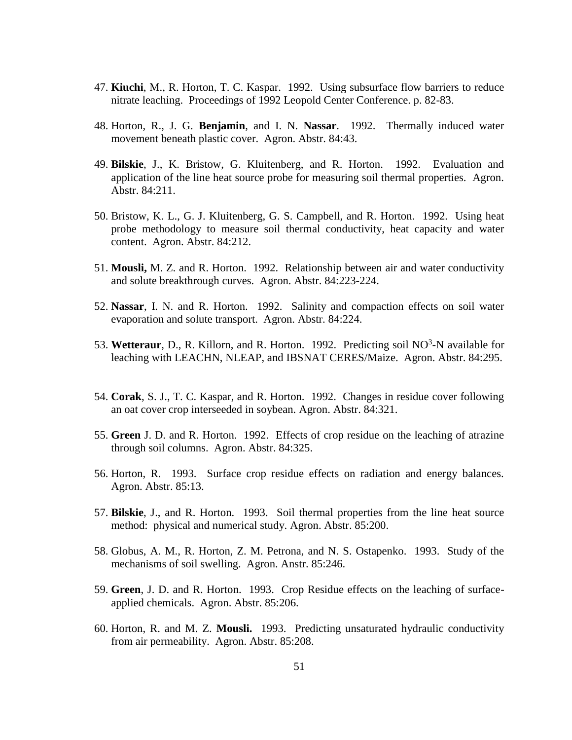- 47. **Kiuchi**, M., R. Horton, T. C. Kaspar. 1992. Using subsurface flow barriers to reduce nitrate leaching. Proceedings of 1992 Leopold Center Conference. p. 82-83.
- 48. Horton, R., J. G. **Benjamin**, and I. N. **Nassar**. 1992. Thermally induced water movement beneath plastic cover. Agron. Abstr. 84:43.
- 49. **Bilskie**, J., K. Bristow, G. Kluitenberg, and R. Horton. 1992. Evaluation and application of the line heat source probe for measuring soil thermal properties. Agron. Abstr. 84:211.
- 50. Bristow, K. L., G. J. Kluitenberg, G. S. Campbell, and R. Horton. 1992. Using heat probe methodology to measure soil thermal conductivity, heat capacity and water content. Agron. Abstr. 84:212.
- 51. **Mousli,** M. Z. and R. Horton. 1992. Relationship between air and water conductivity and solute breakthrough curves. Agron. Abstr. 84:223-224.
- 52. **Nassar**, I. N. and R. Horton. 1992. Salinity and compaction effects on soil water evaporation and solute transport. Agron. Abstr. 84:224.
- 53. Wetteraur, D., R. Killorn, and R. Horton. 1992. Predicting soil NO<sup>3</sup>-N available for leaching with LEACHN, NLEAP, and IBSNAT CERES/Maize. Agron. Abstr. 84:295.
- 54. **Corak**, S. J., T. C. Kaspar, and R. Horton. 1992. Changes in residue cover following an oat cover crop interseeded in soybean. Agron. Abstr. 84:321.
- 55. **Green** J. D. and R. Horton. 1992. Effects of crop residue on the leaching of atrazine through soil columns. Agron. Abstr. 84:325.
- 56. Horton, R. 1993. Surface crop residue effects on radiation and energy balances. Agron. Abstr. 85:13.
- 57. **Bilskie**, J., and R. Horton. 1993. Soil thermal properties from the line heat source method: physical and numerical study. Agron. Abstr. 85:200.
- 58. Globus, A. M., R. Horton, Z. M. Petrona, and N. S. Ostapenko. 1993. Study of the mechanisms of soil swelling. Agron. Anstr. 85:246.
- 59. **Green**, J. D. and R. Horton. 1993. Crop Residue effects on the leaching of surfaceapplied chemicals. Agron. Abstr. 85:206.
- 60. Horton, R. and M. Z. **Mousli.** 1993. Predicting unsaturated hydraulic conductivity from air permeability. Agron. Abstr. 85:208.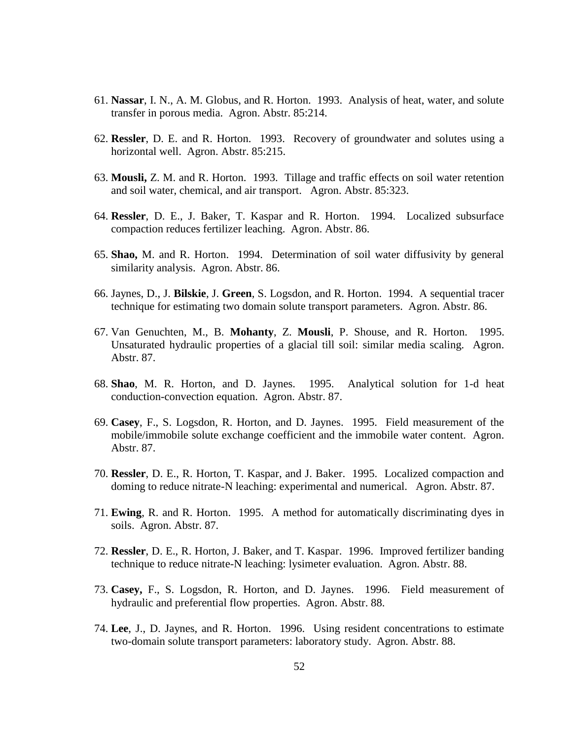- 61. **Nassar**, I. N., A. M. Globus, and R. Horton. 1993. Analysis of heat, water, and solute transfer in porous media. Agron. Abstr. 85:214.
- 62. **Ressler**, D. E. and R. Horton. 1993. Recovery of groundwater and solutes using a horizontal well. Agron. Abstr. 85:215.
- 63. **Mousli,** Z. M. and R. Horton. 1993. Tillage and traffic effects on soil water retention and soil water, chemical, and air transport. Agron. Abstr. 85:323.
- 64. **Ressler**, D. E., J. Baker, T. Kaspar and R. Horton. 1994. Localized subsurface compaction reduces fertilizer leaching. Agron. Abstr. 86.
- 65. **Shao,** M. and R. Horton. 1994. Determination of soil water diffusivity by general similarity analysis. Agron. Abstr. 86.
- 66. Jaynes, D., J. **Bilskie**, J. **Green**, S. Logsdon, and R. Horton. 1994. A sequential tracer technique for estimating two domain solute transport parameters. Agron. Abstr. 86.
- 67. Van Genuchten, M., B. **Mohanty**, Z. **Mousli**, P. Shouse, and R. Horton. 1995. Unsaturated hydraulic properties of a glacial till soil: similar media scaling. Agron. Abstr. 87.
- 68. **Shao**, M. R. Horton, and D. Jaynes. 1995. Analytical solution for 1-d heat conduction-convection equation. Agron. Abstr. 87.
- 69. **Casey**, F., S. Logsdon, R. Horton, and D. Jaynes. 1995. Field measurement of the mobile/immobile solute exchange coefficient and the immobile water content. Agron. Abstr. 87.
- 70. **Ressler**, D. E., R. Horton, T. Kaspar, and J. Baker. 1995. Localized compaction and doming to reduce nitrate-N leaching: experimental and numerical. Agron. Abstr. 87.
- 71. **Ewing**, R. and R. Horton. 1995. A method for automatically discriminating dyes in soils. Agron. Abstr. 87.
- 72. **Ressler**, D. E., R. Horton, J. Baker, and T. Kaspar. 1996. Improved fertilizer banding technique to reduce nitrate-N leaching: lysimeter evaluation. Agron. Abstr. 88.
- 73. **Casey,** F., S. Logsdon, R. Horton, and D. Jaynes. 1996. Field measurement of hydraulic and preferential flow properties. Agron. Abstr. 88.
- 74. **Lee**, J., D. Jaynes, and R. Horton. 1996. Using resident concentrations to estimate two-domain solute transport parameters: laboratory study. Agron. Abstr. 88.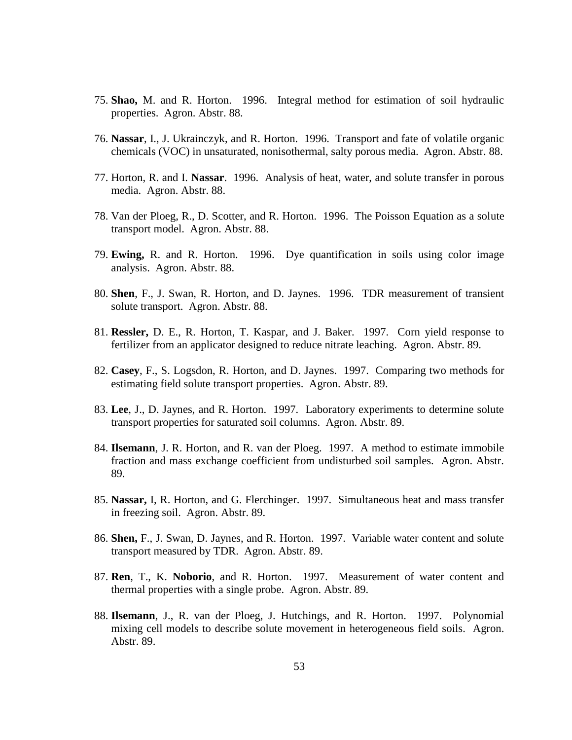- 75. **Shao,** M. and R. Horton. 1996. Integral method for estimation of soil hydraulic properties. Agron. Abstr. 88.
- 76. **Nassar**, I., J. Ukrainczyk, and R. Horton. 1996. Transport and fate of volatile organic chemicals (VOC) in unsaturated, nonisothermal, salty porous media. Agron. Abstr. 88.
- 77. Horton, R. and I. **Nassar**. 1996. Analysis of heat, water, and solute transfer in porous media. Agron. Abstr. 88.
- 78. Van der Ploeg, R., D. Scotter, and R. Horton. 1996. The Poisson Equation as a solute transport model. Agron. Abstr. 88.
- 79. **Ewing,** R. and R. Horton. 1996. Dye quantification in soils using color image analysis. Agron. Abstr. 88.
- 80. **Shen**, F., J. Swan, R. Horton, and D. Jaynes. 1996. TDR measurement of transient solute transport. Agron. Abstr. 88.
- 81. **Ressler,** D. E., R. Horton, T. Kaspar, and J. Baker. 1997. Corn yield response to fertilizer from an applicator designed to reduce nitrate leaching. Agron. Abstr. 89.
- 82. **Casey**, F., S. Logsdon, R. Horton, and D. Jaynes. 1997. Comparing two methods for estimating field solute transport properties. Agron. Abstr. 89.
- 83. **Lee**, J., D. Jaynes, and R. Horton. 1997. Laboratory experiments to determine solute transport properties for saturated soil columns. Agron. Abstr. 89.
- 84. **Ilsemann**, J. R. Horton, and R. van der Ploeg. 1997. A method to estimate immobile fraction and mass exchange coefficient from undisturbed soil samples. Agron. Abstr. 89.
- 85. **Nassar,** I, R. Horton, and G. Flerchinger. 1997. Simultaneous heat and mass transfer in freezing soil. Agron. Abstr. 89.
- 86. **Shen,** F., J. Swan, D. Jaynes, and R. Horton. 1997. Variable water content and solute transport measured by TDR. Agron. Abstr. 89.
- 87. **Ren**, T., K. **Noborio**, and R. Horton. 1997. Measurement of water content and thermal properties with a single probe. Agron. Abstr. 89.
- 88. **Ilsemann**, J., R. van der Ploeg, J. Hutchings, and R. Horton. 1997. Polynomial mixing cell models to describe solute movement in heterogeneous field soils. Agron. Abstr. 89.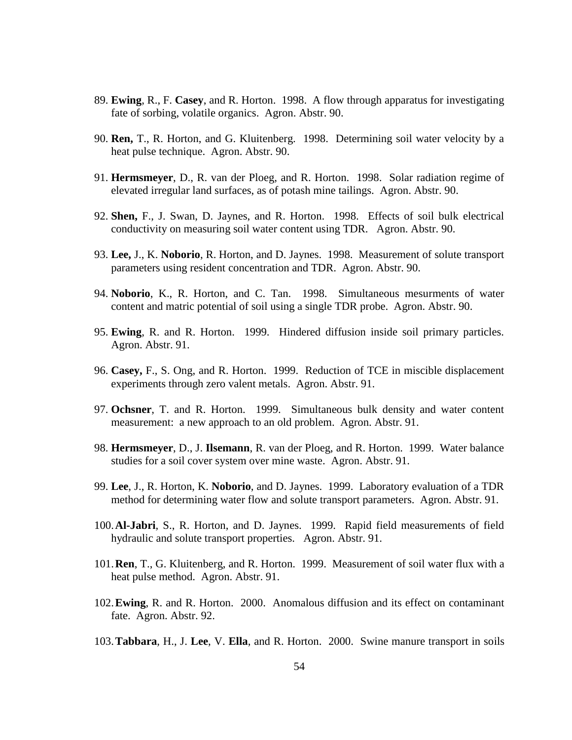- 89. **Ewing**, R., F. **Casey**, and R. Horton. 1998. A flow through apparatus for investigating fate of sorbing, volatile organics. Agron. Abstr. 90.
- 90. **Ren,** T., R. Horton, and G. Kluitenberg. 1998. Determining soil water velocity by a heat pulse technique. Agron. Abstr. 90.
- 91. **Hermsmeyer**, D., R. van der Ploeg, and R. Horton. 1998. Solar radiation regime of elevated irregular land surfaces, as of potash mine tailings. Agron. Abstr. 90.
- 92. **Shen,** F., J. Swan, D. Jaynes, and R. Horton. 1998. Effects of soil bulk electrical conductivity on measuring soil water content using TDR. Agron. Abstr. 90.
- 93. **Lee,** J., K. **Noborio**, R. Horton, and D. Jaynes. 1998. Measurement of solute transport parameters using resident concentration and TDR. Agron. Abstr. 90.
- 94. **Noborio**, K., R. Horton, and C. Tan. 1998. Simultaneous mesurments of water content and matric potential of soil using a single TDR probe. Agron. Abstr. 90.
- 95. **Ewing**, R. and R. Horton. 1999. Hindered diffusion inside soil primary particles. Agron. Abstr. 91.
- 96. **Casey,** F., S. Ong, and R. Horton. 1999. Reduction of TCE in miscible displacement experiments through zero valent metals. Agron. Abstr. 91.
- 97. **Ochsner**, T. and R. Horton. 1999. Simultaneous bulk density and water content measurement: a new approach to an old problem. Agron. Abstr. 91.
- 98. **Hermsmeyer**, D., J. **Ilsemann**, R. van der Ploeg, and R. Horton. 1999. Water balance studies for a soil cover system over mine waste. Agron. Abstr. 91.
- 99. **Lee**, J., R. Horton, K. **Noborio**, and D. Jaynes. 1999. Laboratory evaluation of a TDR method for determining water flow and solute transport parameters. Agron. Abstr. 91.
- 100.**Al-Jabri**, S., R. Horton, and D. Jaynes. 1999. Rapid field measurements of field hydraulic and solute transport properties. Agron. Abstr. 91.
- 101.**Ren**, T., G. Kluitenberg, and R. Horton. 1999. Measurement of soil water flux with a heat pulse method. Agron. Abstr. 91.
- 102.**Ewing**, R. and R. Horton. 2000. Anomalous diffusion and its effect on contaminant fate. Agron. Abstr. 92.
- 103.**Tabbara**, H., J. **Lee**, V. **Ella**, and R. Horton. 2000. Swine manure transport in soils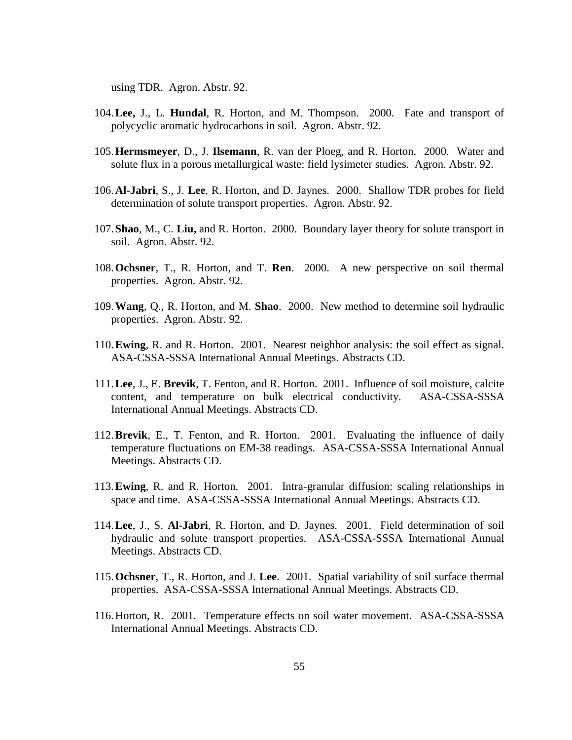using TDR. Agron. Abstr. 92.

- 104.**Lee,** J., L. **Hundal**, R. Horton, and M. Thompson. 2000. Fate and transport of polycyclic aromatic hydrocarbons in soil. Agron. Abstr. 92.
- 105.**Hermsmeyer**, D., J. **Ilsemann**, R. van der Ploeg, and R. Horton. 2000. Water and solute flux in a porous metallurgical waste: field lysimeter studies. Agron. Abstr. 92.
- 106.**Al-Jabri**, S., J. **Lee**, R. Horton, and D. Jaynes. 2000. Shallow TDR probes for field determination of solute transport properties. Agron. Abstr. 92.
- 107.**Shao**, M., C. **Liu,** and R. Horton. 2000. Boundary layer theory for solute transport in soil. Agron. Abstr. 92.
- 108.**Ochsner**, T., R. Horton, and T. **Ren**. 2000. A new perspective on soil thermal properties. Agron. Abstr. 92.
- 109.**Wang**, Q., R. Horton, and M. **Shao**. 2000. New method to determine soil hydraulic properties. Agron. Abstr. 92.
- 110.**Ewing**, R. and R. Horton. 2001. Nearest neighbor analysis: the soil effect as signal. ASA-CSSA-SSSA International Annual Meetings. Abstracts CD.
- 111.**Lee**, J., E. **Brevik**, T. Fenton, and R. Horton. 2001. Influence of soil moisture, calcite content, and temperature on bulk electrical conductivity. ASA-CSSA-SSSA International Annual Meetings. Abstracts CD.
- 112.**Brevik**, E., T. Fenton, and R. Horton. 2001. Evaluating the influence of daily temperature fluctuations on EM-38 readings. ASA-CSSA-SSSA International Annual Meetings. Abstracts CD.
- 113.**Ewing**, R. and R. Horton. 2001. Intra-granular diffusion: scaling relationships in space and time. ASA-CSSA-SSSA International Annual Meetings. Abstracts CD.
- 114.**Lee**, J., S. **Al-Jabri**, R. Horton, and D. Jaynes. 2001. Field determination of soil hydraulic and solute transport properties. ASA-CSSA-SSSA International Annual Meetings. Abstracts CD.
- 115.**Ochsner**, T., R. Horton, and J. **Lee**. 2001. Spatial variability of soil surface thermal properties. ASA-CSSA-SSSA International Annual Meetings. Abstracts CD.
- 116.Horton, R. 2001. Temperature effects on soil water movement. ASA-CSSA-SSSA International Annual Meetings. Abstracts CD.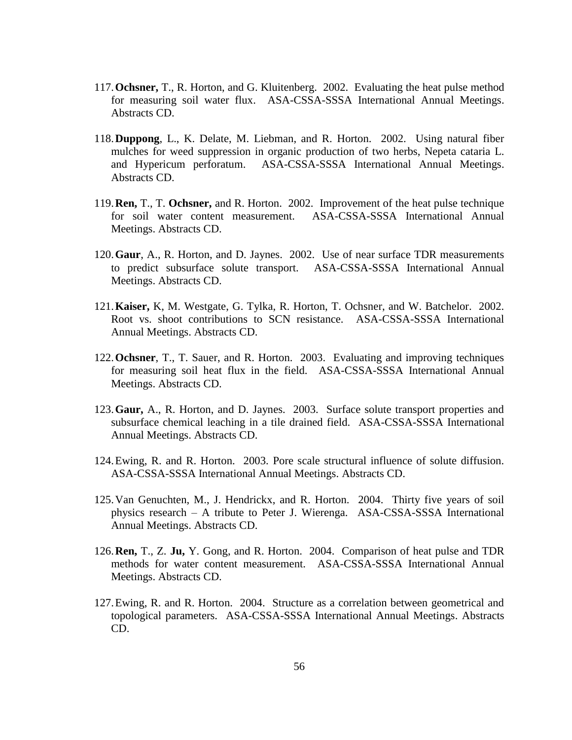- 117.**Ochsner,** T., R. Horton, and G. Kluitenberg. 2002. Evaluating the heat pulse method for measuring soil water flux. ASA-CSSA-SSSA International Annual Meetings. Abstracts CD.
- 118.**Duppong**, L., K. Delate, M. Liebman, and R. Horton. 2002. Using natural fiber mulches for weed suppression in organic production of two herbs, Nepeta cataria L. and Hypericum perforatum. ASA-CSSA-SSSA International Annual Meetings. Abstracts CD.
- 119.**Ren,** T., T. **Ochsner,** and R. Horton. 2002. Improvement of the heat pulse technique for soil water content measurement. ASA-CSSA-SSSA International Annual Meetings. Abstracts CD.
- 120.**Gaur**, A., R. Horton, and D. Jaynes. 2002. Use of near surface TDR measurements to predict subsurface solute transport. ASA-CSSA-SSSA International Annual Meetings. Abstracts CD.
- 121.**Kaiser,** K, M. Westgate, G. Tylka, R. Horton, T. Ochsner, and W. Batchelor. 2002. Root vs. shoot contributions to SCN resistance. ASA-CSSA-SSSA International Annual Meetings. Abstracts CD.
- 122.**Ochsner**, T., T. Sauer, and R. Horton. 2003. Evaluating and improving techniques for measuring soil heat flux in the field. ASA-CSSA-SSSA International Annual Meetings. Abstracts CD.
- 123.**Gaur,** A., R. Horton, and D. Jaynes. 2003. Surface solute transport properties and subsurface chemical leaching in a tile drained field. ASA-CSSA-SSSA International Annual Meetings. Abstracts CD.
- 124.Ewing, R. and R. Horton. 2003. Pore scale structural influence of solute diffusion. ASA-CSSA-SSSA International Annual Meetings. Abstracts CD.
- 125.Van Genuchten, M., J. Hendrickx, and R. Horton. 2004. Thirty five years of soil physics research – A tribute to Peter J. Wierenga. ASA-CSSA-SSSA International Annual Meetings. Abstracts CD.
- 126.**Ren,** T., Z. **Ju,** Y. Gong, and R. Horton. 2004. Comparison of heat pulse and TDR methods for water content measurement. ASA-CSSA-SSSA International Annual Meetings. Abstracts CD.
- 127.Ewing, R. and R. Horton. 2004. Structure as a correlation between geometrical and topological parameters. ASA-CSSA-SSSA International Annual Meetings. Abstracts CD.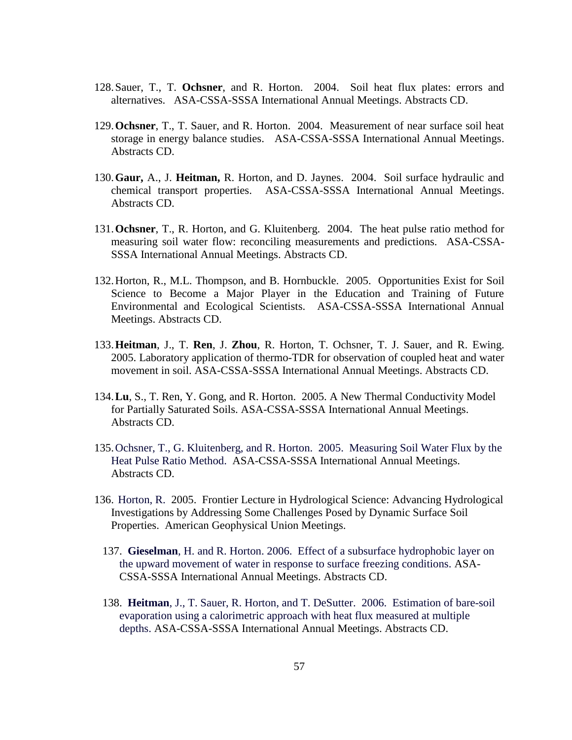- 128.Sauer, T., T. **Ochsner**, and R. Horton. 2004. Soil heat flux plates: errors and alternatives. ASA-CSSA-SSSA International Annual Meetings. Abstracts CD.
- 129.**Ochsner**, T., T. Sauer, and R. Horton. 2004. Measurement of near surface soil heat storage in energy balance studies. ASA-CSSA-SSSA International Annual Meetings. Abstracts CD.
- 130.**Gaur,** A., J. **Heitman,** R. Horton, and D. Jaynes. 2004. Soil surface hydraulic and chemical transport properties. ASA-CSSA-SSSA International Annual Meetings. Abstracts CD.
- 131.**Ochsner**, T., R. Horton, and G. Kluitenberg. 2004. The heat pulse ratio method for measuring soil water flow: reconciling measurements and predictions. ASA-CSSA-SSSA International Annual Meetings. Abstracts CD.
- 132.Horton, R., M.L. Thompson, and B. Hornbuckle. 2005. Opportunities Exist for Soil Science to Become a Major Player in the Education and Training of Future Environmental and Ecological Scientists. ASA-CSSA-SSSA International Annual Meetings. Abstracts CD.
- 133.**Heitman**, J., T. **Ren**, J. **Zhou**, R. Horton, T. Ochsner, T. J. Sauer, and R. Ewing. 2005. Laboratory application of thermo-TDR for observation of coupled heat and water movement in soil. ASA-CSSA-SSSA International Annual Meetings. Abstracts CD.
- 134.**Lu**, S., T. Ren, Y. Gong, and R. Horton. 2005. A New Thermal Conductivity Model for Partially Saturated Soils. ASA-CSSA-SSSA International Annual Meetings. Abstracts CD.
- 135.Ochsner, T., G. Kluitenberg, and R. Horton. 2005. Measuring Soil Water Flux by the Heat Pulse Ratio Method. ASA-CSSA-SSSA International Annual Meetings. Abstracts CD.
- 136. Horton, R. 2005. Frontier Lecture in Hydrological Science: Advancing Hydrological Investigations by Addressing Some Challenges Posed by Dynamic Surface Soil Properties. American Geophysical Union Meetings.
	- 137. **Gieselman**, H. and R. Horton. 2006. Effect of a subsurface hydrophobic layer on the upward movement of water in response to surface freezing conditions. ASA-CSSA-SSSA International Annual Meetings. Abstracts CD.
	- 138. **Heitman**, J., T. Sauer, R. Horton, and T. DeSutter. 2006. Estimation of bare-soil evaporation using a calorimetric approach with heat flux measured at multiple depths. ASA-CSSA-SSSA International Annual Meetings. Abstracts CD.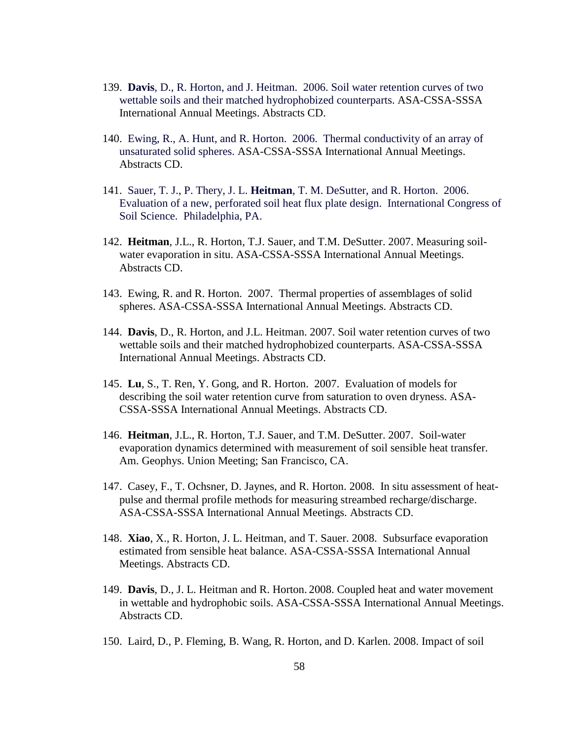- 139. **Davis**, D., R. Horton, and J. Heitman. 2006. Soil water retention curves of two wettable soils and their matched hydrophobized counterparts. ASA-CSSA-SSSA International Annual Meetings. Abstracts CD.
- 140. Ewing, R., A. Hunt, and R. Horton. 2006. Thermal conductivity of an array of unsaturated solid spheres. ASA-CSSA-SSSA International Annual Meetings. Abstracts CD.
- 141. Sauer, T. J., P. Thery, J. L. **Heitman**, T. M. DeSutter, and R. Horton. 2006. Evaluation of a new, perforated soil heat flux plate design. International Congress of Soil Science. Philadelphia, PA.
- 142. **Heitman**, J.L., R. Horton, T.J. Sauer, and T.M. DeSutter. 2007. Measuring soilwater evaporation in situ. ASA-CSSA-SSSA International Annual Meetings. Abstracts CD.
- 143. Ewing, R. and R. Horton. 2007. Thermal properties of assemblages of solid spheres. ASA-CSSA-SSSA International Annual Meetings. Abstracts CD.
- 144. **Davis**, D., R. Horton, and J.L. Heitman. 2007. Soil water retention curves of two wettable soils and their matched hydrophobized counterparts. ASA-CSSA-SSSA International Annual Meetings. Abstracts CD.
- 145. **Lu**, S., T. Ren, Y. Gong, and R. Horton. 2007. Evaluation of models for describing the soil water retention curve from saturation to oven dryness. ASA-CSSA-SSSA International Annual Meetings. Abstracts CD.
- 146. **Heitman**, J.L., R. Horton, T.J. Sauer, and T.M. DeSutter. 2007. Soil-water evaporation dynamics determined with measurement of soil sensible heat transfer. Am. Geophys. Union Meeting; San Francisco, CA.
- 147. Casey, F., T. Ochsner, D. Jaynes, and R. Horton. 2008. In situ assessment of heatpulse and thermal profile methods for measuring streambed recharge/discharge. ASA-CSSA-SSSA International Annual Meetings. Abstracts CD.
- 148. **Xiao**, X., R. Horton, J. L. Heitman, and T. Sauer. 2008. Subsurface evaporation estimated from sensible heat balance. ASA-CSSA-SSSA International Annual Meetings. Abstracts CD.
- 149. **Davis**, D., J. L. Heitman and R. Horton. 2008. Coupled heat and water movement in wettable and hydrophobic soils. ASA-CSSA-SSSA International Annual Meetings. Abstracts CD.
- 150. Laird, D., P. Fleming, B. Wang, R. Horton, and D. Karlen. 2008. Impact of soil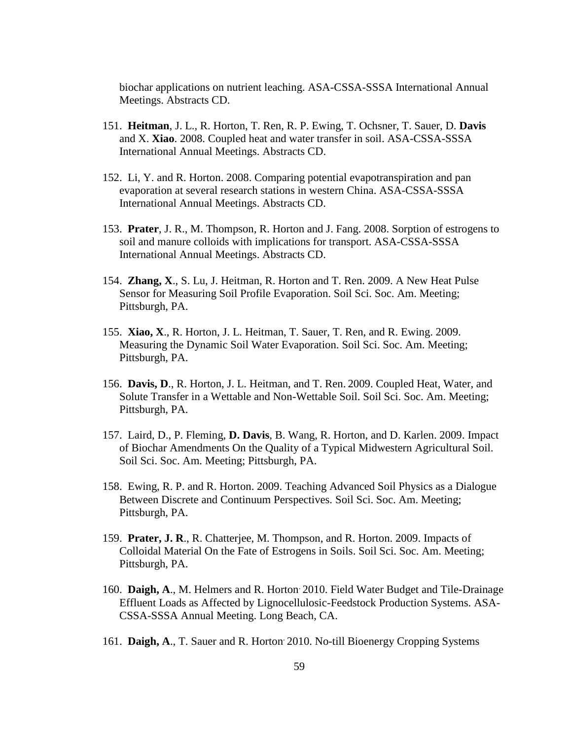biochar applications on nutrient leaching. ASA-CSSA-SSSA International Annual Meetings. Abstracts CD.

- 151. **Heitman**, J. L., R. Horton, T. Ren, R. P. Ewing, T. Ochsner, T. Sauer, D. **Davis** and X. **Xiao**. 2008. Coupled heat and water transfer in soil. ASA-CSSA-SSSA International Annual Meetings. Abstracts CD.
- 152. Li, Y. and R. Horton. 2008. Comparing potential evapotranspiration and pan evaporation at several research stations in western China. ASA-CSSA-SSSA International Annual Meetings. Abstracts CD.
- 153. **Prater**, J. R., M. Thompson, R. Horton and J. Fang. 2008. Sorption of estrogens to soil and manure colloids with implications for transport. ASA-CSSA-SSSA International Annual Meetings. Abstracts CD.
- 154. **Zhang, X**., S. Lu, J. Heitman, R. Horton and T. Ren. 2009. A New Heat Pulse Sensor for Measuring Soil Profile Evaporation. Soil Sci. Soc. Am. Meeting; Pittsburgh, PA.
- 155. **Xiao, X**., R. Horton, J. L. Heitman, T. Sauer, T. Ren, and R. Ewing. 2009. Measuring the Dynamic Soil Water Evaporation. Soil Sci. Soc. Am. Meeting; Pittsburgh, PA.
- 156. **Davis, D**., R. Horton, J. L. Heitman, and T. Ren. 2009. Coupled Heat, Water, and Solute Transfer in a Wettable and Non-Wettable Soil. Soil Sci. Soc. Am. Meeting; Pittsburgh, PA.
- 157. Laird, D., P. Fleming, **D. Davis**, B. Wang, R. Horton, and D. Karlen. 2009. Impact of Biochar Amendments On the Quality of a Typical Midwestern Agricultural Soil. Soil Sci. Soc. Am. Meeting; Pittsburgh, PA.
- 158. Ewing, R. P. and R. Horton. 2009. Teaching Advanced Soil Physics as a Dialogue Between Discrete and Continuum Perspectives. Soil Sci. Soc. Am. Meeting; Pittsburgh, PA.
- 159. **Prater, J. R**., R. Chatterjee, M. Thompson, and R. Horton. 2009. [Impacts of](http://a-c-s.confex.com/crops/2009am/webprogram/Paper53579.html)  [Colloidal Material On the Fate of Estrogens in Soils.](http://a-c-s.confex.com/crops/2009am/webprogram/Paper53579.html) Soil Sci. Soc. Am. Meeting; Pittsburgh, PA.
- 160. **Daigh, A**., M. Helmers and R. Horton. 2010. Field Water Budget and Tile-Drainage Effluent Loads as Affected by Lignocellulosic-Feedstock Production Systems. ASA-CSSA-SSSA Annual Meeting. Long Beach, CA.
- 161. **Daigh, A**., T. Sauer and R. Horton. 2010. No-till Bioenergy Cropping Systems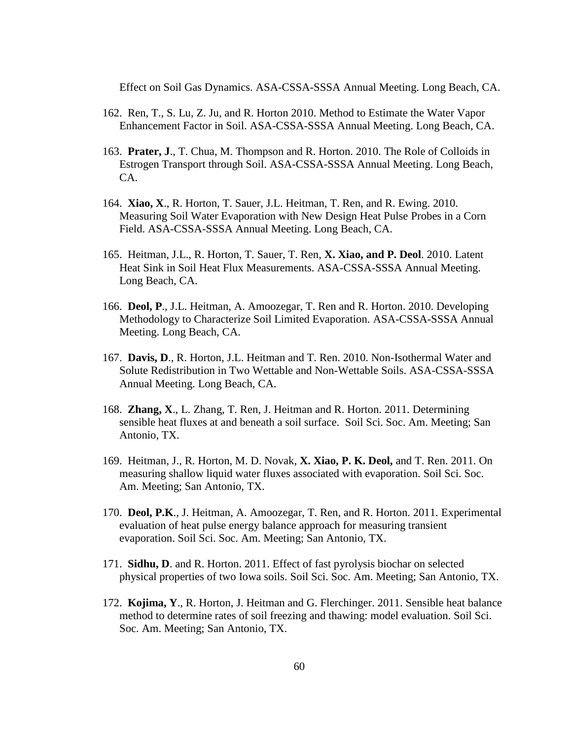Effect on Soil Gas Dynamics. ASA-CSSA-SSSA Annual Meeting. Long Beach, CA.

- 162. Ren, T., S. Lu, Z. Ju, and R. Horton 2010. Method to Estimate the Water Vapor Enhancement Factor in Soil. ASA-CSSA-SSSA Annual Meeting. Long Beach, CA.
- 163. **Prater, J**., T. Chua, M. Thompson and R. Horton. 2010. The Role of Colloids in Estrogen Transport through Soil. ASA-CSSA-SSSA Annual Meeting. Long Beach, CA.
- 164. **Xiao, X**., R. Horton, T. Sauer, J.L. Heitman, T. Ren, and R. Ewing. 2010. Measuring Soil Water Evaporation with New Design Heat Pulse Probes in a Corn Field. ASA-CSSA-SSSA Annual Meeting. Long Beach, CA.
- 165. Heitman, J.L., R. Horton, T. Sauer, T. Ren, **X. Xiao, and P. Deol**. 2010. Latent Heat Sink in Soil Heat Flux Measurements. ASA-CSSA-SSSA Annual Meeting. Long Beach, CA.
- 166. **Deol, P**., J.L. Heitman, A. Amoozegar, T. Ren and R. Horton. 2010. Developing Methodology to Characterize Soil Limited Evaporation. ASA-CSSA-SSSA Annual Meeting. Long Beach, CA.
- 167. **Davis, D**., R. Horton, J.L. Heitman and T. Ren. 2010. Non-Isothermal Water and Solute Redistribution in Two Wettable and Non-Wettable Soils. ASA-CSSA-SSSA Annual Meeting. Long Beach, CA.
- 168. **Zhang, X**., L. Zhang, T. Ren, J. Heitman and R. Horton. 2011. Determining sensible heat fluxes at and beneath a soil surface. Soil Sci. Soc. Am. Meeting; San Antonio, TX.
- 169. Heitman, J., R. Horton, M. D. Novak, **X. Xiao, P. K. Deol,** and T. Ren. 2011. On measuring shallow liquid water fluxes associated with evaporation. Soil Sci. Soc. Am. Meeting; San Antonio, TX.
- 170. **Deol, P.K**., J. Heitman, A. Amoozegar, T. Ren, and R. Horton. 2011. Experimental evaluation of heat pulse energy balance approach for measuring transient evaporation. Soil Sci. Soc. Am. Meeting; San Antonio, TX.
- 171. **Sidhu, D**. and R. Horton. 2011. Effect of fast pyrolysis biochar on selected physical properties of two Iowa soils. Soil Sci. Soc. Am. Meeting; San Antonio, TX.
- 172. **Kojima, Y**., R. Horton, J. Heitman and G. Flerchinger. 2011. Sensible heat balance method to determine rates of soil freezing and thawing: model evaluation. Soil Sci. Soc. Am. Meeting; San Antonio, TX.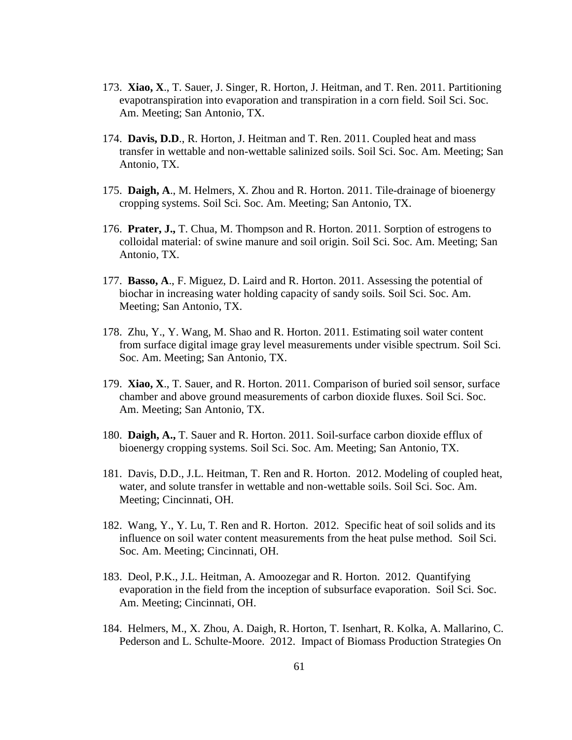- 173. **Xiao, X**., T. Sauer, J. Singer, R. Horton, J. Heitman, and T. Ren. 2011. Partitioning evapotranspiration into evaporation and transpiration in a corn field. Soil Sci. Soc. Am. Meeting; San Antonio, TX.
- 174. **Davis, D.D**., R. Horton, J. Heitman and T. Ren. 2011. Coupled heat and mass transfer in wettable and non-wettable salinized soils. Soil Sci. Soc. Am. Meeting; San Antonio, TX.
- 175. **Daigh, A**., M. Helmers, X. Zhou and R. Horton. 2011. Tile-drainage of bioenergy cropping systems. Soil Sci. Soc. Am. Meeting; San Antonio, TX.
- 176. **Prater, J.,** T. Chua, M. Thompson and R. Horton. 2011. Sorption of estrogens to colloidal material: of swine manure and soil origin. Soil Sci. Soc. Am. Meeting; San Antonio, TX.
- 177. **Basso, A**., F. Miguez, D. Laird and R. Horton. 2011. Assessing the potential of biochar in increasing water holding capacity of sandy soils. Soil Sci. Soc. Am. Meeting; San Antonio, TX.
- 178. Zhu, Y., Y. Wang, M. Shao and R. Horton. 2011. Estimating soil water content from surface digital image gray level measurements under visible spectrum. Soil Sci. Soc. Am. Meeting; San Antonio, TX.
- 179. **Xiao, X**., T. Sauer, and R. Horton. 2011. Comparison of buried soil sensor, surface chamber and above ground measurements of carbon dioxide fluxes. Soil Sci. Soc. Am. Meeting; San Antonio, TX.
- 180. **Daigh, A.,** T. Sauer and R. Horton. 2011. Soil-surface carbon dioxide efflux of bioenergy cropping systems. Soil Sci. Soc. Am. Meeting; San Antonio, TX.
- 181. Davis, D.D., J.L. Heitman, T. Ren and R. Horton. 2012. [Modeling of coupled heat,](http://scisoc.confex.com/scisoc/2012am/webprogram/Paper75287.html)  [water, and solute transfer in wettable and non-wettable soils.](http://scisoc.confex.com/scisoc/2012am/webprogram/Paper75287.html) Soil Sci. Soc. Am. Meeting; Cincinnati, OH.
- 182. Wang, Y., Y. Lu, T. Ren and R. Horton. 2012. [Specific heat of soil solids and its](http://scisoc.confex.com/scisoc/2012am/webprogram/Paper75037.html)  [influence on soil water content measurements from the heat pulse method.](http://scisoc.confex.com/scisoc/2012am/webprogram/Paper75037.html) Soil Sci. Soc. Am. Meeting; Cincinnati, OH.
- 183. Deol, P.K., J.L. Heitman, A. Amoozegar and R. Horton. 2012. [Quantifying](http://scisoc.confex.com/scisoc/2012am/webprogram/Paper72944.html)  [evaporation in the field from the inception of subsurface evaporation.](http://scisoc.confex.com/scisoc/2012am/webprogram/Paper72944.html) Soil Sci. Soc. Am. Meeting; Cincinnati, OH.
- 184. Helmers, M., X. Zhou, A. Daigh, R. Horton, T. Isenhart, R. Kolka, A. Mallarino, C. Pederson and L. Schulte-Moore. 2012. Impact of Biomass Production Strategies On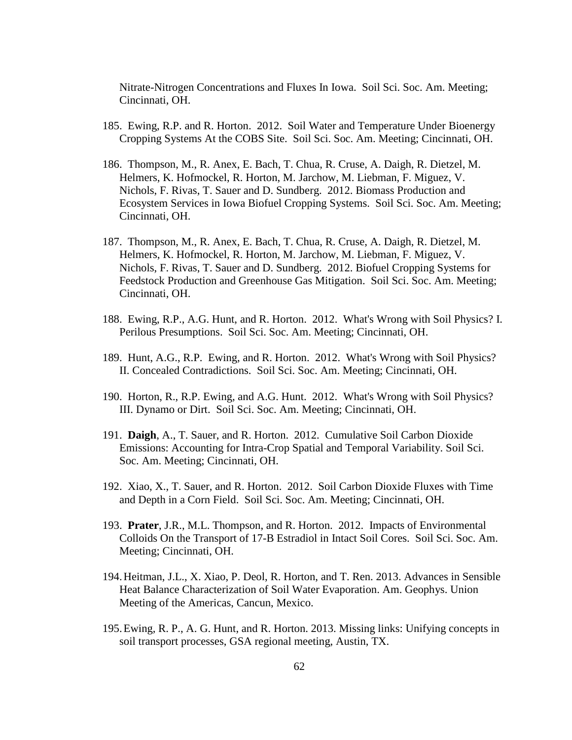Nitrate-Nitrogen Concentrations and Fluxes In Iowa. Soil Sci. Soc. Am. Meeting; Cincinnati, OH.

- 185. Ewing, R.P. and R. Horton. 2012. Soil Water and Temperature Under Bioenergy Cropping Systems At the COBS Site. Soil Sci. Soc. Am. Meeting; Cincinnati, OH.
- 186. Thompson, M., R. Anex, E. Bach, T. Chua, R. Cruse, A. Daigh, R. Dietzel, M. Helmers, K. Hofmockel, R. Horton, M. Jarchow, M. Liebman, F. Miguez, V. Nichols, F. Rivas, T. Sauer and D. Sundberg. 2012. Biomass Production and Ecosystem Services in Iowa Biofuel Cropping Systems. Soil Sci. Soc. Am. Meeting; Cincinnati, OH.
- 187. Thompson, M., R. Anex, E. Bach, T. Chua, R. Cruse, A. Daigh, R. Dietzel, M. Helmers, K. Hofmockel, R. Horton, M. Jarchow, M. Liebman, F. Miguez, V. Nichols, F. Rivas, T. Sauer and D. Sundberg. 2012. Biofuel Cropping Systems for Feedstock Production and Greenhouse Gas Mitigation. Soil Sci. Soc. Am. Meeting; Cincinnati, OH.
- 188. Ewing, R.P., A.G. Hunt, and R. Horton. 2012. What's Wrong with Soil Physics? I. Perilous Presumptions. Soil Sci. Soc. Am. Meeting; Cincinnati, OH.
- 189. Hunt, A.G., R.P. Ewing, and R. Horton. 2012. [What's Wrong with Soil Physics?](http://scisoc.confex.com/scisoc/2012am/webprogram/Paper73176.html)  [II. Concealed Contradictions.](http://scisoc.confex.com/scisoc/2012am/webprogram/Paper73176.html) Soil Sci. Soc. Am. Meeting; Cincinnati, OH.
- 190. Horton, R., R.P. Ewing, and A.G. Hunt. 2012. [What's Wrong with Soil Physics?](http://scisoc.confex.com/scisoc/2012am/webprogram/Paper73185.html)  [III. Dynamo or Dirt.](http://scisoc.confex.com/scisoc/2012am/webprogram/Paper73185.html) Soil Sci. Soc. Am. Meeting; Cincinnati, OH.
- 191. **Daigh**, A., T. Sauer, and R. Horton. 2012. [Cumulative Soil Carbon Dioxide](http://scisoc.confex.com/scisoc/2012am/webprogram/Paper73028.html)  [Emissions: Accounting for Intra-Crop Spatial and Temporal Variability.](http://scisoc.confex.com/scisoc/2012am/webprogram/Paper73028.html) Soil Sci. Soc. Am. Meeting; Cincinnati, OH.
- 192. Xiao, X., T. Sauer, and R. Horton. 2012. Soil Carbon Dioxide Fluxes with Time and Depth in a Corn Field. Soil Sci. Soc. Am. Meeting; Cincinnati, OH.
- 193. **Prater**, J.R., M.L. Thompson, and R. Horton. 2012. Impacts of Environmental Colloids On the Transport of 17-B Estradiol in Intact Soil Cores. Soil Sci. Soc. Am. Meeting; Cincinnati, OH.
- 194.Heitman, J.L., X. Xiao, P. Deol, R. Horton, and T. Ren. 2013. Advances in Sensible Heat Balance Characterization of Soil Water Evaporation. Am. Geophys. Union Meeting of the Americas, Cancun, Mexico.
- 195.Ewing, R. P., A. G. Hunt, and R. Horton. 2013. Missing links: Unifying concepts in soil transport processes, GSA regional meeting, Austin, TX.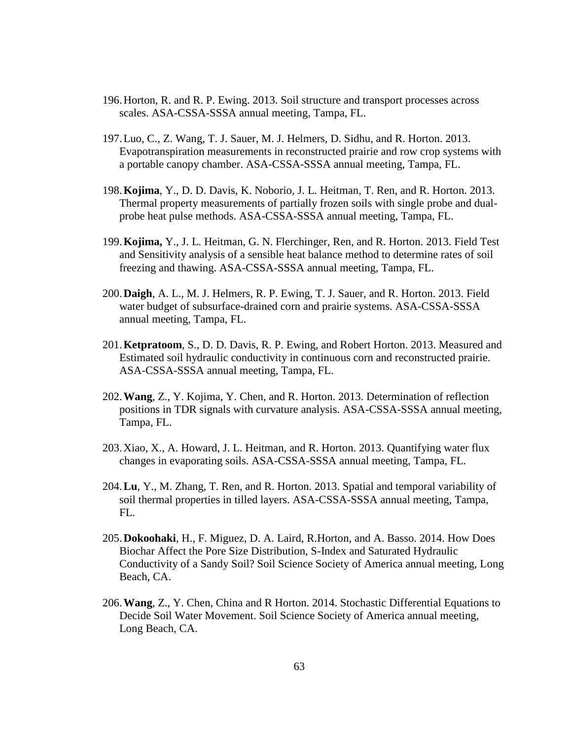- 196.Horton, R. and R. P. Ewing. 2013. Soil structure and transport processes across scales. ASA-CSSA-SSSA annual meeting, Tampa, FL.
- 197.Luo, C., Z. Wang, T. J. Sauer, M. J. Helmers, D. Sidhu, and R. Horton. 2013. Evapotranspiration measurements in reconstructed prairie and row crop systems with a portable canopy chamber. ASA-CSSA-SSSA annual meeting, Tampa, FL.
- 198.**Kojima**, Y., D. D. Davis, K. Noborio, J. L. Heitman, T. Ren, and R. Horton. 2013. Thermal property measurements of partially frozen soils with single probe and dualprobe heat pulse methods. ASA-CSSA-SSSA annual meeting, Tampa, FL.
- 199.**Kojima,** Y., J. L. Heitman, G. N. Flerchinger, Ren, and R. Horton. 2013. Field Test and Sensitivity analysis of a sensible heat balance method to determine rates of soil freezing and thawing. ASA-CSSA-SSSA annual meeting, Tampa, FL.
- 200.**Daigh**, A. L., M. J. Helmers, R. P. Ewing, T. J. Sauer, and R. Horton. 2013. Field water budget of subsurface-drained corn and prairie systems. ASA-CSSA-SSSA annual meeting, Tampa, FL.
- 201.**Ketpratoom**, S., D. D. Davis, R. P. Ewing, and Robert Horton. 2013. Measured and Estimated soil hydraulic conductivity in continuous corn and reconstructed prairie. ASA-CSSA-SSSA annual meeting, Tampa, FL.
- 202.**Wang**, Z., Y. Kojima, Y. Chen, and R. Horton. 2013. Determination of reflection positions in TDR signals with curvature analysis. ASA-CSSA-SSSA annual meeting, Tampa, FL.
- 203.Xiao, X., A. Howard, J. L. Heitman, and R. Horton. 2013. Quantifying water flux changes in evaporating soils. ASA-CSSA-SSSA annual meeting, Tampa, FL.
- 204.**Lu**, Y., M. Zhang, T. Ren, and R. Horton. 2013. Spatial and temporal variability of soil thermal properties in tilled layers. ASA-CSSA-SSSA annual meeting, Tampa, FL.
- 205.**Dokoohaki**, H., F. Miguez, D. A. Laird, R.Horton, and A. Basso. 2014. How Does Biochar Affect the Pore Size Distribution, S-Index and Saturated Hydraulic Conductivity of a Sandy Soil? Soil Science Society of America annual meeting, Long Beach, CA.
- 206.**Wang**, Z., Y. Chen, China and R Horton. 2014. Stochastic Differential Equations to Decide Soil Water Movement. Soil Science Society of America annual meeting, Long Beach, CA.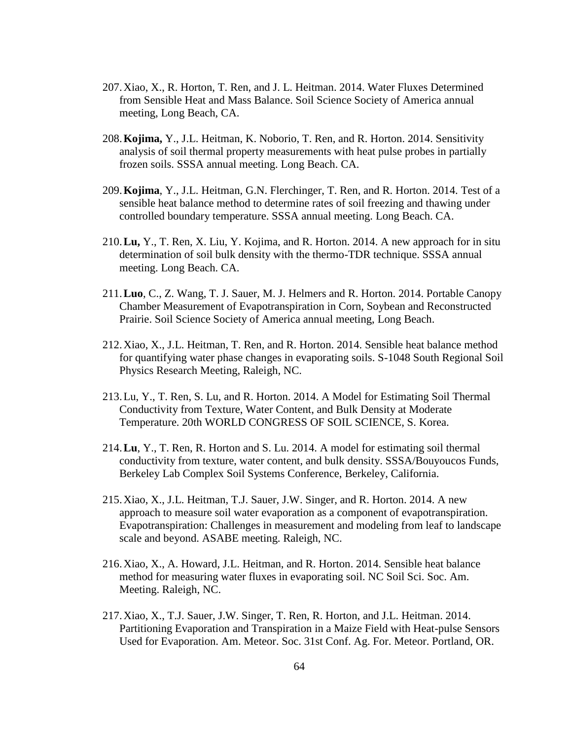- 207.Xiao, X., R. Horton, T. Ren, and J. L. Heitman. 2014. Water Fluxes Determined from Sensible Heat and Mass Balance. Soil Science Society of America annual meeting, Long Beach, CA.
- 208.**Kojima,** Y., J.L. Heitman, K. Noborio, T. Ren, and R. Horton. 2014. Sensitivity analysis of soil thermal property measurements with heat pulse probes in partially frozen soils. SSSA annual meeting. Long Beach. CA.
- 209.**Kojima**, Y., J.L. Heitman, G.N. Flerchinger, T. Ren, and R. Horton. 2014. Test of a sensible heat balance method to determine rates of soil freezing and thawing under controlled boundary temperature. SSSA annual meeting. Long Beach. CA.
- 210.**Lu,** Y., T. Ren, X. Liu, Y. Kojima, and R. Horton. 2014. A new approach for in situ determination of soil bulk density with the thermo-TDR technique. SSSA annual meeting. Long Beach. CA.
- 211.**Luo**, C., Z. Wang, T. J. Sauer, M. J. Helmers and R. Horton. 2014. Portable Canopy Chamber Measurement of Evapotranspiration in Corn, Soybean and Reconstructed Prairie. Soil Science Society of America annual meeting, Long Beach.
- 212.Xiao, X., J.L. Heitman, T. Ren, and R. Horton. 2014. Sensible heat balance method for quantifying water phase changes in evaporating soils. S-1048 South Regional Soil Physics Research Meeting, Raleigh, NC.
- 213.Lu, Y., T. Ren, S. Lu, and R. Horton. 2014. A Model for Estimating Soil Thermal Conductivity from Texture, Water Content, and Bulk Density at Moderate Temperature. 20th WORLD CONGRESS OF SOIL SCIENCE, S. Korea.
- 214.**Lu**, Y., T. Ren, R. Horton and S. Lu. 2014. A model for estimating soil thermal conductivity from texture, water content, and bulk density. SSSA/Bouyoucos Funds, Berkeley Lab Complex Soil Systems Conference, Berkeley, California.
- 215.Xiao, X., J.L. Heitman, T.J. Sauer, J.W. Singer, and R. Horton. 2014. A new approach to measure soil water evaporation as a component of evapotranspiration. Evapotranspiration: Challenges in measurement and modeling from leaf to landscape scale and beyond. ASABE meeting. Raleigh, NC.
- 216.Xiao, X., A. Howard, J.L. Heitman, and R. Horton. 2014. Sensible heat balance method for measuring water fluxes in evaporating soil. NC Soil Sci. Soc. Am. Meeting. Raleigh, NC.
- 217.Xiao, X., T.J. Sauer, J.W. Singer, T. Ren, R. Horton, and J.L. Heitman. 2014. Partitioning Evaporation and Transpiration in a Maize Field with Heat-pulse Sensors Used for Evaporation. Am. Meteor. Soc. 31st Conf. Ag. For. Meteor. Portland, OR.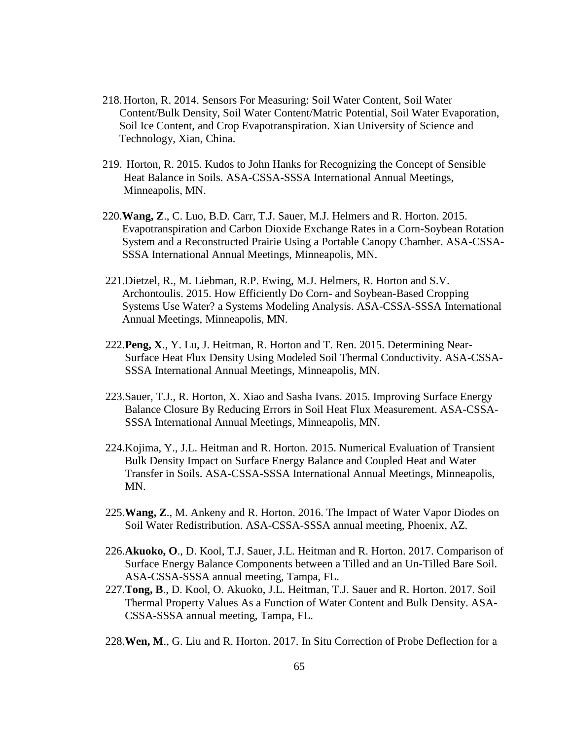- 218.Horton, R. 2014. Sensors For Measuring: Soil Water Content, Soil Water Content/Bulk Density, Soil Water Content/Matric Potential, Soil Water Evaporation, Soil Ice Content, and Crop Evapotranspiration. Xian University of Science and Technology, Xian, China.
- 219. Horton, R. 2015. Kudos to John Hanks for Recognizing the Concept of Sensible Heat Balance in Soils. ASA-CSSA-SSSA International Annual Meetings, Minneapolis, MN.
- 220.**Wang, Z**., C. Luo, B.D. Carr, T.J. Sauer, M.J. Helmers and R. Horton. 2015. Evapotranspiration and Carbon Dioxide Exchange Rates in a Corn-Soybean Rotation System and a Reconstructed Prairie Using a Portable Canopy Chamber. ASA-CSSA- SSSA International Annual Meetings, Minneapolis, MN.
- 221.Dietzel, R., M. Liebman, R.P. Ewing, M.J. Helmers, R. Horton and S.V. Archontoulis. 2015. How Efficiently Do Corn- and Soybean-Based Cropping Systems Use Water? a Systems Modeling Analysis. ASA-CSSA-SSSA International Annual Meetings, Minneapolis, MN.
- 222.**Peng, X**., Y. Lu, J. Heitman, R. Horton and T. Ren. 2015. Determining Near- Surface Heat Flux Density Using Modeled Soil Thermal Conductivity. ASA-CSSA- SSSA International Annual Meetings, Minneapolis, MN.
- 223.Sauer, T.J., R. Horton, X. Xiao and Sasha Ivans. 2015. Improving Surface Energy Balance Closure By Reducing Errors in Soil Heat Flux Measurement. ASA-CSSA- SSSA International Annual Meetings, Minneapolis, MN.
- 224.Kojima, Y., J.L. Heitman and R. Horton. 2015. Numerical Evaluation of Transient Bulk Density Impact on Surface Energy Balance and Coupled Heat and Water Transfer in Soils. ASA-CSSA-SSSA International Annual Meetings, Minneapolis, MN.
- 225.**Wang, Z**., M. Ankeny and R. Horton. 2016. The Impact of Water Vapor Diodes on Soil Water Redistribution. ASA-CSSA-SSSA annual meeting, Phoenix, AZ.
- 226.**Akuoko, O**., D. Kool, T.J. Sauer, J.L. Heitman and R. Horton. 2017. Comparison of Surface Energy Balance Components between a Tilled and an Un-Tilled Bare Soil. ASA-CSSA-SSSA annual meeting, Tampa, FL.
- 227.**Tong, B**., D. Kool, O. Akuoko, J.L. Heitman, T.J. Sauer and R. Horton. 2017. Soil Thermal Property Values As a Function of Water Content and Bulk Density. ASA- CSSA-SSSA annual meeting, Tampa, FL.
- 228.**Wen, M**., G. Liu and R. Horton. 2017. In Situ Correction of Probe Deflection for a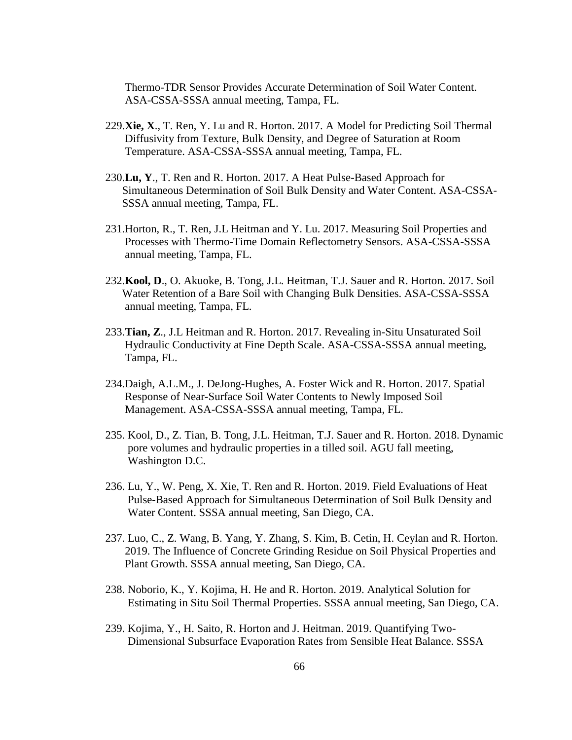Thermo-TDR Sensor Provides Accurate Determination of Soil Water Content. ASA-CSSA-SSSA annual meeting, Tampa, FL.

- 229.**Xie, X**., T. Ren, Y. Lu and R. Horton. 2017. A Model for Predicting Soil Thermal Diffusivity from Texture, Bulk Density, and Degree of Saturation at Room Temperature. ASA-CSSA-SSSA annual meeting, Tampa, FL.
- 230.**Lu, Y**., T. Ren and R. Horton. 2017. A Heat Pulse-Based Approach for Simultaneous Determination of Soil Bulk Density and Water Content. ASA-CSSA- SSSA annual meeting, Tampa, FL.
- 231.Horton, R., T. Ren, J.L Heitman and Y. Lu. 2017. Measuring Soil Properties and Processes with Thermo-Time Domain Reflectometry Sensors. ASA-CSSA-SSSA annual meeting, Tampa, FL.
- 232.**Kool, D**., O. Akuoke, B. Tong, J.L. Heitman, T.J. Sauer and R. Horton. 2017. Soil Water Retention of a Bare Soil with Changing Bulk Densities. ASA-CSSA-SSSA annual meeting, Tampa, FL.
- 233.**Tian, Z**., J.L Heitman and R. Horton. 2017. Revealing in-Situ Unsaturated Soil Hydraulic Conductivity at Fine Depth Scale. ASA-CSSA-SSSA annual meeting, Tampa, FL.
- 234.Daigh, A.L.M., J. DeJong-Hughes, A. Foster Wick and R. Horton. 2017. Spatial Response of Near-Surface Soil Water Contents to Newly Imposed Soil Management. ASA-CSSA-SSSA annual meeting, Tampa, FL.
- 235. Kool, D., Z. Tian, B. Tong, J.L. Heitman, T.J. Sauer and R. Horton. 2018. Dynamic pore volumes and hydraulic properties in a tilled soil. AGU fall meeting, Washington D.C.
- 236. Lu, Y., W. Peng, X. Xie, T. Ren and R. Horton. 2019. Field Evaluations of Heat Pulse-Based Approach for Simultaneous Determination of Soil Bulk Density and Water Content. SSSA annual meeting, San Diego, CA.
- 237. Luo, C., Z. Wang, B. Yang, Y. Zhang, S. Kim, B. Cetin, H. Ceylan and R. Horton. 2019. The Influence of Concrete Grinding Residue on Soil Physical Properties and Plant Growth. SSSA annual meeting, San Diego, CA.
- 238. Noborio, K., Y. Kojima, H. He and R. Horton. 2019. Analytical Solution for Estimating in Situ Soil Thermal Properties. SSSA annual meeting, San Diego, CA.
- 239. Kojima, Y., H. Saito, R. Horton and J. Heitman. 2019. Quantifying Two- Dimensional Subsurface Evaporation Rates from Sensible Heat Balance. SSSA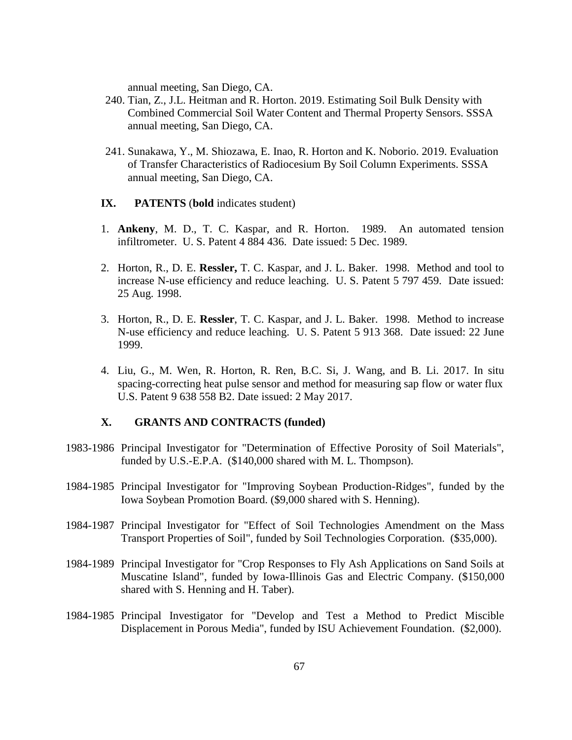annual meeting, San Diego, CA.

- 240. Tian, Z., J.L. Heitman and R. Horton. 2019. Estimating Soil Bulk Density with Combined Commercial Soil Water Content and Thermal Property Sensors. SSSA annual meeting, San Diego, CA.
- 241. Sunakawa, Y., M. Shiozawa, E. Inao, R. Horton and K. Noborio. 2019. Evaluation of Transfer Characteristics of Radiocesium By Soil Column Experiments. SSSA annual meeting, San Diego, CA.
- **IX. PATENTS** (**bold** indicates student)
- 1. **Ankeny**, M. D., T. C. Kaspar, and R. Horton. 1989. An automated tension infiltrometer. U. S. Patent 4 884 436. Date issued: 5 Dec. 1989.
- 2. Horton, R., D. E. **Ressler,** T. C. Kaspar, and J. L. Baker. 1998. Method and tool to increase N-use efficiency and reduce leaching. U. S. Patent 5 797 459. Date issued: 25 Aug. 1998.
- 3. Horton, R., D. E. **Ressler**, T. C. Kaspar, and J. L. Baker. 1998. Method to increase N-use efficiency and reduce leaching. U. S. Patent 5 913 368. Date issued: 22 June 1999.
- 4. Liu, G., M. Wen, R. Horton, R. Ren, B.C. Si, J. Wang, and B. Li. 2017. In situ spacing-correcting heat pulse sensor and method for measuring sap flow or water flux U.S. Patent 9 638 558 B2. Date issued: 2 May 2017.

# **X. GRANTS AND CONTRACTS (funded)**

- 1983-1986 Principal Investigator for "Determination of Effective Porosity of Soil Materials", funded by U.S.-E.P.A. (\$140,000 shared with M. L. Thompson).
- 1984-1985 Principal Investigator for "Improving Soybean Production-Ridges", funded by the Iowa Soybean Promotion Board. (\$9,000 shared with S. Henning).
- 1984-1987 Principal Investigator for "Effect of Soil Technologies Amendment on the Mass Transport Properties of Soil", funded by Soil Technologies Corporation. (\$35,000).
- 1984-1989 Principal Investigator for "Crop Responses to Fly Ash Applications on Sand Soils at Muscatine Island", funded by Iowa-Illinois Gas and Electric Company. (\$150,000 shared with S. Henning and H. Taber).
- 1984-1985 Principal Investigator for "Develop and Test a Method to Predict Miscible Displacement in Porous Media", funded by ISU Achievement Foundation. (\$2,000).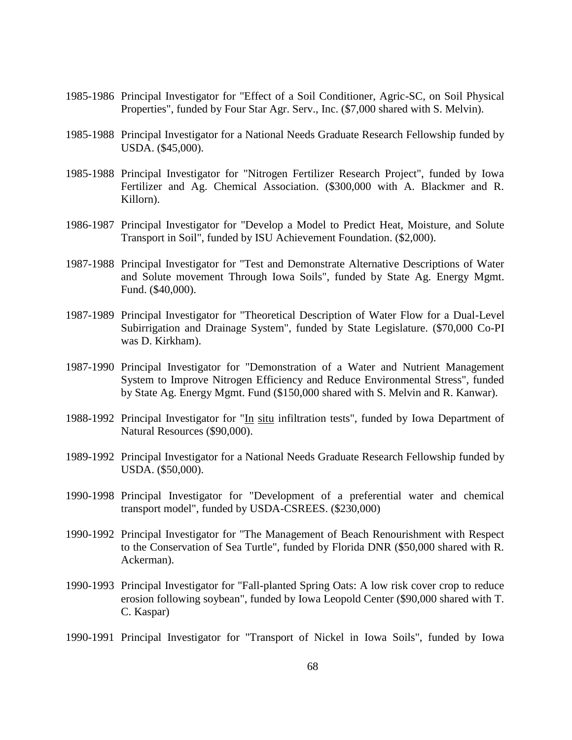- 1985-1986 Principal Investigator for "Effect of a Soil Conditioner, Agric-SC, on Soil Physical Properties", funded by Four Star Agr. Serv., Inc. (\$7,000 shared with S. Melvin).
- 1985-1988 Principal Investigator for a National Needs Graduate Research Fellowship funded by USDA. (\$45,000).
- 1985-1988 Principal Investigator for "Nitrogen Fertilizer Research Project", funded by Iowa Fertilizer and Ag. Chemical Association. (\$300,000 with A. Blackmer and R. Killorn).
- 1986-1987 Principal Investigator for "Develop a Model to Predict Heat, Moisture, and Solute Transport in Soil", funded by ISU Achievement Foundation. (\$2,000).
- 1987-1988 Principal Investigator for "Test and Demonstrate Alternative Descriptions of Water and Solute movement Through Iowa Soils", funded by State Ag. Energy Mgmt. Fund. (\$40,000).
- 1987-1989 Principal Investigator for "Theoretical Description of Water Flow for a Dual-Level Subirrigation and Drainage System", funded by State Legislature. (\$70,000 Co-PI was D. Kirkham).
- 1987-1990 Principal Investigator for "Demonstration of a Water and Nutrient Management System to Improve Nitrogen Efficiency and Reduce Environmental Stress", funded by State Ag. Energy Mgmt. Fund (\$150,000 shared with S. Melvin and R. Kanwar).
- 1988-1992 Principal Investigator for "In situ infiltration tests", funded by Iowa Department of Natural Resources (\$90,000).
- 1989-1992 Principal Investigator for a National Needs Graduate Research Fellowship funded by USDA. (\$50,000).
- 1990-1998 Principal Investigator for "Development of a preferential water and chemical transport model", funded by USDA-CSREES. (\$230,000)
- 1990-1992 Principal Investigator for "The Management of Beach Renourishment with Respect to the Conservation of Sea Turtle", funded by Florida DNR (\$50,000 shared with R. Ackerman).
- 1990-1993 Principal Investigator for "Fall-planted Spring Oats: A low risk cover crop to reduce erosion following soybean", funded by Iowa Leopold Center (\$90,000 shared with T. C. Kaspar)
- 1990-1991 Principal Investigator for "Transport of Nickel in Iowa Soils", funded by Iowa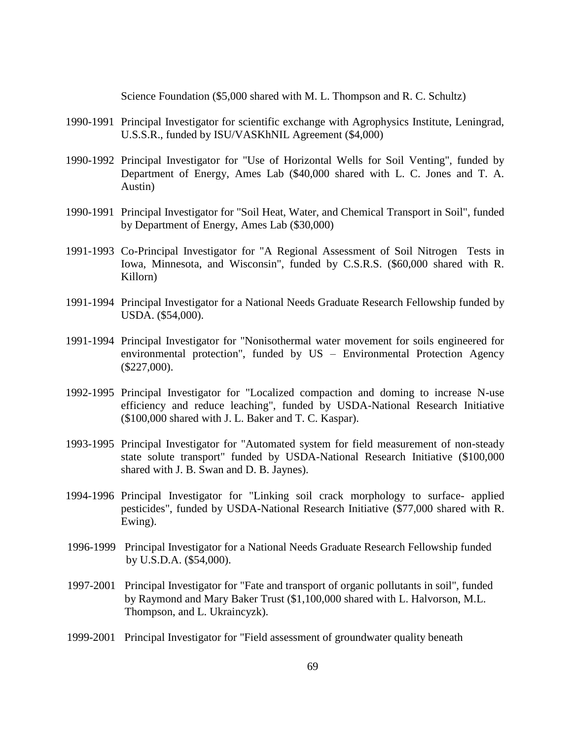Science Foundation (\$5,000 shared with M. L. Thompson and R. C. Schultz)

- 1990-1991 Principal Investigator for scientific exchange with Agrophysics Institute, Leningrad, U.S.S.R., funded by ISU/VASKhNIL Agreement (\$4,000)
- 1990-1992 Principal Investigator for "Use of Horizontal Wells for Soil Venting", funded by Department of Energy, Ames Lab (\$40,000 shared with L. C. Jones and T. A. Austin)
- 1990-1991 Principal Investigator for "Soil Heat, Water, and Chemical Transport in Soil", funded by Department of Energy, Ames Lab (\$30,000)
- 1991-1993 Co-Principal Investigator for "A Regional Assessment of Soil Nitrogen Tests in Iowa, Minnesota, and Wisconsin", funded by C.S.R.S. (\$60,000 shared with R. Killorn)
- 1991-1994 Principal Investigator for a National Needs Graduate Research Fellowship funded by USDA. (\$54,000).
- 1991-1994 Principal Investigator for "Nonisothermal water movement for soils engineered for environmental protection", funded by US – Environmental Protection Agency (\$227,000).
- 1992-1995 Principal Investigator for "Localized compaction and doming to increase N-use efficiency and reduce leaching", funded by USDA-National Research Initiative (\$100,000 shared with J. L. Baker and T. C. Kaspar).
- 1993-1995 Principal Investigator for "Automated system for field measurement of non-steady state solute transport" funded by USDA-National Research Initiative (\$100,000 shared with J. B. Swan and D. B. Jaynes).
- 1994-1996 Principal Investigator for "Linking soil crack morphology to surface- applied pesticides", funded by USDA-National Research Initiative (\$77,000 shared with R. Ewing).
- 1996-1999 Principal Investigator for a National Needs Graduate Research Fellowship funded by U.S.D.A. (\$54,000).
- 1997-2001 Principal Investigator for "Fate and transport of organic pollutants in soil", funded by Raymond and Mary Baker Trust (\$1,100,000 shared with L. Halvorson, M.L. Thompson, and L. Ukraincyzk).
- 1999-2001 Principal Investigator for "Field assessment of groundwater quality beneath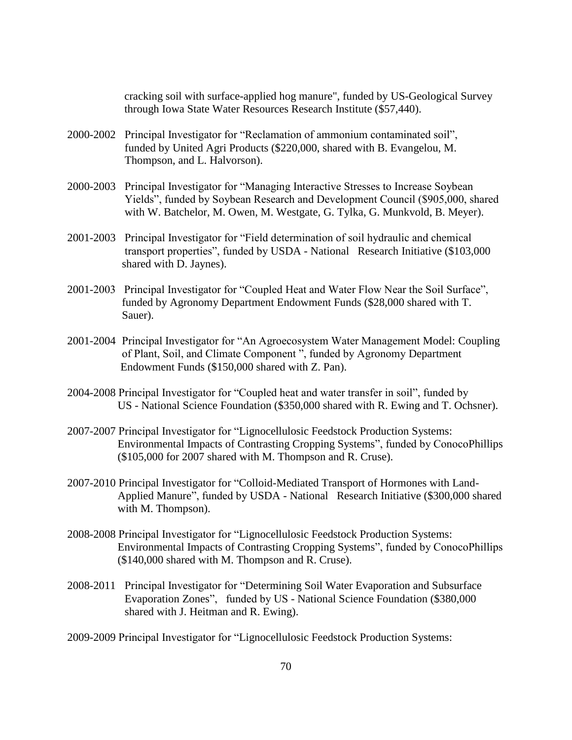cracking soil with surface-applied hog manure", funded by US-Geological Survey through Iowa State Water Resources Research Institute (\$57,440).

- 2000-2002 Principal Investigator for "Reclamation of ammonium contaminated soil", funded by United Agri Products (\$220,000, shared with B. Evangelou, M. Thompson, and L. Halvorson).
- 2000-2003 Principal Investigator for "Managing Interactive Stresses to Increase Soybean Yields", funded by Soybean Research and Development Council (\$905,000, shared with W. Batchelor, M. Owen, M. Westgate, G. Tylka, G. Munkvold, B. Meyer).
- 2001-2003 Principal Investigator for "Field determination of soil hydraulic and chemical transport properties", funded by USDA - National Research Initiative (\$103,000 shared with D. Jaynes).
- 2001-2003 Principal Investigator for "Coupled Heat and Water Flow Near the Soil Surface", funded by Agronomy Department Endowment Funds (\$28,000 shared with T. Sauer).
- 2001-2004 Principal Investigator for "An Agroecosystem Water Management Model: Coupling of Plant, Soil, and Climate Component ", funded by Agronomy Department Endowment Funds (\$150,000 shared with Z. Pan).
- 2004-2008 Principal Investigator for "Coupled heat and water transfer in soil", funded by US - National Science Foundation (\$350,000 shared with R. Ewing and T. Ochsner).
- 2007-2007 Principal Investigator for "Lignocellulosic Feedstock Production Systems: Environmental Impacts of Contrasting Cropping Systems", funded by ConocoPhillips (\$105,000 for 2007 shared with M. Thompson and R. Cruse).
- 2007-2010 Principal Investigator for "Colloid-Mediated Transport of Hormones with Land-Applied Manure", funded by USDA - National Research Initiative (\$300,000 shared with M. Thompson).
- 2008-2008 Principal Investigator for "Lignocellulosic Feedstock Production Systems: Environmental Impacts of Contrasting Cropping Systems", funded by ConocoPhillips (\$140,000 shared with M. Thompson and R. Cruse).
- 2008-2011 Principal Investigator for "Determining Soil Water Evaporation and Subsurface Evaporation Zones", funded by US - National Science Foundation (\$380,000 shared with J. Heitman and R. Ewing).

2009-2009 Principal Investigator for "Lignocellulosic Feedstock Production Systems: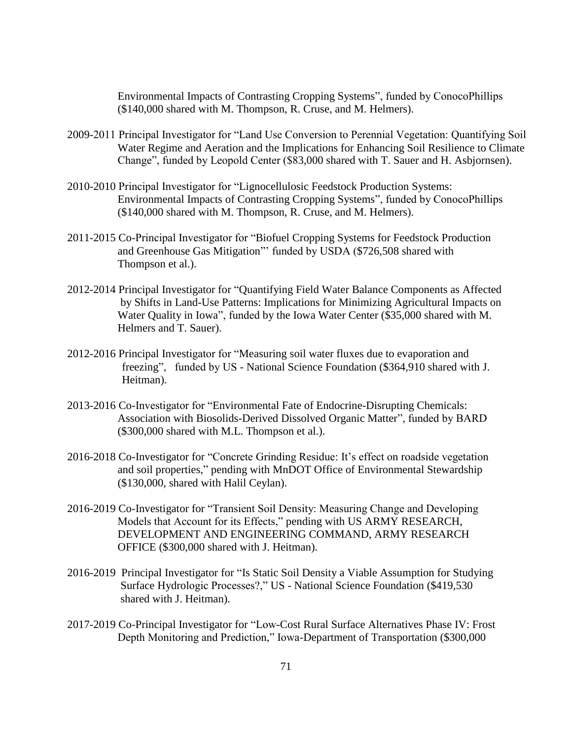Environmental Impacts of Contrasting Cropping Systems", funded by ConocoPhillips (\$140,000 shared with M. Thompson, R. Cruse, and M. Helmers).

- 2009-2011 Principal Investigator for "Land Use Conversion to Perennial Vegetation: Quantifying Soil Water Regime and Aeration and the Implications for Enhancing Soil Resilience to Climate Change", funded by Leopold Center (\$83,000 shared with T. Sauer and H. Asbjornsen).
- 2010-2010 Principal Investigator for "Lignocellulosic Feedstock Production Systems: Environmental Impacts of Contrasting Cropping Systems", funded by ConocoPhillips (\$140,000 shared with M. Thompson, R. Cruse, and M. Helmers).
- 2011-2015 Co-Principal Investigator for "Biofuel Cropping Systems for Feedstock Production and Greenhouse Gas Mitigation"' funded by USDA (\$726,508 shared with Thompson et al.).
- 2012-2014 Principal Investigator for "Quantifying Field Water Balance Components as Affected by Shifts in Land-Use Patterns: Implications for Minimizing Agricultural Impacts on Water Quality in Iowa", funded by the Iowa Water Center (\$35,000 shared with M. Helmers and T. Sauer).
- 2012-2016 Principal Investigator for "Measuring soil water fluxes due to evaporation and freezing", funded by US - National Science Foundation (\$364,910 shared with J. Heitman).
- 2013-2016 Co-Investigator for "Environmental Fate of Endocrine-Disrupting Chemicals: Association with Biosolids-Derived Dissolved Organic Matter", funded by BARD (\$300,000 shared with M.L. Thompson et al.).
- 2016-2018 Co-Investigator for "Concrete Grinding Residue: It's effect on roadside vegetation and soil properties," pending with MnDOT Office of Environmental Stewardship (\$130,000, shared with Halil Ceylan).
- 2016-2019 Co-Investigator for "Transient Soil Density: Measuring Change and Developing Models that Account for its Effects," pending with US ARMY RESEARCH, DEVELOPMENT AND ENGINEERING COMMAND, ARMY RESEARCH OFFICE (\$300,000 shared with J. Heitman).
- 2016-2019 Principal Investigator for "Is Static Soil Density a Viable Assumption for Studying Surface Hydrologic Processes?," US - National Science Foundation (\$419,530 shared with J. Heitman).
- 2017-2019 Co-Principal Investigator for "Low-Cost Rural Surface Alternatives Phase IV: Frost Depth Monitoring and Prediction," Iowa-Department of Transportation (\$300,000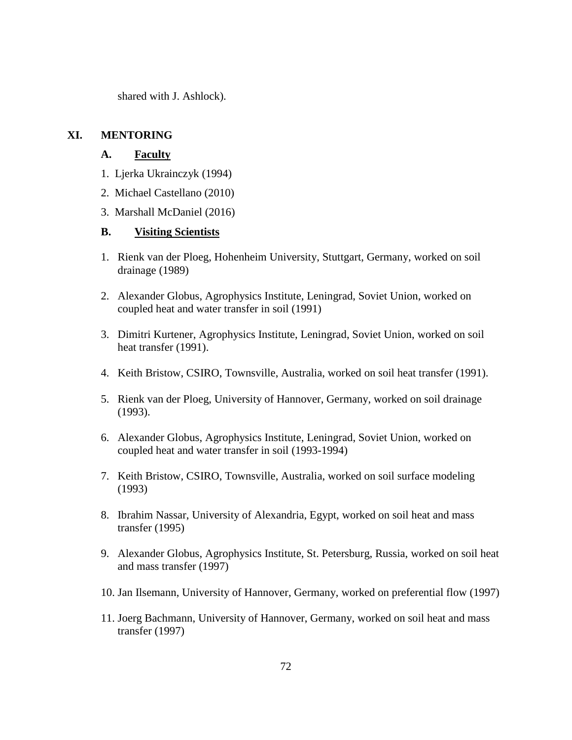shared with J. Ashlock).

# **XI. MENTORING**

# **A. Faculty**

- 1. Ljerka Ukrainczyk (1994)
- 2. Michael Castellano (2010)
- 3. Marshall McDaniel (2016)

### **B. Visiting Scientists**

- 1. Rienk van der Ploeg, Hohenheim University, Stuttgart, Germany, worked on soil drainage (1989)
- 2. Alexander Globus, Agrophysics Institute, Leningrad, Soviet Union, worked on coupled heat and water transfer in soil (1991)
- 3. Dimitri Kurtener, Agrophysics Institute, Leningrad, Soviet Union, worked on soil heat transfer (1991).
- 4. Keith Bristow, CSIRO, Townsville, Australia, worked on soil heat transfer (1991).
- 5. Rienk van der Ploeg, University of Hannover, Germany, worked on soil drainage (1993).
- 6. Alexander Globus, Agrophysics Institute, Leningrad, Soviet Union, worked on coupled heat and water transfer in soil (1993-1994)
- 7. Keith Bristow, CSIRO, Townsville, Australia, worked on soil surface modeling (1993)
- 8. Ibrahim Nassar, University of Alexandria, Egypt, worked on soil heat and mass transfer (1995)
- 9. Alexander Globus, Agrophysics Institute, St. Petersburg, Russia, worked on soil heat and mass transfer (1997)
- 10. Jan Ilsemann, University of Hannover, Germany, worked on preferential flow (1997)
- 11. Joerg Bachmann, University of Hannover, Germany, worked on soil heat and mass transfer (1997)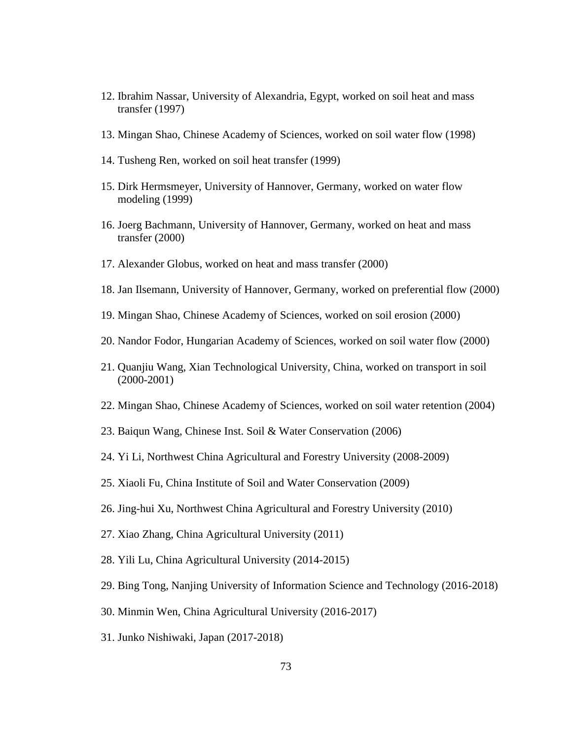- 12. Ibrahim Nassar, University of Alexandria, Egypt, worked on soil heat and mass transfer (1997)
- 13. Mingan Shao, Chinese Academy of Sciences, worked on soil water flow (1998)
- 14. Tusheng Ren, worked on soil heat transfer (1999)
- 15. Dirk Hermsmeyer, University of Hannover, Germany, worked on water flow modeling (1999)
- 16. Joerg Bachmann, University of Hannover, Germany, worked on heat and mass transfer (2000)
- 17. Alexander Globus, worked on heat and mass transfer (2000)
- 18. Jan Ilsemann, University of Hannover, Germany, worked on preferential flow (2000)
- 19. Mingan Shao, Chinese Academy of Sciences, worked on soil erosion (2000)
- 20. Nandor Fodor, Hungarian Academy of Sciences, worked on soil water flow (2000)
- 21. Quanjiu Wang, Xian Technological University, China, worked on transport in soil (2000-2001)
- 22. Mingan Shao, Chinese Academy of Sciences, worked on soil water retention (2004)
- 23. Baiqun Wang, Chinese Inst. Soil & Water Conservation (2006)
- 24. Yi Li, Northwest China Agricultural and Forestry University (2008-2009)
- 25. Xiaoli Fu, China Institute of Soil and Water Conservation (2009)
- 26. Jing-hui Xu, Northwest China Agricultural and Forestry University (2010)
- 27. Xiao Zhang, China Agricultural University (2011)
- 28. Yili Lu, China Agricultural University (2014-2015)
- 29. Bing Tong, Nanjing University of Information Science and Technology (2016-2018)
- 30. Minmin Wen, China Agricultural University (2016-2017)
- 31. Junko Nishiwaki, Japan (2017-2018)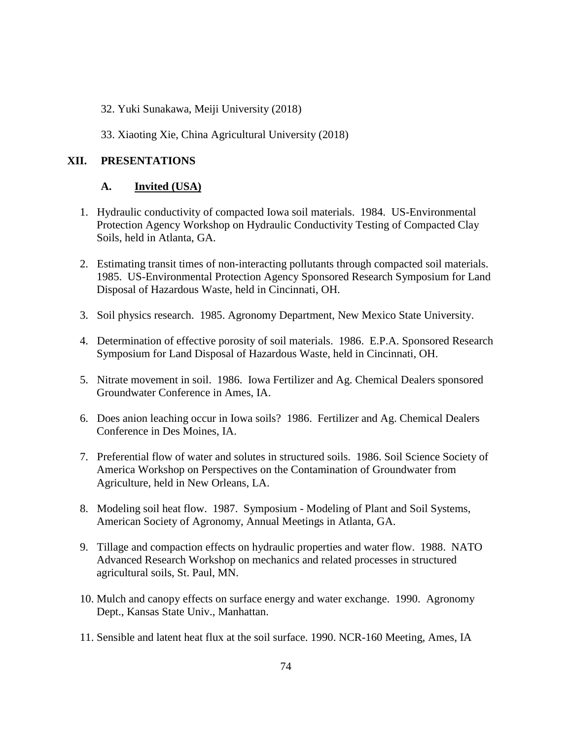- 32. Yuki Sunakawa, Meiji University (2018)
- 33. Xiaoting Xie, China Agricultural University (2018)

## **XII. PRESENTATIONS**

## **A. Invited (USA)**

- 1. Hydraulic conductivity of compacted Iowa soil materials. 1984. US-Environmental Protection Agency Workshop on Hydraulic Conductivity Testing of Compacted Clay Soils, held in Atlanta, GA.
- 2. Estimating transit times of non-interacting pollutants through compacted soil materials. 1985. US-Environmental Protection Agency Sponsored Research Symposium for Land Disposal of Hazardous Waste, held in Cincinnati, OH.
- 3. Soil physics research. 1985. Agronomy Department, New Mexico State University.
- 4. Determination of effective porosity of soil materials. 1986. E.P.A. Sponsored Research Symposium for Land Disposal of Hazardous Waste, held in Cincinnati, OH.
- 5. Nitrate movement in soil. 1986. Iowa Fertilizer and Ag. Chemical Dealers sponsored Groundwater Conference in Ames, IA.
- 6. Does anion leaching occur in Iowa soils? 1986. Fertilizer and Ag. Chemical Dealers Conference in Des Moines, IA.
- 7. Preferential flow of water and solutes in structured soils. 1986. Soil Science Society of America Workshop on Perspectives on the Contamination of Groundwater from Agriculture, held in New Orleans, LA.
- 8. Modeling soil heat flow. 1987. Symposium Modeling of Plant and Soil Systems, American Society of Agronomy, Annual Meetings in Atlanta, GA.
- 9. Tillage and compaction effects on hydraulic properties and water flow. 1988. NATO Advanced Research Workshop on mechanics and related processes in structured agricultural soils, St. Paul, MN.
- 10. Mulch and canopy effects on surface energy and water exchange. 1990. Agronomy Dept., Kansas State Univ., Manhattan.
- 11. Sensible and latent heat flux at the soil surface. 1990. NCR-160 Meeting, Ames, IA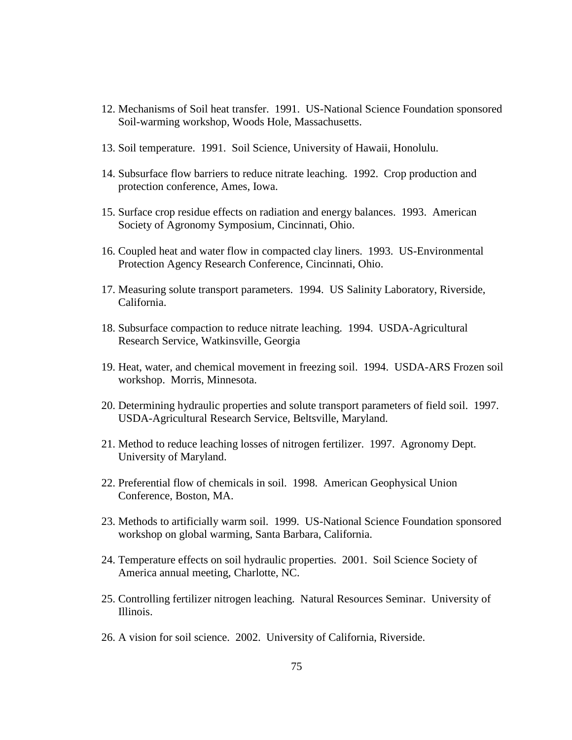- 12. Mechanisms of Soil heat transfer. 1991. US-National Science Foundation sponsored Soil-warming workshop, Woods Hole, Massachusetts.
- 13. Soil temperature. 1991. Soil Science, University of Hawaii, Honolulu.
- 14. Subsurface flow barriers to reduce nitrate leaching. 1992. Crop production and protection conference, Ames, Iowa.
- 15. Surface crop residue effects on radiation and energy balances. 1993. American Society of Agronomy Symposium, Cincinnati, Ohio.
- 16. Coupled heat and water flow in compacted clay liners. 1993. US-Environmental Protection Agency Research Conference, Cincinnati, Ohio.
- 17. Measuring solute transport parameters. 1994. US Salinity Laboratory, Riverside, California.
- 18. Subsurface compaction to reduce nitrate leaching. 1994. USDA-Agricultural Research Service, Watkinsville, Georgia
- 19. Heat, water, and chemical movement in freezing soil. 1994. USDA-ARS Frozen soil workshop. Morris, Minnesota.
- 20. Determining hydraulic properties and solute transport parameters of field soil. 1997. USDA-Agricultural Research Service, Beltsville, Maryland.
- 21. Method to reduce leaching losses of nitrogen fertilizer. 1997. Agronomy Dept. University of Maryland.
- 22. Preferential flow of chemicals in soil. 1998. American Geophysical Union Conference, Boston, MA.
- 23. Methods to artificially warm soil. 1999. US-National Science Foundation sponsored workshop on global warming, Santa Barbara, California.
- 24. Temperature effects on soil hydraulic properties. 2001. Soil Science Society of America annual meeting, Charlotte, NC.
- 25. Controlling fertilizer nitrogen leaching. Natural Resources Seminar. University of Illinois.
- 26. A vision for soil science. 2002. University of California, Riverside.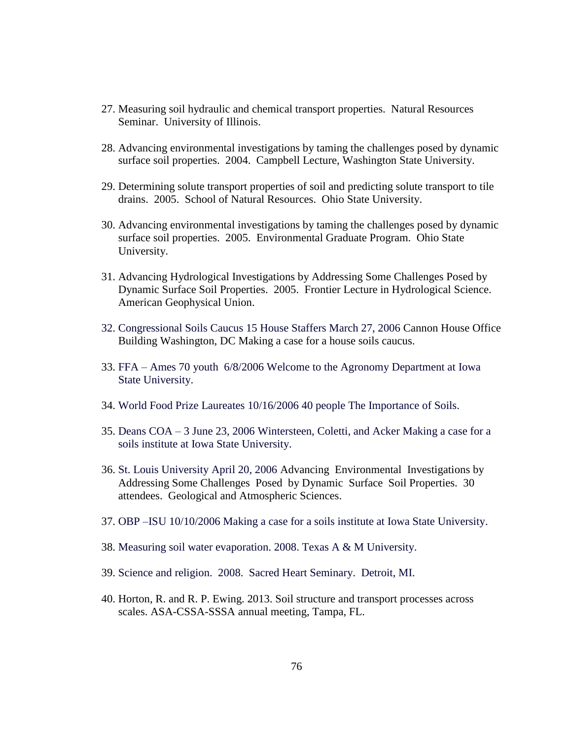- 27. Measuring soil hydraulic and chemical transport properties. Natural Resources Seminar. University of Illinois.
- 28. Advancing environmental investigations by taming the challenges posed by dynamic surface soil properties. 2004. Campbell Lecture, Washington State University.
- 29. Determining solute transport properties of soil and predicting solute transport to tile drains. 2005. School of Natural Resources. Ohio State University.
- 30. Advancing environmental investigations by taming the challenges posed by dynamic surface soil properties. 2005. Environmental Graduate Program. Ohio State University.
- 31. Advancing Hydrological Investigations by Addressing Some Challenges Posed by Dynamic Surface Soil Properties. 2005. Frontier Lecture in Hydrological Science. American Geophysical Union.
- 32. Congressional Soils Caucus 15 House Staffers March 27, 2006 Cannon House Office Building Washington, DC Making a case for a house soils caucus.
- 33. FFA Ames 70 youth 6/8/2006 Welcome to the Agronomy Department at Iowa State University.
- 34. World Food Prize Laureates 10/16/2006 40 people The Importance of Soils.
- 35. Deans COA 3 June 23, 2006 Wintersteen, Coletti, and Acker Making a case for a soils institute at Iowa State University.
- 36. St. Louis University April 20, 2006 Advancing Environmental Investigations by Addressing Some Challenges Posed by Dynamic Surface Soil Properties. 30 attendees. Geological and Atmospheric Sciences.
- 37. OBP –ISU 10/10/2006 Making a case for a soils institute at Iowa State University.
- 38. Measuring soil water evaporation. 2008. Texas A & M University.
- 39. Science and religion. 2008. Sacred Heart Seminary. Detroit, MI.
- 40. Horton, R. and R. P. Ewing. 2013. Soil structure and transport processes across scales. ASA-CSSA-SSSA annual meeting, Tampa, FL.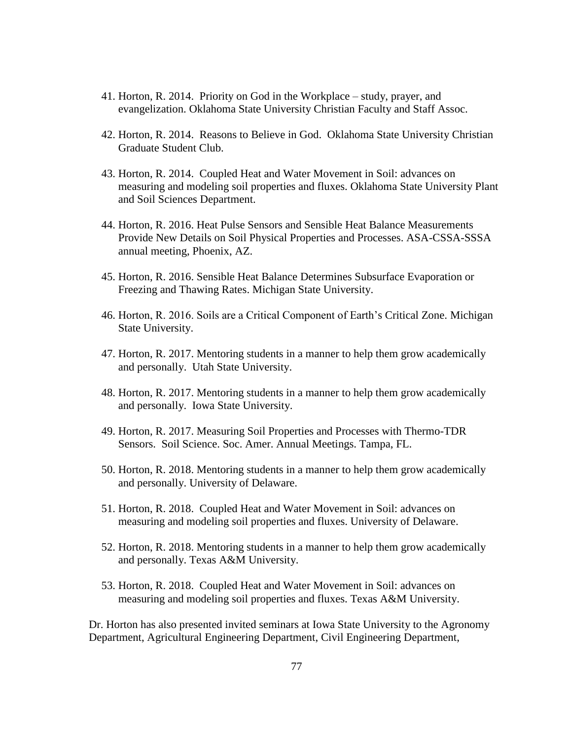- 41. Horton, R. 2014. Priority on God in the Workplace study, prayer, and evangelization. Oklahoma State University Christian Faculty and Staff Assoc.
- 42. Horton, R. 2014. Reasons to Believe in God. Oklahoma State University Christian Graduate Student Club.
- 43. Horton, R. 2014. Coupled Heat and Water Movement in Soil: advances on measuring and modeling soil properties and fluxes. Oklahoma State University Plant and Soil Sciences Department.
- 44. Horton, R. 2016. Heat Pulse Sensors and Sensible Heat Balance Measurements Provide New Details on Soil Physical Properties and Processes. ASA-CSSA-SSSA annual meeting, Phoenix, AZ.
- 45. Horton, R. 2016. Sensible Heat Balance Determines Subsurface Evaporation or Freezing and Thawing Rates. Michigan State University.
- 46. Horton, R. 2016. Soils are a Critical Component of Earth's Critical Zone. Michigan State University.
- 47. Horton, R. 2017. Mentoring students in a manner to help them grow academically and personally. Utah State University.
- 48. Horton, R. 2017. Mentoring students in a manner to help them grow academically and personally. Iowa State University.
- 49. Horton, R. 2017. Measuring Soil Properties and Processes with Thermo-TDR Sensors. Soil Science. Soc. Amer. Annual Meetings. Tampa, FL.
- 50. Horton, R. 2018. Mentoring students in a manner to help them grow academically and personally. University of Delaware.
- 51. Horton, R. 2018. Coupled Heat and Water Movement in Soil: advances on measuring and modeling soil properties and fluxes. University of Delaware.
- 52. Horton, R. 2018. Mentoring students in a manner to help them grow academically and personally. Texas A&M University.
- 53. Horton, R. 2018. Coupled Heat and Water Movement in Soil: advances on measuring and modeling soil properties and fluxes. Texas A&M University.

Dr. Horton has also presented invited seminars at Iowa State University to the Agronomy Department, Agricultural Engineering Department, Civil Engineering Department,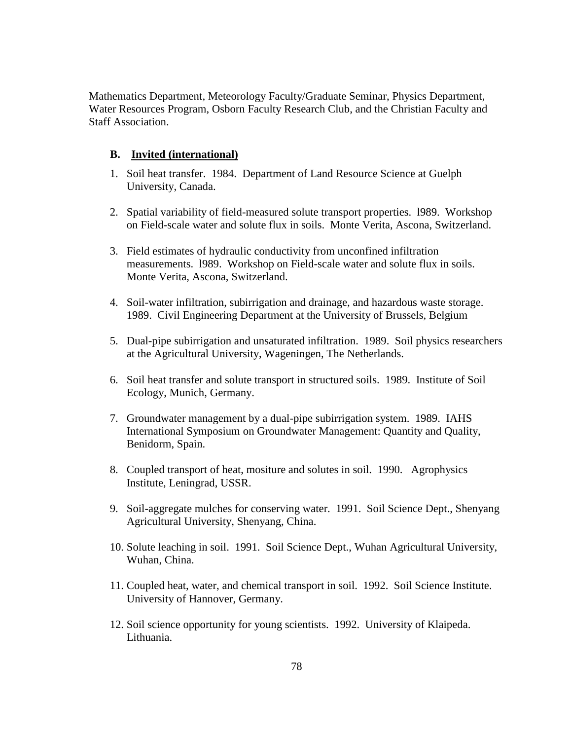Mathematics Department, Meteorology Faculty/Graduate Seminar, Physics Department, Water Resources Program, Osborn Faculty Research Club, and the Christian Faculty and Staff Association.

### **B. Invited (international)**

- 1. Soil heat transfer. 1984. Department of Land Resource Science at Guelph University, Canada.
- 2. Spatial variability of field-measured solute transport properties. l989. Workshop on Field-scale water and solute flux in soils. Monte Verita, Ascona, Switzerland.
- 3. Field estimates of hydraulic conductivity from unconfined infiltration measurements. l989. Workshop on Field-scale water and solute flux in soils. Monte Verita, Ascona, Switzerland.
- 4. Soil-water infiltration, subirrigation and drainage, and hazardous waste storage. 1989. Civil Engineering Department at the University of Brussels, Belgium
- 5. Dual-pipe subirrigation and unsaturated infiltration. 1989. Soil physics researchers at the Agricultural University, Wageningen, The Netherlands.
- 6. Soil heat transfer and solute transport in structured soils. 1989. Institute of Soil Ecology, Munich, Germany.
- 7. Groundwater management by a dual-pipe subirrigation system. 1989. IAHS International Symposium on Groundwater Management: Quantity and Quality, Benidorm, Spain.
- 8. Coupled transport of heat, mositure and solutes in soil. 1990. Agrophysics Institute, Leningrad, USSR.
- 9. Soil-aggregate mulches for conserving water. 1991. Soil Science Dept., Shenyang Agricultural University, Shenyang, China.
- 10. Solute leaching in soil. 1991. Soil Science Dept., Wuhan Agricultural University, Wuhan, China.
- 11. Coupled heat, water, and chemical transport in soil. 1992. Soil Science Institute. University of Hannover, Germany.
- 12. Soil science opportunity for young scientists. 1992. University of Klaipeda. Lithuania.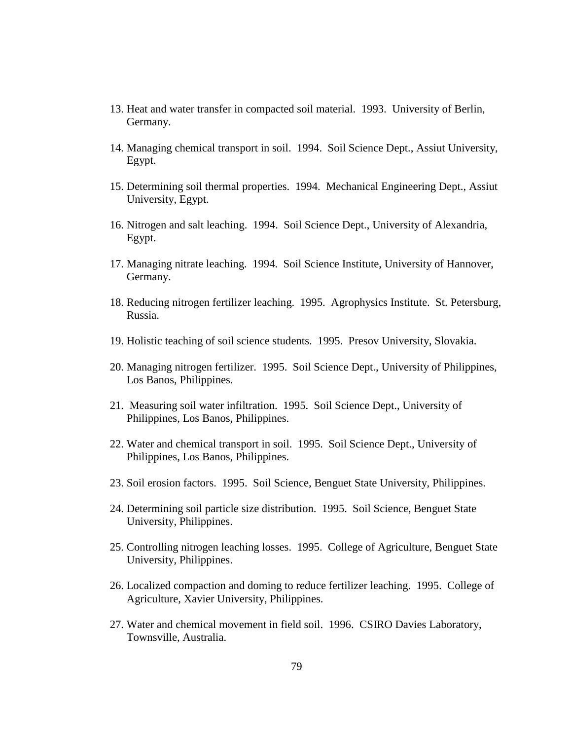- 13. Heat and water transfer in compacted soil material. 1993. University of Berlin, Germany.
- 14. Managing chemical transport in soil. 1994. Soil Science Dept., Assiut University, Egypt.
- 15. Determining soil thermal properties. 1994. Mechanical Engineering Dept., Assiut University, Egypt.
- 16. Nitrogen and salt leaching. 1994. Soil Science Dept., University of Alexandria, Egypt.
- 17. Managing nitrate leaching. 1994. Soil Science Institute, University of Hannover, Germany.
- 18. Reducing nitrogen fertilizer leaching. 1995. Agrophysics Institute. St. Petersburg, Russia.
- 19. Holistic teaching of soil science students. 1995. Presov University, Slovakia.
- 20. Managing nitrogen fertilizer. 1995. Soil Science Dept., University of Philippines, Los Banos, Philippines.
- 21. Measuring soil water infiltration. 1995. Soil Science Dept., University of Philippines, Los Banos, Philippines.
- 22. Water and chemical transport in soil. 1995. Soil Science Dept., University of Philippines, Los Banos, Philippines.
- 23. Soil erosion factors. 1995. Soil Science, Benguet State University, Philippines.
- 24. Determining soil particle size distribution. 1995. Soil Science, Benguet State University, Philippines.
- 25. Controlling nitrogen leaching losses. 1995. College of Agriculture, Benguet State University, Philippines.
- 26. Localized compaction and doming to reduce fertilizer leaching. 1995. College of Agriculture, Xavier University, Philippines.
- 27. Water and chemical movement in field soil. 1996. CSIRO Davies Laboratory, Townsville, Australia.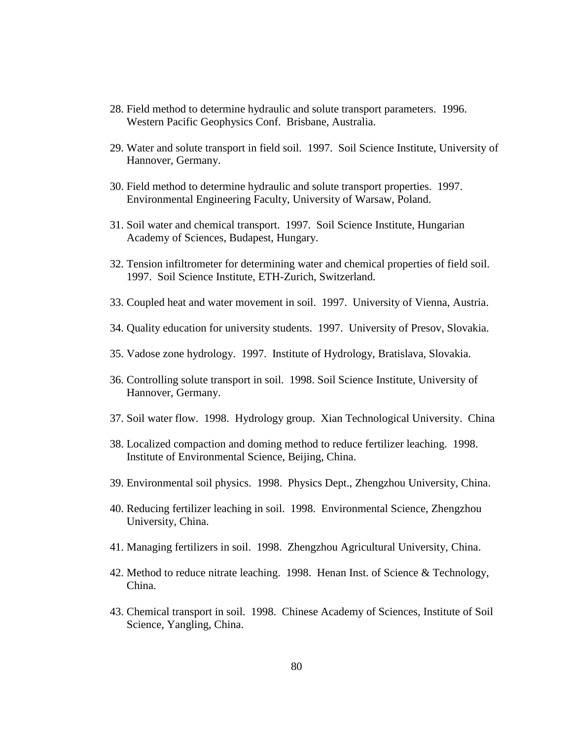- 28. Field method to determine hydraulic and solute transport parameters. 1996. Western Pacific Geophysics Conf. Brisbane, Australia.
- 29. Water and solute transport in field soil. 1997. Soil Science Institute, University of Hannover, Germany.
- 30. Field method to determine hydraulic and solute transport properties. 1997. Environmental Engineering Faculty, University of Warsaw, Poland.
- 31. Soil water and chemical transport. 1997. Soil Science Institute, Hungarian Academy of Sciences, Budapest, Hungary.
- 32. Tension infiltrometer for determining water and chemical properties of field soil. 1997. Soil Science Institute, ETH-Zurich, Switzerland.
- 33. Coupled heat and water movement in soil. 1997. University of Vienna, Austria.
- 34. Quality education for university students. 1997. University of Presov, Slovakia.
- 35. Vadose zone hydrology. 1997. Institute of Hydrology, Bratislava, Slovakia.
- 36. Controlling solute transport in soil. 1998. Soil Science Institute, University of Hannover, Germany.
- 37. Soil water flow. 1998. Hydrology group. Xian Technological University. China
- 38. Localized compaction and doming method to reduce fertilizer leaching. 1998. Institute of Environmental Science, Beijing, China.
- 39. Environmental soil physics. 1998. Physics Dept., Zhengzhou University, China.
- 40. Reducing fertilizer leaching in soil. 1998. Environmental Science, Zhengzhou University, China.
- 41. Managing fertilizers in soil. 1998. Zhengzhou Agricultural University, China.
- 42. Method to reduce nitrate leaching. 1998. Henan Inst. of Science & Technology, China.
- 43. Chemical transport in soil. 1998. Chinese Academy of Sciences, Institute of Soil Science, Yangling, China.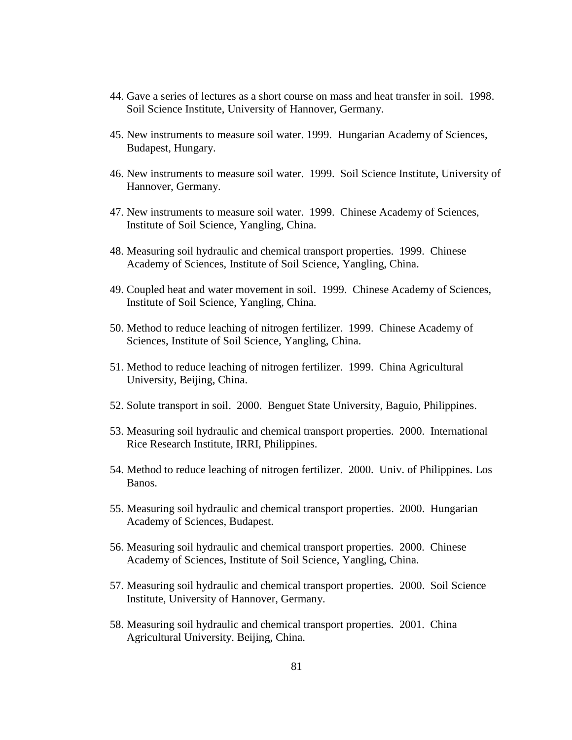- 44. Gave a series of lectures as a short course on mass and heat transfer in soil. 1998. Soil Science Institute, University of Hannover, Germany.
- 45. New instruments to measure soil water. 1999. Hungarian Academy of Sciences, Budapest, Hungary.
- 46. New instruments to measure soil water. 1999. Soil Science Institute, University of Hannover, Germany.
- 47. New instruments to measure soil water. 1999. Chinese Academy of Sciences, Institute of Soil Science, Yangling, China.
- 48. Measuring soil hydraulic and chemical transport properties. 1999. Chinese Academy of Sciences, Institute of Soil Science, Yangling, China.
- 49. Coupled heat and water movement in soil. 1999. Chinese Academy of Sciences, Institute of Soil Science, Yangling, China.
- 50. Method to reduce leaching of nitrogen fertilizer. 1999. Chinese Academy of Sciences, Institute of Soil Science, Yangling, China.
- 51. Method to reduce leaching of nitrogen fertilizer. 1999. China Agricultural University, Beijing, China.
- 52. Solute transport in soil. 2000. Benguet State University, Baguio, Philippines.
- 53. Measuring soil hydraulic and chemical transport properties. 2000. International Rice Research Institute, IRRI, Philippines.
- 54. Method to reduce leaching of nitrogen fertilizer. 2000. Univ. of Philippines. Los Banos.
- 55. Measuring soil hydraulic and chemical transport properties. 2000. Hungarian Academy of Sciences, Budapest.
- 56. Measuring soil hydraulic and chemical transport properties. 2000. Chinese Academy of Sciences, Institute of Soil Science, Yangling, China.
- 57. Measuring soil hydraulic and chemical transport properties. 2000. Soil Science Institute, University of Hannover, Germany.
- 58. Measuring soil hydraulic and chemical transport properties. 2001. China Agricultural University. Beijing, China.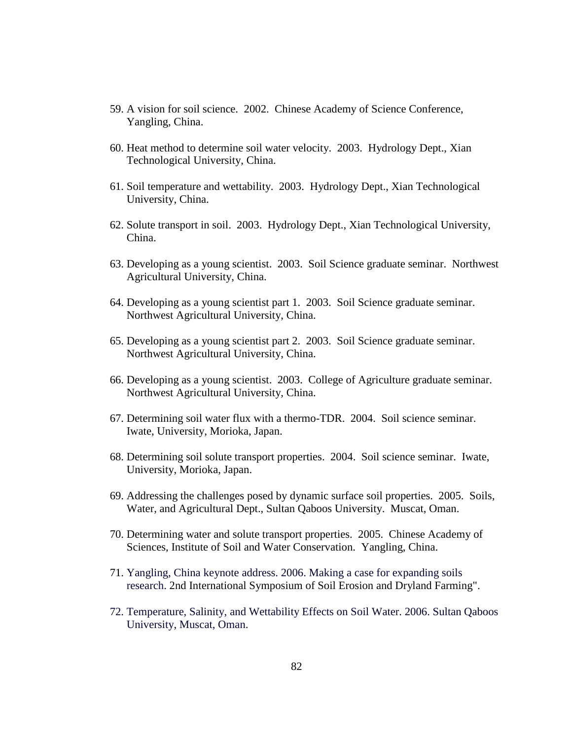- 59. A vision for soil science. 2002. Chinese Academy of Science Conference, Yangling, China.
- 60. Heat method to determine soil water velocity. 2003. Hydrology Dept., Xian Technological University, China.
- 61. Soil temperature and wettability. 2003. Hydrology Dept., Xian Technological University, China.
- 62. Solute transport in soil. 2003. Hydrology Dept., Xian Technological University, China.
- 63. Developing as a young scientist. 2003. Soil Science graduate seminar. Northwest Agricultural University, China.
- 64. Developing as a young scientist part 1. 2003. Soil Science graduate seminar. Northwest Agricultural University, China.
- 65. Developing as a young scientist part 2. 2003. Soil Science graduate seminar. Northwest Agricultural University, China.
- 66. Developing as a young scientist. 2003. College of Agriculture graduate seminar. Northwest Agricultural University, China.
- 67. Determining soil water flux with a thermo-TDR. 2004. Soil science seminar. Iwate, University, Morioka, Japan.
- 68. Determining soil solute transport properties. 2004. Soil science seminar. Iwate, University, Morioka, Japan.
- 69. Addressing the challenges posed by dynamic surface soil properties. 2005. Soils, Water, and Agricultural Dept., Sultan Qaboos University. Muscat, Oman.
- 70. Determining water and solute transport properties. 2005. Chinese Academy of Sciences, Institute of Soil and Water Conservation. Yangling, China.
- 71. Yangling, China keynote address. 2006. Making a case for expanding soils research. 2nd International Symposium of Soil Erosion and Dryland Farming".
- 72. Temperature, Salinity, and Wettability Effects on Soil Water. 2006. Sultan Qaboos University, Muscat, Oman.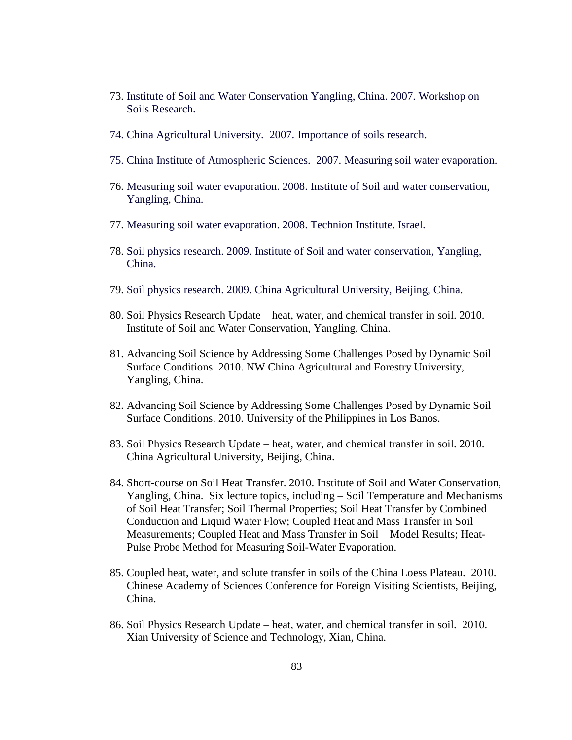- 73. Institute of Soil and Water Conservation Yangling, China. 2007. Workshop on Soils Research.
- 74. China Agricultural University. 2007. Importance of soils research.
- 75. China Institute of Atmospheric Sciences. 2007. Measuring soil water evaporation.
- 76. Measuring soil water evaporation. 2008. Institute of Soil and water conservation, Yangling, China.
- 77. Measuring soil water evaporation. 2008. Technion Institute. Israel.
- 78. Soil physics research. 2009. Institute of Soil and water conservation, Yangling, China.
- 79. Soil physics research. 2009. China Agricultural University, Beijing, China.
- 80. Soil Physics Research Update heat, water, and chemical transfer in soil. 2010. Institute of Soil and Water Conservation, Yangling, China.
- 81. Advancing Soil Science by Addressing Some Challenges Posed by Dynamic Soil Surface Conditions. 2010. NW China Agricultural and Forestry University, Yangling, China.
- 82. Advancing Soil Science by Addressing Some Challenges Posed by Dynamic Soil Surface Conditions. 2010. University of the Philippines in Los Banos.
- 83. Soil Physics Research Update heat, water, and chemical transfer in soil. 2010. China Agricultural University, Beijing, China.
- 84. Short-course on Soil Heat Transfer. 2010. Institute of Soil and Water Conservation, Yangling, China. Six lecture topics, including – Soil Temperature and Mechanisms of Soil Heat Transfer; Soil Thermal Properties; Soil Heat Transfer by Combined Conduction and Liquid Water Flow; Coupled Heat and Mass Transfer in Soil – Measurements; Coupled Heat and Mass Transfer in Soil – Model Results; Heat-Pulse Probe Method for Measuring Soil-Water Evaporation.
- 85. Coupled heat, water, and solute transfer in soils of the China Loess Plateau. 2010. Chinese Academy of Sciences Conference for Foreign Visiting Scientists, Beijing, China.
- 86. Soil Physics Research Update heat, water, and chemical transfer in soil. 2010. Xian University of Science and Technology, Xian, China.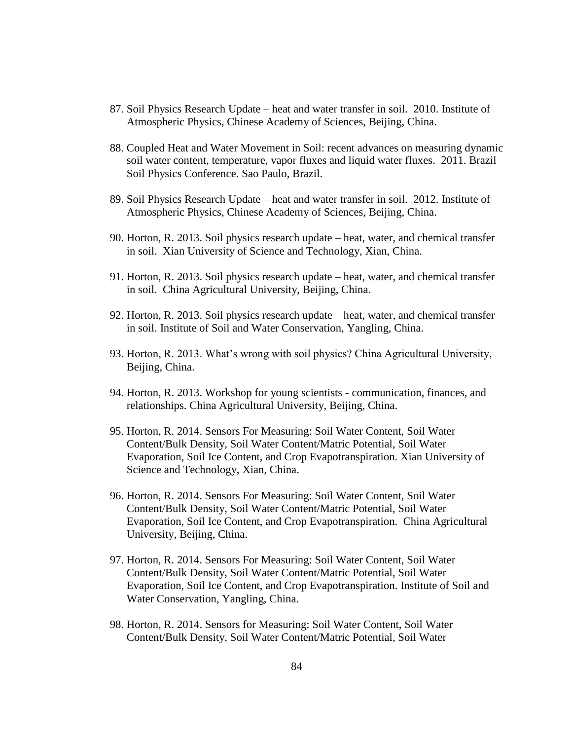- 87. Soil Physics Research Update heat and water transfer in soil. 2010. Institute of Atmospheric Physics, Chinese Academy of Sciences, Beijing, China.
- 88. Coupled Heat and Water Movement in Soil: recent advances on measuring dynamic soil water content, temperature, vapor fluxes and liquid water fluxes. 2011. Brazil Soil Physics Conference. Sao Paulo, Brazil.
- 89. Soil Physics Research Update heat and water transfer in soil. 2012. Institute of Atmospheric Physics, Chinese Academy of Sciences, Beijing, China.
- 90. Horton, R. 2013. Soil physics research update heat, water, and chemical transfer in soil. Xian University of Science and Technology, Xian, China.
- 91. Horton, R. 2013. Soil physics research update heat, water, and chemical transfer in soil. China Agricultural University, Beijing, China.
- 92. Horton, R. 2013. Soil physics research update heat, water, and chemical transfer in soil. Institute of Soil and Water Conservation, Yangling, China.
- 93. Horton, R. 2013. What's wrong with soil physics? China Agricultural University, Beijing, China.
- 94. Horton, R. 2013. Workshop for young scientists communication, finances, and relationships. China Agricultural University, Beijing, China.
- 95. Horton, R. 2014. Sensors For Measuring: Soil Water Content, Soil Water Content/Bulk Density, Soil Water Content/Matric Potential, Soil Water Evaporation, Soil Ice Content, and Crop Evapotranspiration. Xian University of Science and Technology, Xian, China.
- 96. Horton, R. 2014. Sensors For Measuring: Soil Water Content, Soil Water Content/Bulk Density, Soil Water Content/Matric Potential, Soil Water Evaporation, Soil Ice Content, and Crop Evapotranspiration. China Agricultural University, Beijing, China.
- 97. Horton, R. 2014. Sensors For Measuring: Soil Water Content, Soil Water Content/Bulk Density, Soil Water Content/Matric Potential, Soil Water Evaporation, Soil Ice Content, and Crop Evapotranspiration. Institute of Soil and Water Conservation, Yangling, China.
- 98. Horton, R. 2014. Sensors for Measuring: Soil Water Content, Soil Water Content/Bulk Density, Soil Water Content/Matric Potential, Soil Water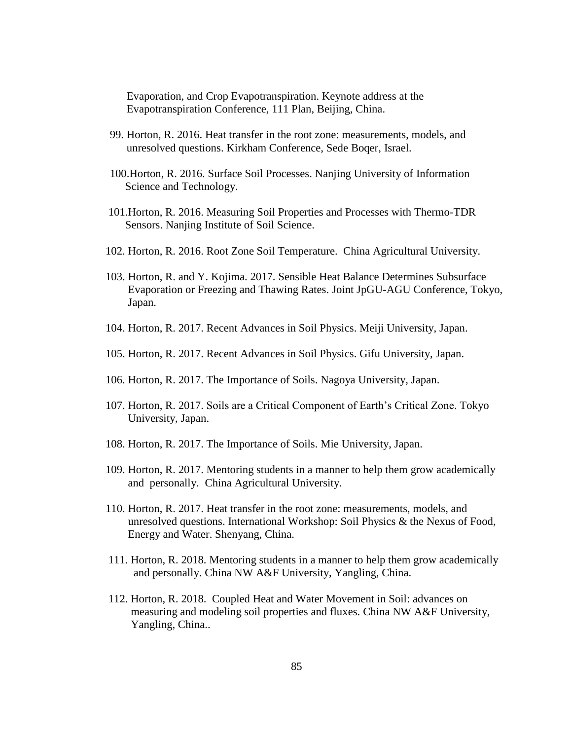Evaporation, and Crop Evapotranspiration. Keynote address at the Evapotranspiration Conference, 111 Plan, Beijing, China.

- 99. Horton, R. 2016. Heat transfer in the root zone: measurements, models, and unresolved questions. Kirkham Conference, Sede Boqer, Israel.
- 100.Horton, R. 2016. Surface Soil Processes. Nanjing University of Information Science and Technology.
- 101.Horton, R. 2016. Measuring Soil Properties and Processes with Thermo-TDR Sensors. Nanjing Institute of Soil Science.
- 102. Horton, R. 2016. Root Zone Soil Temperature. China Agricultural University.
- 103. Horton, R. and Y. Kojima. 2017. Sensible Heat Balance Determines Subsurface Evaporation or Freezing and Thawing Rates. Joint JpGU-AGU Conference, Tokyo, Japan.
- 104. Horton, R. 2017. Recent Advances in Soil Physics. Meiji University, Japan.
- 105. Horton, R. 2017. Recent Advances in Soil Physics. Gifu University, Japan.
- 106. Horton, R. 2017. The Importance of Soils. Nagoya University, Japan.
- 107. Horton, R. 2017. Soils are a Critical Component of Earth's Critical Zone. Tokyo University, Japan.
- 108. Horton, R. 2017. The Importance of Soils. Mie University, Japan.
- 109. Horton, R. 2017. Mentoring students in a manner to help them grow academically and personally. China Agricultural University.
- 110. Horton, R. 2017. Heat transfer in the root zone: measurements, models, and unresolved questions. International Workshop: Soil Physics & the Nexus of Food, Energy and Water. Shenyang, China.
- 111. Horton, R. 2018. Mentoring students in a manner to help them grow academically and personally. China NW A&F University, Yangling, China.
- 112. Horton, R. 2018. Coupled Heat and Water Movement in Soil: advances on measuring and modeling soil properties and fluxes. China NW A&F University, Yangling, China..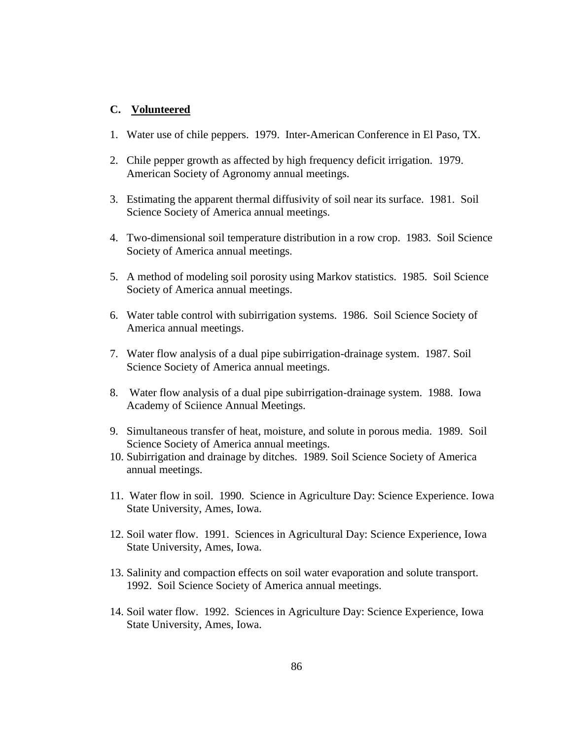### **C. Volunteered**

- 1. Water use of chile peppers. 1979. Inter-American Conference in El Paso, TX.
- 2. Chile pepper growth as affected by high frequency deficit irrigation. 1979. American Society of Agronomy annual meetings.
- 3. Estimating the apparent thermal diffusivity of soil near its surface. 1981. Soil Science Society of America annual meetings.
- 4. Two-dimensional soil temperature distribution in a row crop. 1983. Soil Science Society of America annual meetings.
- 5. A method of modeling soil porosity using Markov statistics. 1985. Soil Science Society of America annual meetings.
- 6. Water table control with subirrigation systems. 1986. Soil Science Society of America annual meetings.
- 7. Water flow analysis of a dual pipe subirrigation-drainage system. 1987. Soil Science Society of America annual meetings.
- 8. Water flow analysis of a dual pipe subirrigation-drainage system. 1988. Iowa Academy of Sciience Annual Meetings.
- 9. Simultaneous transfer of heat, moisture, and solute in porous media. 1989. Soil Science Society of America annual meetings.
- 10. Subirrigation and drainage by ditches. 1989. Soil Science Society of America annual meetings.
- 11. Water flow in soil. 1990. Science in Agriculture Day: Science Experience. Iowa State University, Ames, Iowa.
- 12. Soil water flow. 1991. Sciences in Agricultural Day: Science Experience, Iowa State University, Ames, Iowa.
- 13. Salinity and compaction effects on soil water evaporation and solute transport. 1992. Soil Science Society of America annual meetings.
- 14. Soil water flow. 1992. Sciences in Agriculture Day: Science Experience, Iowa State University, Ames, Iowa.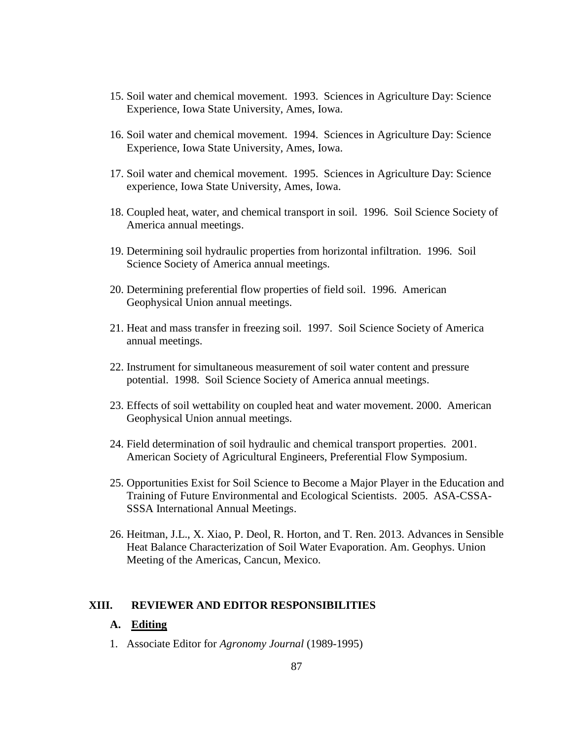- 15. Soil water and chemical movement. 1993. Sciences in Agriculture Day: Science Experience, Iowa State University, Ames, Iowa.
- 16. Soil water and chemical movement. 1994. Sciences in Agriculture Day: Science Experience, Iowa State University, Ames, Iowa.
- 17. Soil water and chemical movement. 1995. Sciences in Agriculture Day: Science experience, Iowa State University, Ames, Iowa.
- 18. Coupled heat, water, and chemical transport in soil. 1996. Soil Science Society of America annual meetings.
- 19. Determining soil hydraulic properties from horizontal infiltration. 1996. Soil Science Society of America annual meetings.
- 20. Determining preferential flow properties of field soil. 1996. American Geophysical Union annual meetings.
- 21. Heat and mass transfer in freezing soil. 1997. Soil Science Society of America annual meetings.
- 22. Instrument for simultaneous measurement of soil water content and pressure potential. 1998. Soil Science Society of America annual meetings.
- 23. Effects of soil wettability on coupled heat and water movement. 2000. American Geophysical Union annual meetings.
- 24. Field determination of soil hydraulic and chemical transport properties. 2001. American Society of Agricultural Engineers, Preferential Flow Symposium.
- 25. Opportunities Exist for Soil Science to Become a Major Player in the Education and Training of Future Environmental and Ecological Scientists. 2005. ASA-CSSA-SSSA International Annual Meetings.
- 26. Heitman, J.L., X. Xiao, P. Deol, R. Horton, and T. Ren. 2013. Advances in Sensible Heat Balance Characterization of Soil Water Evaporation. Am. Geophys. Union Meeting of the Americas, Cancun, Mexico.

#### **XIII. REVIEWER AND EDITOR RESPONSIBILITIES**

#### **A. Editing**

1. Associate Editor for *Agronomy Journal* (1989-1995)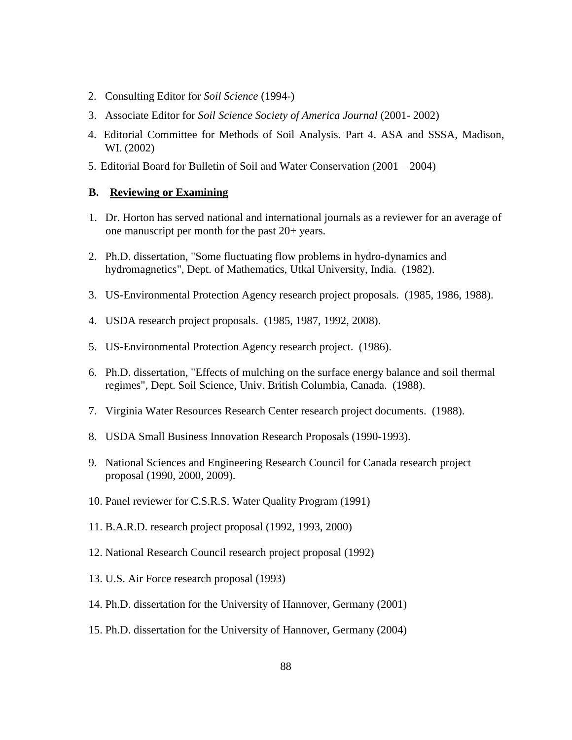- 2. Consulting Editor for *Soil Science* (1994-)
- 3. Associate Editor for *Soil Science Society of America Journal* (2001- 2002)
- 4. Editorial Committee for Methods of Soil Analysis. Part 4. ASA and SSSA, Madison, WI. (2002)
- 5. Editorial Board for Bulletin of Soil and Water Conservation (2001 2004)

## **B. Reviewing or Examining**

- 1. Dr. Horton has served national and international journals as a reviewer for an average of one manuscript per month for the past 20+ years.
- 2. Ph.D. dissertation, "Some fluctuating flow problems in hydro-dynamics and hydromagnetics", Dept. of Mathematics, Utkal University, India. (1982).
- 3. US-Environmental Protection Agency research project proposals. (1985, 1986, 1988).
- 4. USDA research project proposals. (1985, 1987, 1992, 2008).
- 5. US-Environmental Protection Agency research project. (1986).
- 6. Ph.D. dissertation, "Effects of mulching on the surface energy balance and soil thermal regimes", Dept. Soil Science, Univ. British Columbia, Canada. (1988).
- 7. Virginia Water Resources Research Center research project documents. (1988).
- 8. USDA Small Business Innovation Research Proposals (1990-1993).
- 9. National Sciences and Engineering Research Council for Canada research project proposal (1990, 2000, 2009).
- 10. Panel reviewer for C.S.R.S. Water Quality Program (1991)
- 11. B.A.R.D. research project proposal (1992, 1993, 2000)
- 12. National Research Council research project proposal (1992)
- 13. U.S. Air Force research proposal (1993)
- 14. Ph.D. dissertation for the University of Hannover, Germany (2001)
- 15. Ph.D. dissertation for the University of Hannover, Germany (2004)